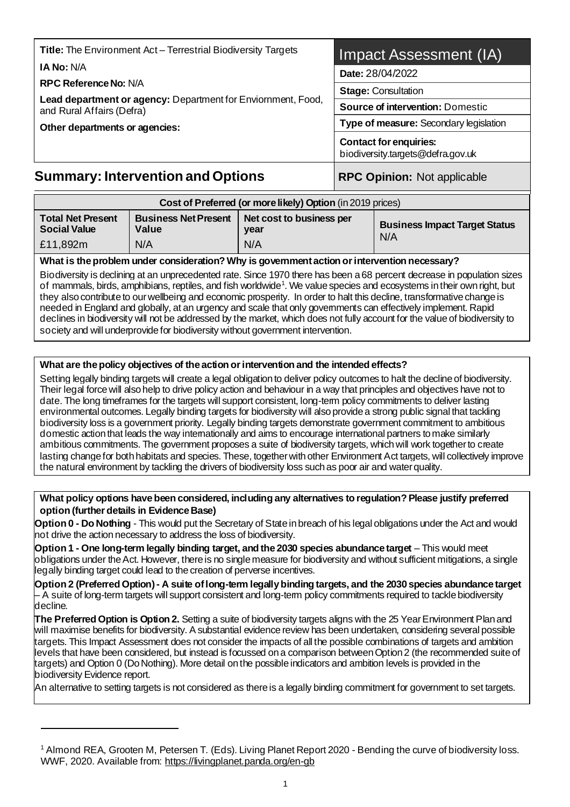| <b>RPC Reference No: N/A</b><br>Lead department or agency: Department for Enviornment, Food,<br>and Rural Affairs (Defra)<br>Other departments or agencies: | <b>Stage: Consultation</b><br><b>Source of intervention: Domestic</b><br>Type of measure: Secondary legislation |  |
|-------------------------------------------------------------------------------------------------------------------------------------------------------------|-----------------------------------------------------------------------------------------------------------------|--|
|                                                                                                                                                             | <b>Contact for enquiries:</b><br>biodiversity.targets@defra.gov.uk                                              |  |
| <b>Summary: Intervention and Options</b>                                                                                                                    | <b>RPC Opinion: Not applicable</b>                                                                              |  |

| Cost of Preferred (or more likely) Option (in 2019 prices) |                                      |                                  |                                      |
|------------------------------------------------------------|--------------------------------------|----------------------------------|--------------------------------------|
| <b>Total Net Present</b><br><b>Social Value</b>            | <b>Business Net Present</b><br>Value | Net cost to business per<br>vear | <b>Business Impact Target Status</b> |
| £11,892m                                                   | N/A                                  | N/A                              | N/A                                  |

#### **What is the problem under consideration? Why is government action or intervention necessary?**

Biodiversity is declining at an unprecedented rate. Since 1970 there has been a 68 percent decrease in population sizes of mammals, birds, amphibians, reptiles, and fish worldwide<sup>1</sup>. We value species and ecosystems in their own right, but they also contribute to our wellbeing and economic prosperity. In order to halt this decline, transformative change is needed in England and globally, at an urgency and scale that only governments can effectively implement. Rapid declines in biodiversity will not be addressed by the market, which does not fully account for the value of biodiversity to society and will underprovide for biodiversity without government intervention.

#### **What are the policy objectives of the action or intervention and the intended effects?**

Setting legally binding targets will create a legal obligation to deliver policy outcomes to halt the decline of biodiversity. Their legal force will also help to drive policy action and behaviour in a way that principles and objectives have not to date. The long timeframes for the targets will support consistent, long-term policy commitments to deliver lasting environmental outcomes. Legally binding targets for biodiversity will also provide a strong public signal that tackling biodiversity loss is a government priority. Legally binding targets demonstrate government commitment to ambitious domestic action that leads the way internationally and aims to encourage international partners to make similarly ambitious commitments. The government proposes a suite of biodiversity targets, which will work together to create lasting change for both habitats and species. These, together with other Environment Act targets, will collectively improve the natural environment by tackling the drivers of biodiversity loss such as poor air and water quality.

#### **What policy options have been considered, including any alternatives to regulation? Please justify preferred option (further details in Evidence Base)**

**Option 0 - Do Nothing** - This would put the Secretary of State in breach of his legal obligations under the Act and would not drive the action necessary to address the loss of biodiversity.

**Option 1 - One long-term legally binding target, and the 2030 species abundance target** – This would meet obligations under the Act. However, there is no single measure for biodiversity and without sufficient mitigations, a single legally binding target could lead to the creation of perverse incentives.

**Option 2 (Preferred Option) - A suite of long-term legally binding targets, and the 2030 species abundance target**  – A suite of long-term targets will support consistent and long-term policy commitments required to tackle biodiversity decline.

**The Preferred Option is Option 2.** Setting a suite of biodiversity targets aligns with the 25 Year Environment Plan and will maximise benefits for biodiversity. A substantial evidence review has been undertaken, considering several possible targets. This Impact Assessment does not consider the impacts of all the possible combinations of targets and ambition levels that have been considered, but instead is focussed on a comparison between Option 2 (the recommended suite of targets) and Option 0 (Do Nothing). More detail on the possible indicators and ambition levels is provided in the biodiversity Evidence report.

An alternative to setting targets is not considered as there is a legally binding commitment for government to set targets.

<sup>1</sup> Almond REA, Grooten M, Petersen T. (Eds). Living Planet Report 2020 - Bending the curve of biodiversity loss. WWF, 2020. Available from[: https://livingplanet.panda.org/en-gb](https://livingplanet.panda.org/en-gb/)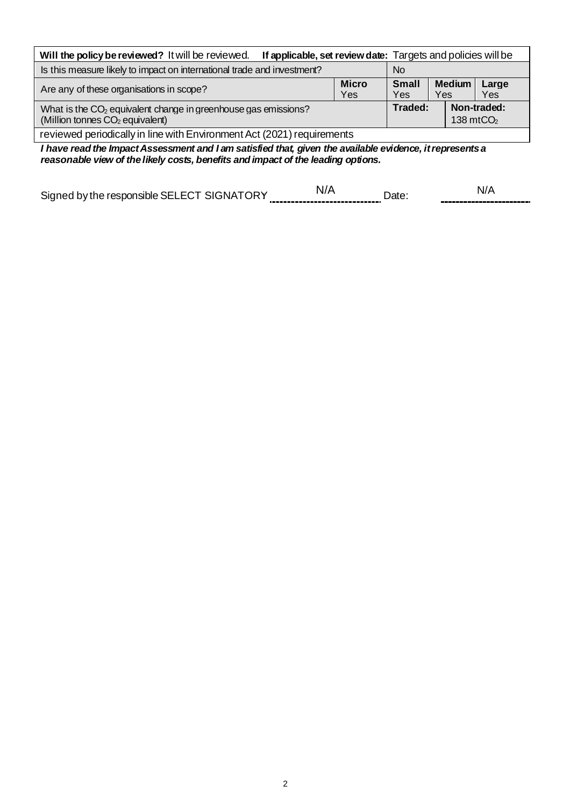| If applicable, set review date: Targets and policies will be<br>Will the policy be reviewed? It will be reviewed.                                                  |  |  |       |  |
|--------------------------------------------------------------------------------------------------------------------------------------------------------------------|--|--|-------|--|
| Is this measure likely to impact on international trade and investment?<br><b>No</b>                                                                               |  |  |       |  |
| <b>Micro</b><br><b>Medium</b><br><b>Small</b><br>Are any of these organisations in scope?<br><b>Yes</b><br>Yes<br>Yes<br>Yes.                                      |  |  | Large |  |
| Traded:<br>Non-traded:<br>What is the CO <sub>2</sub> equivalent change in greenhouse gas emissions?<br>138 $mtCO2$<br>(Million tonnes CO <sub>2</sub> equivalent) |  |  |       |  |
| reviewed periodically in line with Environment Act (2021) requirements                                                                                             |  |  |       |  |

*I have read the Impact Assessment and I am satisfied that, given the available evidence, it represents a reasonable view of the likely costs, benefits and impact of the leading options.*

| Sin <sub>i</sub><br>ne ∍<br>1 1 ⊢<br>,,,,<br>דר |                                    |  |
|-------------------------------------------------|------------------------------------|--|
|                                                 | ,,,,,,,,,,,,,,,,,,,,,,,,,,,,,,,,,, |  |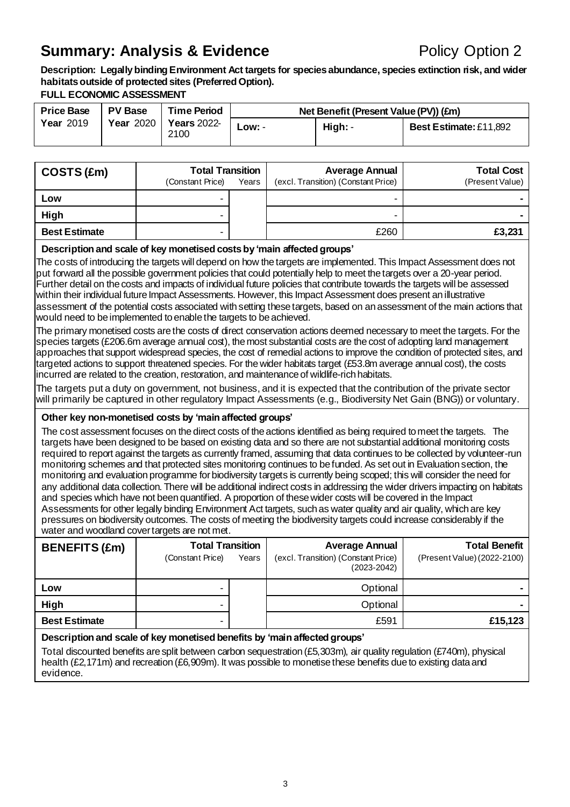### **Summary: Analysis & Evidence** Policy Option 2

**Description: Legally binding Environment Act targets for species abundance, species extinction risk, and wider habitats outside of protected sites (Preferred Option).**

#### **FULL ECONOMIC ASSESSMENT**

| <b>Price Base</b> | <b>PV Base</b>   | <b>Time Period</b>         |           | Net Benefit (Present Value (PV)) (£m) |                               |
|-------------------|------------------|----------------------------|-----------|---------------------------------------|-------------------------------|
| <b>Year 2019</b>  | <b>Year 2020</b> | <b>Years</b> 2022-<br>2100 | $LOW$ : - | High: -                               | <b>Best Estimate: £11,892</b> |

| COSTS (£m)           | <b>Total Transition</b><br>(Constant Price) | Years | <b>Average Annual</b><br>(excl. Transition) (Constant Price) | <b>Total Cost</b><br>(Present Value) |
|----------------------|---------------------------------------------|-------|--------------------------------------------------------------|--------------------------------------|
| Low                  | -                                           |       |                                                              |                                      |
| High                 | -                                           |       |                                                              |                                      |
| <b>Best Estimate</b> | -                                           |       | £260                                                         | £3,231                               |

#### **Description and scale of key monetised costsby 'main affected groups'**

The costs of introducing the targets will depend on how the targets are implemented. This Impact Assessment does not put forward all the possible government policies that could potentially help to meet the targets over a 20-year period. Further detail on the costs and impacts of individual future policies that contribute towards the targets will be assessed within their individual future Impact Assessments. However, this Impact Assessment does present an illustrative assessment of the potential costs associated with setting these targets, based on an assessment of the main actions that would need to be implemented to enable the targets to be achieved.

The primary monetised costs are the costs of direct conservation actions deemed necessary to meet the targets. For the species targets (£206.6m average annual cost), the most substantial costs are the cost of adopting land management approaches that support widespread species, the cost of remedial actions to improve the condition of protected sites, and targeted actions to support threatened species. For the wider habitats target (£53.8m average annual cost), the costs incurred are related to the creation, restoration, and maintenance of wildlife-rich habitats.

The targets put a duty on government, not business, and it is expected that the contribution of the private sector will primarily be captured in other regulatory Impact Assessments (e.g., Biodiversity Net Gain (BNG)) or voluntary.

#### **Other key non-monetised costs by 'main affected groups'**

The cost assessment focuses on the direct costs of the actions identified as being required to meet the targets. The targets have been designed to be based on existing data and so there are not substantial additional monitoring costs required to report against the targets as currently framed, assuming that data continues to be collected by volunteer-run monitoring schemes and that protected sites monitoring continues to be funded. As set out in Evaluation section, the monitoring and evaluation programme for biodiversity targets is currently being scoped; this will consider the need for any additional data collection. There will be additional indirect costs in addressing the wider drivers impacting on habitats and species which have not been quantified. A proportion of these wider costs will be covered in the Impact Assessments for other legally binding Environment Act targets, such as water quality and air quality, which are key pressures on biodiversity outcomes. The costs of meeting the biodiversity targets could increase considerably if the water and woodland cover targets are not met.

| <b>BENEFITS (£m)</b> | <b>Total Transition</b><br>(Constant Price) | Years | <b>Average Annual</b><br>(excl. Transition) (Constant Price)<br>$(2023 - 2042)$ | <b>Total Benefit</b><br>(Present Value) (2022-2100) |
|----------------------|---------------------------------------------|-------|---------------------------------------------------------------------------------|-----------------------------------------------------|
| Low                  |                                             |       | Optional                                                                        |                                                     |
| High                 |                                             |       | Optional                                                                        |                                                     |
| <b>Best Estimate</b> | -                                           |       | £591                                                                            | £15,123                                             |
|                      |                                             |       |                                                                                 |                                                     |

#### **Description and scale of key monetised benefits by 'main affected groups'**

Total discounted benefits are split between carbon sequestration (£5,303m), air quality regulation (£740m), physical health (£2,171m) and recreation (£6,909m). It was possible to monetise these benefits due to existing data and evidence.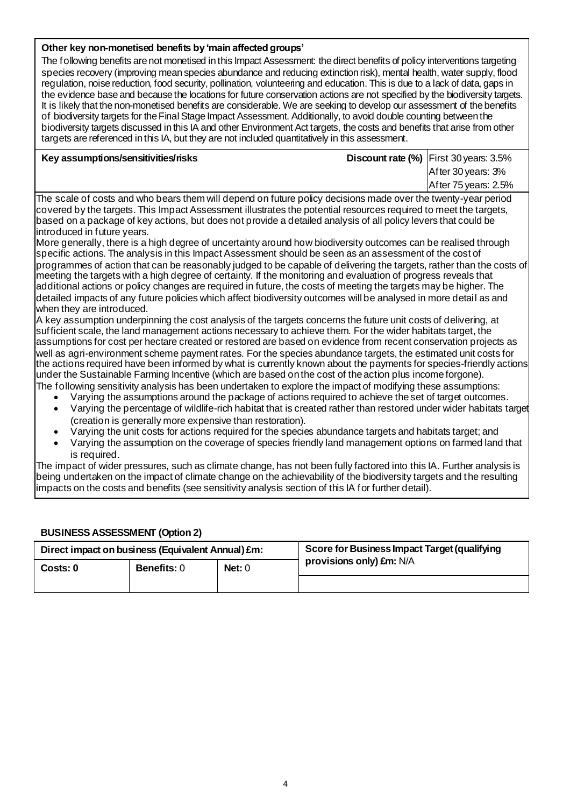#### **Other key non-monetised benefits by 'main affected groups'**

The following benefits are not monetised in this Impact Assessment: the direct benefits of policy interventions targeting species recovery (improving mean species abundance and reducing extinction risk), mental health, water supply, flood regulation, noise reduction, food security, pollination, volunteering and education. This is due to a lack of data, gaps in the evidence base and because the locations for future conservation actions are not specified by the biodiversity targets. It is likely that the non-monetised benefits are considerable. We are seeking to develop our assessment of the benefits of biodiversity targets for the Final Stage Impact Assessment. Additionally, to avoid double counting between the biodiversity targets discussed in this IA and other Environment Act targets, the costs and benefits that arise from other targets are referenced in this IA, but they are not included quantitatively in this assessment.

**Key assumptions/sensitivities/risks between the contrate (%)** First 30 years: 3.5% After 30 years: 3% After 75 years: 2.5%

The scale of costs and who bears them will depend on future policy decisions made over the twenty-year period covered by the targets. This Impact Assessment illustrates the potential resources required to meet the targets, based on a package of key actions, but does not provide a detailed analysis of all policy levers that could be introduced in future years.

More generally, there is a high degree of uncertainty around how biodiversity outcomes can be realised through specific actions. The analysis in this Impact Assessment should be seen as an assessment of the cost of programmes of action that can be reasonably judged to be capable of delivering the targets, rather than the costs of meeting the targets with a high degree of certainty. If the monitoring and evaluation of progress reveals that additional actions or policy changes are required in future, the costs of meeting the targets may be higher. The detailed impacts of any future policies which affect biodiversity outcomes will be analysed in more detail as and when they are introduced.

A key assumption underpinning the cost analysis of the targets concerns the future unit costs of delivering, at sufficient scale, the land management actions necessary to achieve them. For the wider habitats target, the assumptions for cost per hectare created or restored are based on evidence from recent conservation projects as well as agri-environment scheme payment rates. For the species abundance targets, the estimated unit costs for the actions required have been informed by what is currently known about the payments for species-friendly actions under the Sustainable Farming Incentive (which are based on the cost of the action plus income forgone). The following sensitivity analysis has been undertaken to explore the impact of modifying these assumptions:

• Varying the assumptions around the package of actions required to achieve the set of target outcomes.

- Varying the percentage of wildlife-rich habitat that is created rather than restored under wider habitats target (creation is generally more expensive than restoration).
- Varying the unit costs for actions required for the species abundance targets and habitats target; and
- Varying the assumption on the coverage of species friendly land management options on farmed land that is required.

The impact of wider pressures, such as climate change, has not been fully factored into this IA. Further analysis is being undertaken on the impact of climate change on the achievability of the biodiversity targets and the resulting impacts on the costs and benefits (see sensitivity analysis section of this IA for further detail).

#### **BUSINESS ASSESSMENT (Option 2)**

| Direct impact on business (Equivalent Annual) £m: |                                |  | Score for Business Impact Target (qualifying |
|---------------------------------------------------|--------------------------------|--|----------------------------------------------|
| Costs: 0                                          | <b>Benefits: 0</b><br>Net: $0$ |  | provisions only) £m: N/A                     |
|                                                   |                                |  |                                              |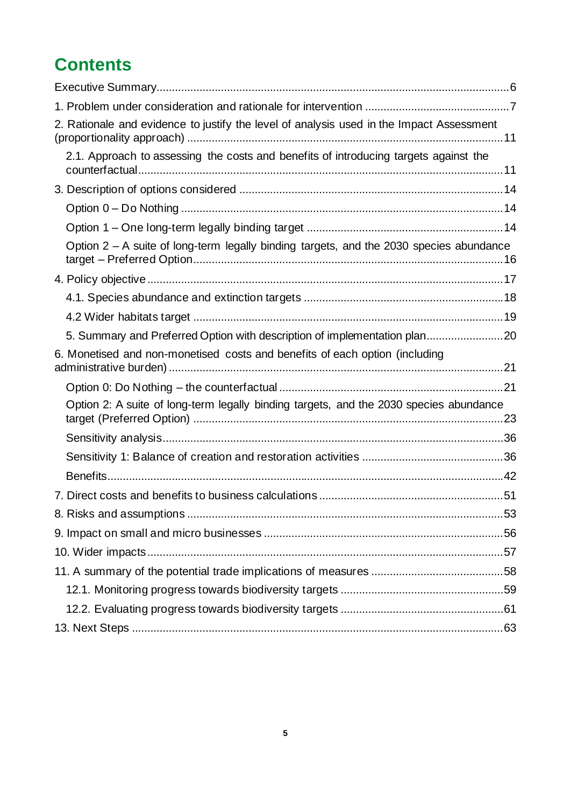## **Contents**

| 2. Rationale and evidence to justify the level of analysis used in the Impact Assessment  |  |
|-------------------------------------------------------------------------------------------|--|
| 2.1. Approach to assessing the costs and benefits of introducing targets against the      |  |
|                                                                                           |  |
|                                                                                           |  |
|                                                                                           |  |
| Option $2 - A$ suite of long-term legally binding targets, and the 2030 species abundance |  |
|                                                                                           |  |
|                                                                                           |  |
|                                                                                           |  |
| 5. Summary and Preferred Option with description of implementation plan20                 |  |
| 6. Monetised and non-monetised costs and benefits of each option (including               |  |
|                                                                                           |  |
| Option 2: A suite of long-term legally binding targets, and the 2030 species abundance    |  |
|                                                                                           |  |
|                                                                                           |  |
|                                                                                           |  |
|                                                                                           |  |
|                                                                                           |  |
|                                                                                           |  |
|                                                                                           |  |
|                                                                                           |  |
|                                                                                           |  |
|                                                                                           |  |
|                                                                                           |  |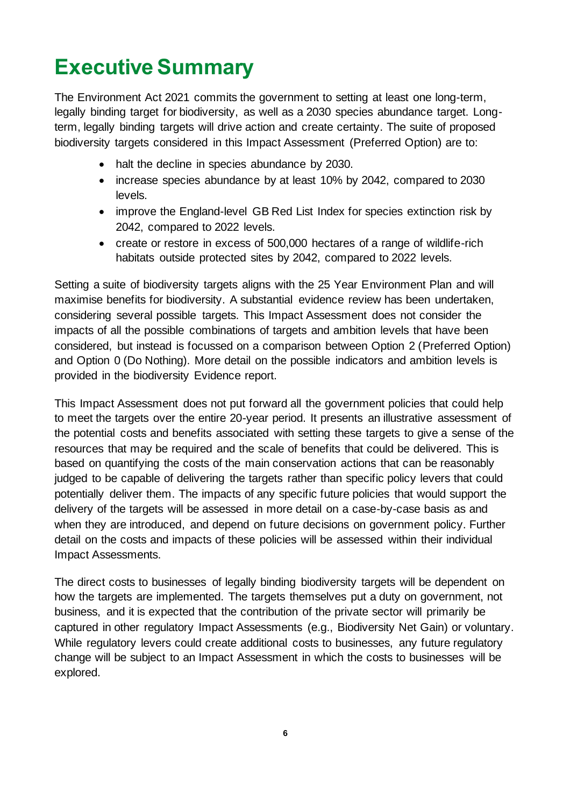# <span id="page-5-0"></span>**Executive Summary**

The Environment Act 2021 commits the government to setting at least one long-term, legally binding target for biodiversity, as well as a 2030 species abundance target. Longterm, legally binding targets will drive action and create certainty. The suite of proposed biodiversity targets considered in this Impact Assessment (Preferred Option) are to:

- halt the decline in species abundance by 2030.
- increase species abundance by at least 10% by 2042, compared to 2030 levels.
- improve the England-level GB Red List Index for species extinction risk by 2042, compared to 2022 levels.
- create or restore in excess of 500,000 hectares of a range of wildlife-rich habitats outside protected sites by 2042, compared to 2022 levels.

Setting a suite of biodiversity targets aligns with the 25 Year Environment Plan and will maximise benefits for biodiversity. A substantial evidence review has been undertaken, considering several possible targets. This Impact Assessment does not consider the impacts of all the possible combinations of targets and ambition levels that have been considered, but instead is focussed on a comparison between Option 2 (Preferred Option) and Option 0 (Do Nothing). More detail on the possible indicators and ambition levels is provided in the biodiversity Evidence report.

This Impact Assessment does not put forward all the government policies that could help to meet the targets over the entire 20-year period. It presents an illustrative assessment of the potential costs and benefits associated with setting these targets to give a sense of the resources that may be required and the scale of benefits that could be delivered. This is based on quantifying the costs of the main conservation actions that can be reasonably judged to be capable of delivering the targets rather than specific policy levers that could potentially deliver them. The impacts of any specific future policies that would support the delivery of the targets will be assessed in more detail on a case-by-case basis as and when they are introduced, and depend on future decisions on government policy. Further detail on the costs and impacts of these policies will be assessed within their individual Impact Assessments.

The direct costs to businesses of legally binding biodiversity targets will be dependent on how the targets are implemented. The targets themselves put a duty on government, not business, and it is expected that the contribution of the private sector will primarily be captured in other regulatory Impact Assessments (e.g., Biodiversity Net Gain) or voluntary. While regulatory levers could create additional costs to businesses, any future regulatory change will be subject to an Impact Assessment in which the costs to businesses will be explored.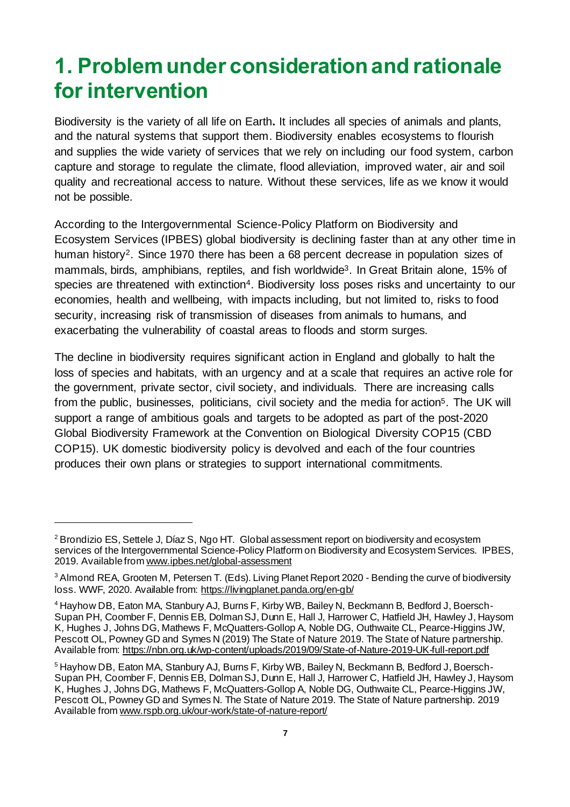# <span id="page-6-0"></span>**1. Problem under consideration and rationale for intervention**

Biodiversity is the [variety of all life on Earth](https://www.gov.uk/government/statistics/biodiversity-indicators-for-the-uk)**.** It includes all species of animals and plants, and the natural systems that support them. Biodiversity enables ecosystems to flourish and supplies the wide variety of services that we rely on including our food system, carbon capture and storage to regulate the climate, flood alleviation, improved water, air and soil quality and recreational access to nature. Without these services, life as we know it would not be possible.

[According to the Intergovernmental Science-Policy Platform on Biodiversity and](https://ipbes.net/sites/default/files/2020-02/ipbes_global_assessment_report_summary_for_policymakers_en.pdf)  [Ecosystem Services \(IPBES\)](https://ipbes.net/sites/default/files/2020-02/ipbes_global_assessment_report_summary_for_policymakers_en.pdf) global biodiversity is declining faster than at any other time in human history<sup>2</sup>. Since 1970 there has been a 68 percent decrease in population sizes of mammals, birds, amphibians, reptiles, and fish worldwide<sup>3</sup>. In Great Britain alone, 15% of species are threatened with extinction<sup>4</sup>. Biodiversity loss poses risks and uncertainty to our economies, health and wellbeing, with impacts including, but not limited to, risks to food security, increasing risk of transmission of diseases from animals to humans, and exacerbating the vulnerability of coastal areas to floods and storm surges.

The decline in biodiversity requires significant action in England and globally to halt the loss of species and habitats, with an urgency and at a scale that requires an active role for the government, private sector, civil society, and individuals. There are increasing calls from the public, businesses, politicians, civil society and the media for action<sup>5</sup>. The UK will support a range of ambitious goals and targets to be adopted as part of the post-2020 Global Biodiversity Framework at the Convention on Biological Diversity COP15 (CBD COP15). UK domestic biodiversity policy is devolved and each of the four countries produces their own plans or strategies to support international commitments.

<sup>2</sup> Brondizio ES, Settele J, Díaz S, Ngo HT. Global assessment report on biodiversity and ecosystem services of the Intergovernmental Science-Policy Platform on Biodiversity and Ecosystem Services. IPBES, 2019. Available from www.ipbes.net/global-assessment

<sup>&</sup>lt;sup>3</sup> Almond REA, Grooten M, Petersen T. (Eds). Living Planet Report 2020 - Bending the curve of biodiversity loss. WWF, 2020. Available from: https://livingplanet.panda.org/en-gb/

<sup>4</sup> Hayhow DB, Eaton MA, Stanbury AJ, Burns F, Kirby WB, Bailey N, Beckmann B, Bedford J, Boersch-Supan PH, Coomber F, Dennis EB, Dolman SJ, Dunn E, Hall J, Harrower C, Hatfield JH, Hawley J, Haysom K, Hughes J, Johns DG, Mathews F, McQuatters-Gollop A, Noble DG, Outhwaite CL, Pearce-Higgins JW, Pescott OL, Powney GD and Symes N (2019) The State of Nature 2019. The State of Nature partnership. Available fro[m: https://nbn.org.uk/wp-content/uploads/2019/09/State-of-Nature-2019-UK-full-report.pdf](https://nbn.org.uk/wp-content/uploads/2019/09/State-of-Nature-2019-UK-full-report.pdf)

<sup>&</sup>lt;sup>5</sup> Hayhow DB, Eaton MA, Stanbury AJ, Burns F, Kirby WB, Bailey N, Beckmann B, Bedford J, Boersch-Supan PH, Coomber F, Dennis EB, Dolman SJ, Dunn E, Hall J, Harrower C, Hatfield JH, Hawley J, Haysom K, Hughes J, Johns DG, Mathews F, McQuatters-Gollop A, Noble DG, Outhwaite CL, Pearce-Higgins JW, Pescott OL, Powney GD and Symes N. The State of Nature 2019. The State of Nature partnership. 2019 Available fro[m www.rspb.org.uk/our-work/state-of-nature-report/](https://www.rspb.org.uk/our-work/state-of-nature-report/)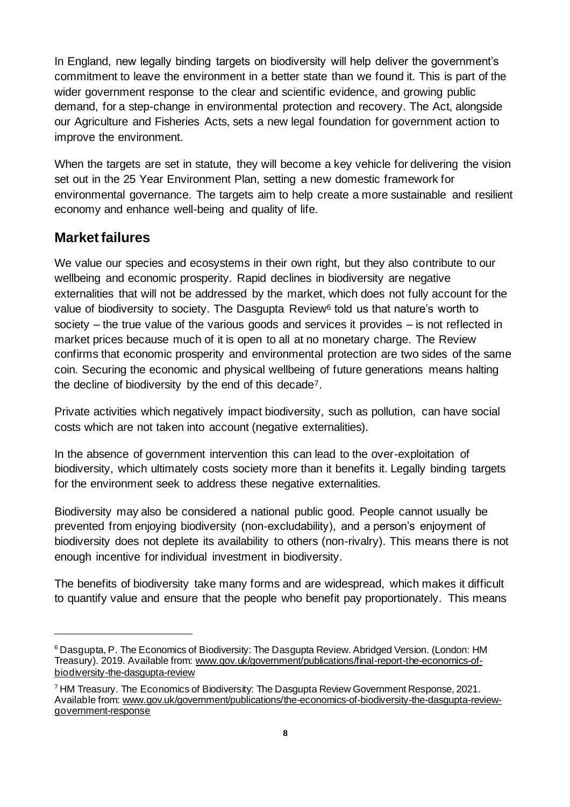In England, new legally binding targets on biodiversity will help deliver the government's commitment to leave the environment in a better state than we found it. This is part of the wider government response to the clear and scientific evidence, and growing public demand, for a step-change in environmental protection and recovery. The Act, alongside our Agriculture and Fisheries Acts, sets a new legal foundation for government action to improve the environment.

When the targets are set in statute, they will become a key vehicle for delivering the vision set out in the 25 Year Environment Plan, setting a new domestic framework for environmental governance. The targets aim to help create a more sustainable and resilient economy and enhance well-being and quality of life.

#### **Market failures**

We value our species and ecosystems in their own right, but they also contribute to our wellbeing and economic prosperity. Rapid declines in biodiversity are negative externalities that will not be addressed by the market, which does not fully account for the value of biodiversity to society. The Dasqupta Review<sup>6</sup> told us that nature's worth to society – the true value of the various goods and services it provides – is not reflected in market prices because much of it is open to all at no monetary charge. The Review confirms that economic prosperity and environmental protection are two sides of the same coin. Securing the economic and physical wellbeing of future generations means halting the decline of biodiversity by the end of this decade7.

Private activities which negatively impact biodiversity, such as pollution, can have social costs which are not taken into account (negative externalities).

In the absence of government intervention this can lead to the over-exploitation of biodiversity, which ultimately costs society more than it benefits it. Legally binding targets for the environment seek to address these negative externalities.

Biodiversity may also be considered a national public good. People cannot usually be prevented from enjoying biodiversity (non-excludability), and a person's enjoyment of biodiversity does not deplete its availability to others (non-rivalry). This means there is not enough incentive for individual investment in biodiversity.

The benefits of biodiversity take many forms and are widespread, which makes it difficult to quantify value and ensure that the people who benefit pay proportionately. This means

<sup>&</sup>lt;sup>6</sup> Dasgupta, P. The Economics of Biodiversity: The Dasgupta Review. Abridged Version. (London: HM Treasury). 2019. Available from[: www.gov.uk/government/publications/final-report-the-economics-of](https://www.gov.uk/government/publications/final-report-the-economics-of-biodiversity-the-dasgupta-review)[biodiversity-the-dasgupta-review](https://www.gov.uk/government/publications/final-report-the-economics-of-biodiversity-the-dasgupta-review)

<sup>7</sup> HM Treasury. The Economics of Biodiversity: The Dasgupta Review Government Response, 2021. Available fro[m: www.gov.uk/government/publications/the-economics-of-biodiversity-the-dasgupta-review](https://www.gov.uk/government/publications/the-economics-of-biodiversity-the-dasgupta-review-government-response)[government-response](https://www.gov.uk/government/publications/the-economics-of-biodiversity-the-dasgupta-review-government-response)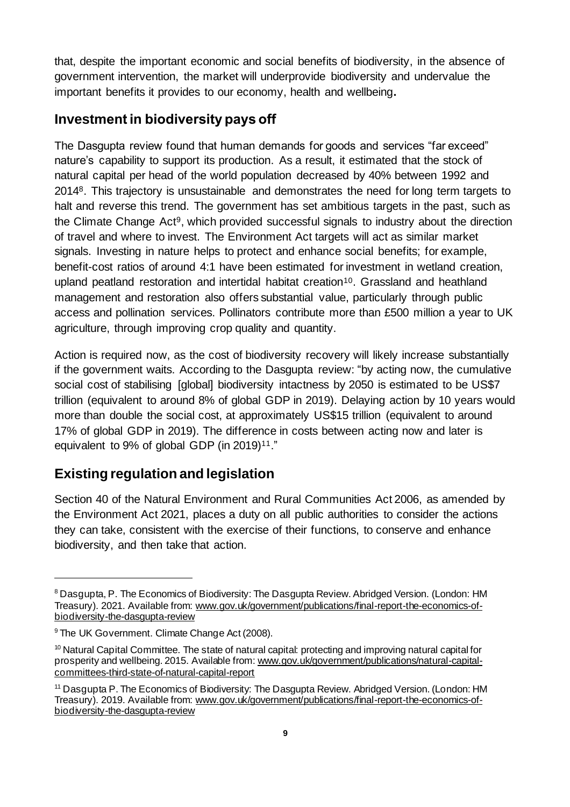that, despite the important economic and social benefits of biodiversity, in the absence of government intervention, the market will underprovide biodiversity and undervalue the important benefits it provides to our economy, health and wellbeing**.** 

#### **Investmentin biodiversity pays off**

The Dasgupta review found that human demands for goods and services "far exceed" nature's capability to support its production. As a result, it estimated that the stock of natural capital per head of the world population decreased by 40% between 1992 and 20148. This trajectory is unsustainable and demonstrates the need for long term targets to halt and reverse this trend. The government has set ambitious targets in the past, such as the Climate Change Act9, which provided successful signals to industry about the direction of travel and where to invest. The Environment Act targets will act as similar market signals. Investing in nature helps to protect and enhance social benefits; for example, benefit-cost ratios of around 4:1 have been estimated for investment in wetland creation, upland peatland restoration and intertidal habitat creation<sup>10</sup>. Grassland and heathland management and restoration also offers substantial value, particularly through public access and pollination services. Pollinators contribute more than £500 million a year to UK agriculture, through improving crop quality and quantity.

Action is required now, as the cost of biodiversity recovery will likely increase substantially if the government waits. According to the Dasgupta review: "by acting now, the cumulative social cost of stabilising [global] biodiversity intactness by 2050 is estimated to be US\$7 trillion (equivalent to around 8% of global GDP in 2019). Delaying action by 10 years would more than double the social cost, at approximately US\$15 trillion (equivalent to around 17% of global GDP in 2019). The difference in costs between acting now and later is equivalent to 9% of global GDP (in 2019)<sup>11</sup>."

### **Existing regulation and legislation**

Section 40 of the Natural Environment and Rural Communities Act 2006, as amended by the Environment Act 2021, places a duty on all public authorities to consider the actions they can take, consistent with the exercise of their functions, to conserve and enhance biodiversity, and then take that action.

<sup>8</sup> Dasgupta, P. The Economics of Biodiversity: The Dasgupta Review. Abridged Version. (London: HM Treasury). 2021. Available from[: www.gov.uk/government/publications/final-report-the-economics-of](https://www.gov.uk/government/publications/final-report-the-economics-of-biodiversity-the-dasgupta-review)[biodiversity-the-dasgupta-review](https://www.gov.uk/government/publications/final-report-the-economics-of-biodiversity-the-dasgupta-review)

<sup>&</sup>lt;sup>9</sup> The UK Government. Climate Change Act (2008).

 $10$  Natural Capital Committee. The state of natural capital: protecting and improving natural capital for prosperity and wellbeing. 2015. Available from[: www.gov.uk/government/publications/natural-capital](https://www.gov.uk/government/publications/natural-capital-committees-third-state-of-natural-capital-report)[committees-third-state-of-natural-capital-report](https://www.gov.uk/government/publications/natural-capital-committees-third-state-of-natural-capital-report)

<sup>&</sup>lt;sup>11</sup> Dasgupta P. The Economics of Biodiversity: The Dasgupta Review. Abridged Version. (London: HM Treasury). 2019. Available from[: www.gov.uk/government/publications/final-report-the-economics-of](https://www.gov.uk/government/publications/final-report-the-economics-of-biodiversity-the-dasgupta-review)[biodiversity-the-dasgupta-review](https://www.gov.uk/government/publications/final-report-the-economics-of-biodiversity-the-dasgupta-review)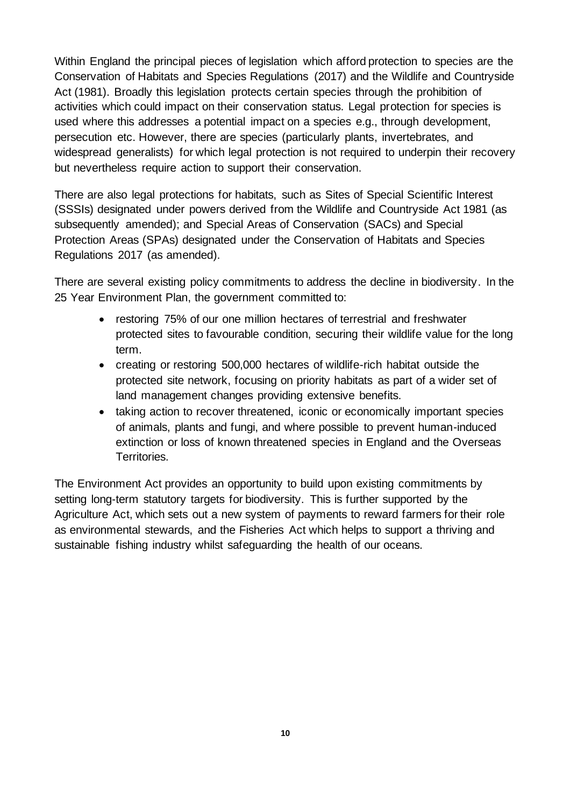Within England the principal pieces of legislation which afford protection to species are the Conservation of Habitats and Species Regulations (2017) and the Wildlife and Countryside Act (1981). Broadly this legislation protects certain species through the prohibition of activities which could impact on their conservation status. Legal protection for species is used where this addresses a potential impact on a species e.g., through development, persecution etc. However, there are species (particularly plants, invertebrates, and widespread generalists) for which legal protection is not required to underpin their recovery but nevertheless require action to support their conservation.

There are also legal protections for habitats, such as Sites of Special Scientific Interest (SSSIs) designated under powers derived from the Wildlife and Countryside Act 1981 (as subsequently amended); and Special Areas of Conservation (SACs) and Special Protection Areas (SPAs) designated under the Conservation of Habitats and Species Regulations 2017 (as amended).

There are several existing policy commitments to address the decline in biodiversity. In the 25 Year Environment Plan, the government committed to:

- restoring 75% of our one million hectares of terrestrial and freshwater protected sites to favourable condition, securing their wildlife value for the long term.
- creating or restoring 500,000 hectares of wildlife-rich habitat outside the protected site network, focusing on priority habitats as part of a wider set of land management changes providing extensive benefits.
- taking action to recover threatened, iconic or economically important species of animals, plants and fungi, and where possible to prevent human-induced extinction or loss of known threatened species in England and the Overseas Territories.

The Environment Act provides an opportunity to build upon existing commitments by setting long-term statutory targets for biodiversity. This is further supported by the Agriculture Act, which sets out a new system of payments to reward farmers for their role as environmental stewards, and the Fisheries Act which helps to support a thriving and sustainable fishing industry whilst safeguarding the health of our oceans.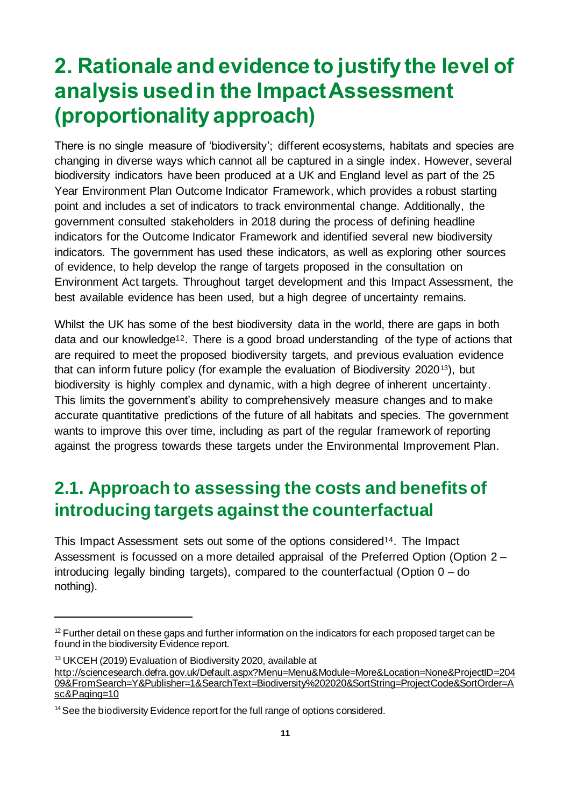# <span id="page-10-0"></span>**2. Rationale and evidence to justify the level of analysis used in the Impact Assessment (proportionality approach)**

There is no single measure of 'biodiversity'; different ecosystems, habitats and species are changing in diverse ways which cannot all be captured in a single index. However, several biodiversity indicators have been produced at a UK and England level as part of the 25 Year Environment Plan Outcome Indicator Framework, which provides a robust starting point and includes a set of indicators to track environmental change. Additionally, the government consulted stakeholders in 2018 during the process of defining headline indicators for the Outcome Indicator Framework and identified several new biodiversity indicators. The government has used these indicators, as well as exploring other sources of evidence, to help develop the range of targets proposed in the consultation on Environment Act targets. Throughout target development and this Impact Assessment, the best available evidence has been used, but a high degree of uncertainty remains.

Whilst the UK has some of the best biodiversity data in the world, there are gaps in both data and our knowledge<sup>12</sup>. There is a good broad understanding of the type of actions that are required to meet the proposed biodiversity targets, and previous evaluation evidence that can inform future policy (for example the evaluation of Biodiversity 202013), but biodiversity is highly complex and dynamic, with a high degree of inherent uncertainty. This limits the government's ability to comprehensively measure changes and to make accurate quantitative predictions of the future of all habitats and species. The government wants to improve this over time, including as part of the regular framework of reporting against the progress towards these targets under the Environmental Improvement Plan.

### <span id="page-10-1"></span>**2.1. Approach to assessing the costs and benefits of introducing targets against the counterfactual**

This Impact Assessment sets out some of the options considered<sup>14</sup>. The Impact Assessment is focussed on a more detailed appraisal of the Preferred Option (Option 2 – introducing legally binding targets), compared to the counterfactual (Option 0 – do nothing).

 $12$  Further detail on these gaps and further information on the indicators for each proposed target can be found in the biodiversity Evidence report.

<sup>&</sup>lt;sup>13</sup> UKCEH (2019) Evaluation of Biodiversity 2020, available at [http://sciencesearch.defra.gov.uk/Default.aspx?Menu=Menu&Module=More&Location=None&ProjectID=204](http://sciencesearch.defra.gov.uk/Default.aspx?Menu=Menu&Module=More&Location=None&ProjectID=20409&FromSearch=Y&Publisher=1&SearchText=Biodiversity%202020&SortString=ProjectCode&SortOrder=Asc&Paging=10) [09&FromSearch=Y&Publisher=1&SearchText=Biodiversity%202020&SortString=ProjectCode&SortOrder=A](http://sciencesearch.defra.gov.uk/Default.aspx?Menu=Menu&Module=More&Location=None&ProjectID=20409&FromSearch=Y&Publisher=1&SearchText=Biodiversity%202020&SortString=ProjectCode&SortOrder=Asc&Paging=10) [sc&Paging=10](http://sciencesearch.defra.gov.uk/Default.aspx?Menu=Menu&Module=More&Location=None&ProjectID=20409&FromSearch=Y&Publisher=1&SearchText=Biodiversity%202020&SortString=ProjectCode&SortOrder=Asc&Paging=10)

<sup>&</sup>lt;sup>14</sup> See the biodiversity Evidence report for the full range of options considered.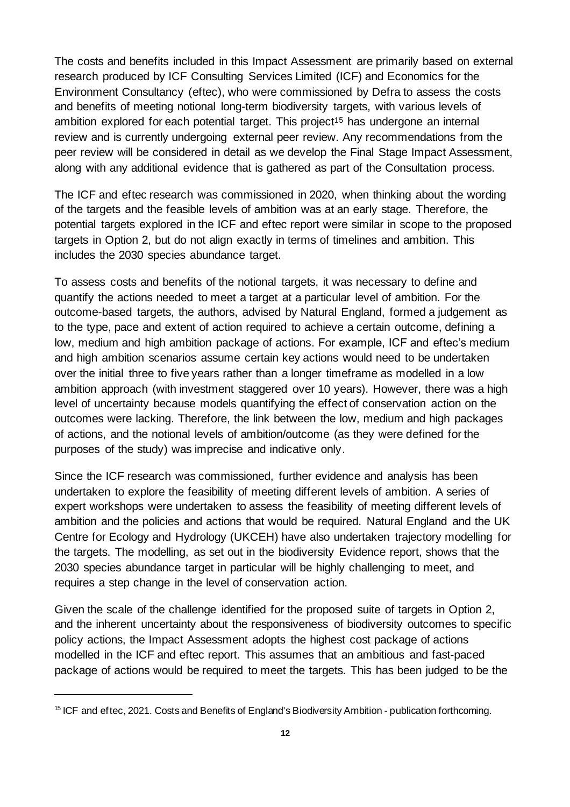The costs and benefits included in this Impact Assessment are primarily based on external research produced by ICF Consulting Services Limited (ICF) and Economics for the Environment Consultancy (eftec), who were commissioned by Defra to assess the costs and benefits of meeting notional long-term biodiversity targets, with various levels of ambition explored for each potential target. This project<sup>15</sup> has undergone an internal review and is currently undergoing external peer review. Any recommendations from the peer review will be considered in detail as we develop the Final Stage Impact Assessment, along with any additional evidence that is gathered as part of the Consultation process.

The ICF and eftec research was commissioned in 2020, when thinking about the wording of the targets and the feasible levels of ambition was at an early stage. Therefore, the potential targets explored in the ICF and eftec report were similar in scope to the proposed targets in Option 2, but do not align exactly in terms of timelines and ambition. This includes the 2030 species abundance target.

To assess costs and benefits of the notional targets, it was necessary to define and quantify the actions needed to meet a target at a particular level of ambition. For the outcome-based targets, the authors, advised by Natural England, formed a judgement as to the type, pace and extent of action required to achieve a certain outcome, defining a low, medium and high ambition package of actions. For example, ICF and eftec's medium and high ambition scenarios assume certain key actions would need to be undertaken over the initial three to five years rather than a longer timeframe as modelled in a low ambition approach (with investment staggered over 10 years). However, there was a high level of uncertainty because models quantifying the effect of conservation action on the outcomes were lacking. Therefore, the link between the low, medium and high packages of actions, and the notional levels of ambition/outcome (as they were defined for the purposes of the study) was imprecise and indicative only.

Since the ICF research was commissioned, further evidence and analysis has been undertaken to explore the feasibility of meeting different levels of ambition. A series of expert workshops were undertaken to assess the feasibility of meeting different levels of ambition and the policies and actions that would be required. Natural England and the UK Centre for Ecology and Hydrology (UKCEH) have also undertaken trajectory modelling for the targets. The modelling, as set out in the biodiversity Evidence report, shows that the 2030 species abundance target in particular will be highly challenging to meet, and requires a step change in the level of conservation action.

Given the scale of the challenge identified for the proposed suite of targets in Option 2, and the inherent uncertainty about the responsiveness of biodiversity outcomes to specific policy actions, the Impact Assessment adopts the highest cost package of actions modelled in the ICF and eftec report. This assumes that an ambitious and fast-paced package of actions would be required to meet the targets. This has been judged to be the

<sup>&</sup>lt;sup>15</sup> ICF and eftec, 2021. Costs and Benefits of England's Biodiversity Ambition - publication forthcoming.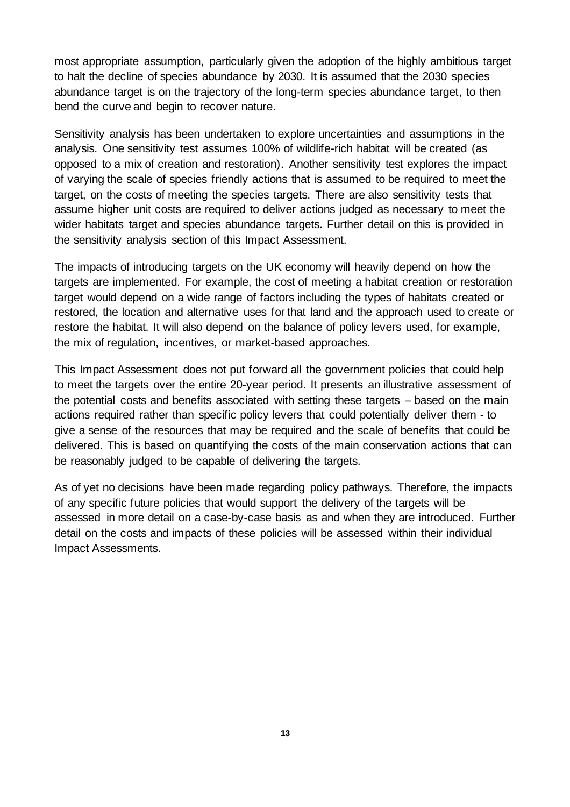most appropriate assumption, particularly given the adoption of the highly ambitious target to halt the decline of species abundance by 2030. It is assumed that the 2030 species abundance target is on the trajectory of the long-term species abundance target, to then bend the curve and begin to recover nature.

Sensitivity analysis has been undertaken to explore uncertainties and assumptions in the analysis. One sensitivity test assumes 100% of wildlife-rich habitat will be created (as opposed to a mix of creation and restoration). Another sensitivity test explores the impact of varying the scale of species friendly actions that is assumed to be required to meet the target, on the costs of meeting the species targets. There are also sensitivity tests that assume higher unit costs are required to deliver actions judged as necessary to meet the wider habitats target and species abundance targets. Further detail on this is provided in the sensitivity analysis section of this Impact Assessment.

The impacts of introducing targets on the UK economy will heavily depend on how the targets are implemented. For example, the cost of meeting a habitat creation or restoration target would depend on a wide range of factors including the types of habitats created or restored, the location and alternative uses for that land and the approach used to create or restore the habitat. It will also depend on the balance of policy levers used, for example, the mix of regulation, incentives, or market-based approaches.

This Impact Assessment does not put forward all the government policies that could help to meet the targets over the entire 20-year period. It presents an illustrative assessment of the potential costs and benefits associated with setting these targets – based on the main actions required rather than specific policy levers that could potentially deliver them - to give a sense of the resources that may be required and the scale of benefits that could be delivered. This is based on quantifying the costs of the main conservation actions that can be reasonably judged to be capable of delivering the targets.

As of yet no decisions have been made regarding policy pathways. Therefore, the impacts of any specific future policies that would support the delivery of the targets will be assessed in more detail on a case-by-case basis as and when they are introduced. Further detail on the costs and impacts of these policies will be assessed within their individual Impact Assessments.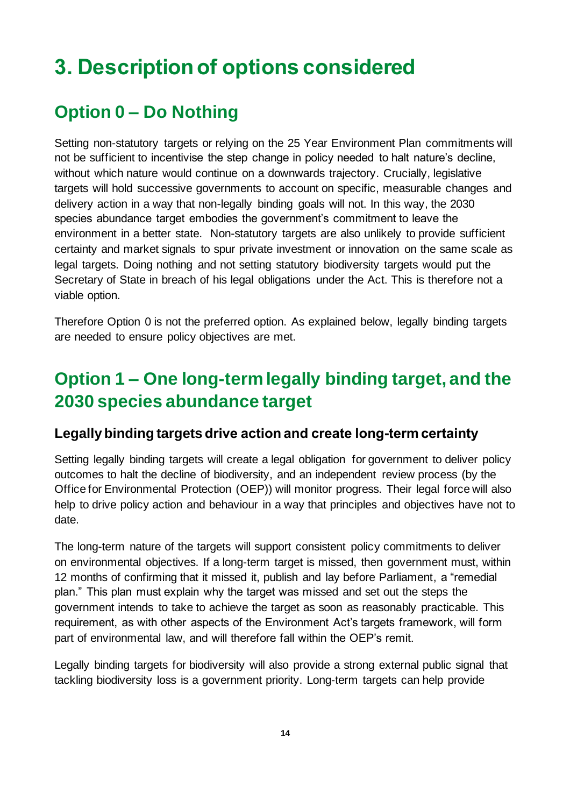# <span id="page-13-0"></span>**3. Description of options considered**

### <span id="page-13-1"></span>**Option 0 – Do Nothing**

Setting non-statutory targets or relying on the 25 Year Environment Plan commitments will not be sufficient to incentivise the step change in policy needed to halt nature's decline, without which nature would continue on a downwards trajectory. Crucially, legislative targets will hold successive governments to account on specific, measurable changes and delivery action in a way that non-legally binding goals will not. In this way, the 2030 species abundance target embodies the government's commitment to leave the environment in a better state. Non-statutory targets are also unlikely to provide sufficient certainty and market signals to spur private investment or innovation on the same scale as legal targets. Doing nothing and not setting statutory biodiversity targets would put the Secretary of State in breach of his legal obligations under the Act. This is therefore not a viable option.

Therefore Option 0 is not the preferred option. As explained below, legally binding targets are needed to ensure policy objectives are met.

### <span id="page-13-2"></span>**Option 1 – One long-term legally binding target, and the 2030 species abundance target**

#### **Legally binding targets drive action and create long-term certainty**

Setting legally binding targets will create a legal obligation for government to deliver policy outcomes to halt the decline of biodiversity, and an independent review process (by the Office for Environmental Protection (OEP)) will monitor progress. Their legal force will also help to drive policy action and behaviour in a way that principles and objectives have not to date.

The long-term nature of the targets will support consistent policy commitments to deliver on environmental objectives. If a long-term target is missed, then government must, within 12 months of confirming that it missed it, publish and lay before Parliament, a "remedial plan." This plan must explain why the target was missed and set out the steps the government intends to take to achieve the target as soon as reasonably practicable. This requirement, as with other aspects of the Environment Act's targets framework, will form part of environmental law, and will therefore fall within the OEP's remit.

Legally binding targets for biodiversity will also provide a strong external public signal that tackling biodiversity loss is a government priority. Long-term targets can help provide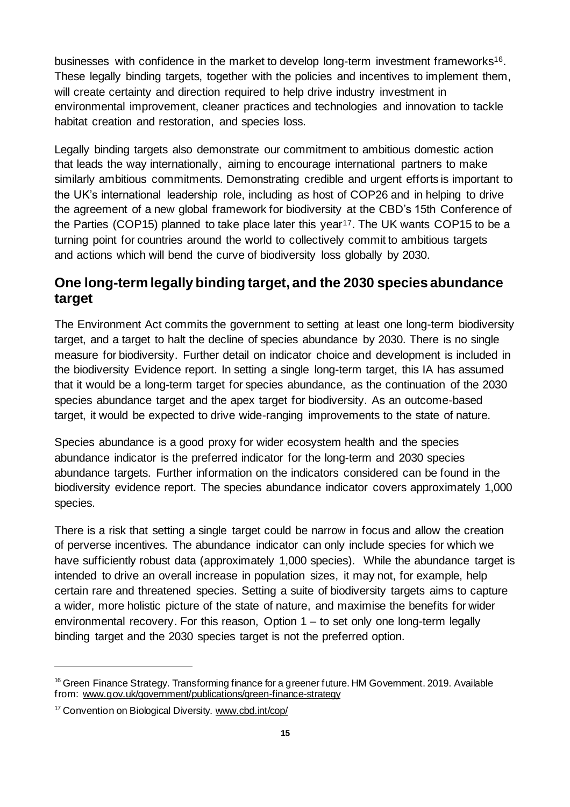businesses with confidence in the market to develop long-term investment frameworks<sup>16</sup>. These legally binding targets, together with the policies and incentives to implement them, will create certainty and direction required to help drive industry investment in environmental improvement, cleaner practices and technologies and innovation to tackle habitat creation and restoration, and species loss.

Legally binding targets also demonstrate our commitment to ambitious domestic action that leads the way internationally, aiming to encourage international partners to make similarly ambitious commitments. Demonstrating credible and urgent efforts is important to the UK's international leadership role, including as host of COP26 and in helping to drive the agreement of a new global framework for biodiversity at the CBD's 15th Conference of the Parties (COP15) planned to take place later this year<sup>17</sup>. The UK wants COP15 to be a turning point for countries around the world to collectively commit to ambitious targets and actions which will bend the curve of biodiversity loss globally by 2030.

#### **One long-term legally binding target, and the 2030 species abundance target**

The Environment Act commits the government to setting at least one long-term biodiversity target, and a target to halt the decline of species abundance by 2030. There is no single measure for biodiversity. Further detail on indicator choice and development is included in the biodiversity Evidence report. In setting a single long-term target, this IA has assumed that it would be a long-term target for species abundance, as the continuation of the 2030 species abundance target and the apex target for biodiversity. As an outcome-based target, it would be expected to drive wide-ranging improvements to the state of nature.

Species abundance is a good proxy for wider ecosystem health and the species abundance indicator is the preferred indicator for the long-term and 2030 species abundance targets. Further information on the indicators considered can be found in the biodiversity evidence report. The species abundance indicator covers approximately 1,000 species.

There is a risk that setting a single target could be narrow in focus and allow the creation of perverse incentives. The abundance indicator can only include species for which we have sufficiently robust data (approximately 1,000 species). While the abundance target is intended to drive an overall increase in population sizes, it may not, for example, help certain rare and threatened species. Setting a suite of biodiversity targets aims to capture a wider, more holistic picture of the state of nature, and maximise the benefits for wider environmental recovery. For this reason, Option 1 – to set only one long-term legally binding target and the 2030 species target is not the preferred option.

<sup>&</sup>lt;sup>16</sup> Green Finance Strategy. Transforming finance for a greener future. HM Government. 2019. Available from: [www.gov.uk/government/publications/green-finance-strategy](https://www.gov.uk/government/publications/green-finance-strategy)

<sup>&</sup>lt;sup>17</sup> Convention on Biological Diversity[. www.cbd.int/cop/](https://www.cbd.int/cop/)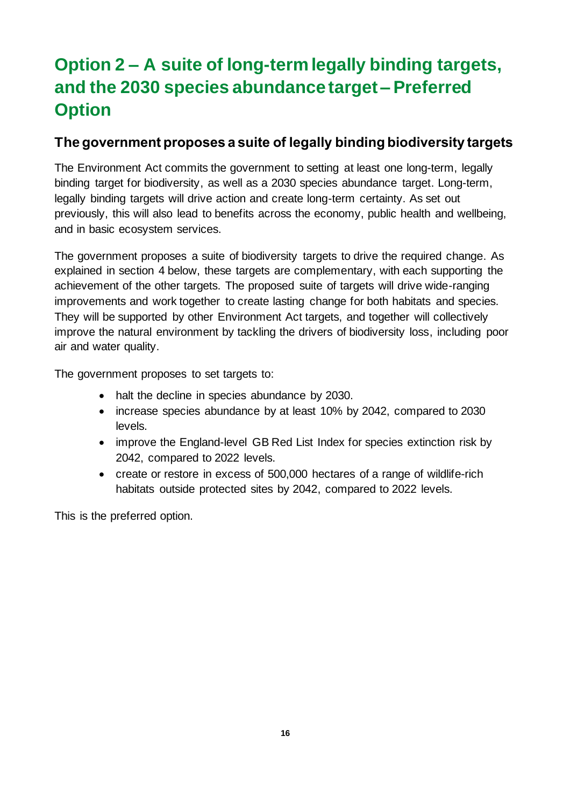### <span id="page-15-0"></span>**Option 2 – A suite of long-term legally binding targets, and the 2030 species abundance target – Preferred Option**

#### **The government proposes a suite of legally binding biodiversity targets**

The Environment Act commits the government to setting at least one long-term, legally binding target for biodiversity, as well as a 2030 species abundance target. Long-term, legally binding targets will drive action and create long-term certainty. As set out previously, this will also lead to benefits across the economy, public health and wellbeing, and in basic ecosystem services.

The government proposes a suite of biodiversity targets to drive the required change. As explained in section 4 below, these targets are complementary, with each supporting the achievement of the other targets. The proposed suite of targets will drive wide-ranging improvements and work together to create lasting change for both habitats and species. They will be supported by other Environment Act targets, and together will collectively improve the natural environment by tackling the drivers of biodiversity loss, including poor air and water quality.

The government proposes to set targets to:

- halt the decline in species abundance by 2030.
- increase species abundance by at least 10% by 2042, compared to 2030 levels.
- improve the England-level GB Red List Index for species extinction risk by 2042, compared to 2022 levels.
- create or restore in excess of 500,000 hectares of a range of wildlife-rich habitats outside protected sites by 2042, compared to 2022 levels.

This is the preferred option.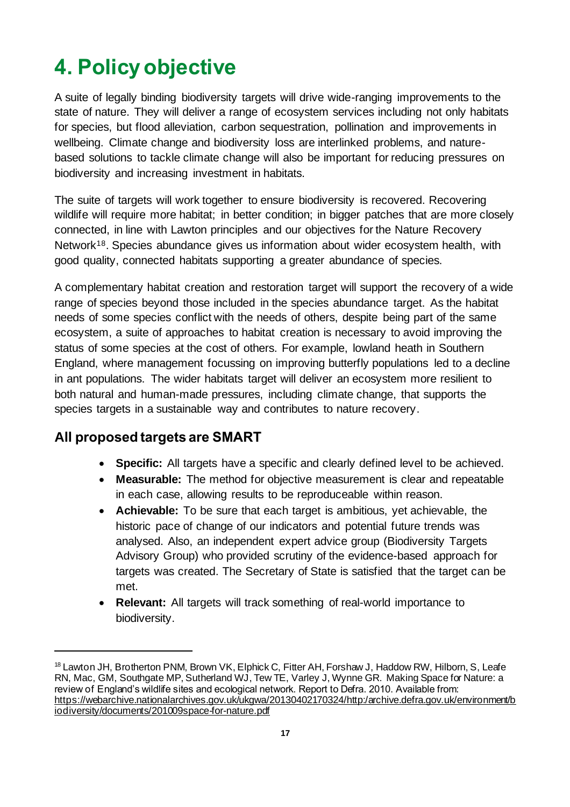# <span id="page-16-0"></span>**4. Policy objective**

A suite of legally binding biodiversity targets will drive wide-ranging improvements to the state of nature. They will deliver a range of ecosystem services including not only habitats for species, but flood alleviation, carbon sequestration, pollination and improvements in wellbeing. Climate change and biodiversity loss are interlinked problems, and naturebased solutions to tackle climate change will also be important for reducing pressures on biodiversity and increasing investment in habitats.

The suite of targets will work together to ensure biodiversity is recovered. Recovering wildlife will require more habitat; in better condition; in bigger patches that are more closely connected, in line with Lawton principles and our objectives for the Nature Recovery Network18. Species abundance gives us information about wider ecosystem health, with good quality, connected habitats supporting a greater abundance of species.

A complementary habitat creation and restoration target will support the recovery of a wide range of species beyond those included in the species abundance target. As the habitat needs of some species conflict with the needs of others, despite being part of the same ecosystem, a suite of approaches to habitat creation is necessary to avoid improving the status of some species at the cost of others. For example, lowland heath in Southern England, where management focussing on improving butterfly populations led to a decline in ant populations. The wider habitats target will deliver an ecosystem more resilient to both natural and human-made pressures, including climate change, that supports the species targets in a sustainable way and contributes to nature recovery.

#### **All proposed targets are SMART**

- **Specific:** All targets have a specific and clearly defined level to be achieved.
- **Measurable:** The method for objective measurement is clear and repeatable in each case, allowing results to be reproduceable within reason.
- **Achievable:** To be sure that each target is ambitious, yet achievable, the historic pace of change of our indicators and potential future trends was analysed. Also, an independent expert advice group (Biodiversity Targets Advisory Group) who provided scrutiny of the evidence-based approach for targets was created. The Secretary of State is satisfied that the target can be met.
- **Relevant:** All targets will track something of real-world importance to biodiversity.

<sup>&</sup>lt;sup>18</sup> Lawton JH, Brotherton PNM, Brown VK, Elphick C, Fitter AH, Forshaw J, Haddow RW, Hilborn, S, Leafe RN, Mac, GM, Southgate MP, Sutherland WJ, Tew TE, Varley J, Wynne GR. Making Space for Nature: a review of England's wildlife sites and ecological network. Report to Defra. 2010. Available from: [https://webarchive.nationalarchives.gov.uk/ukgwa/20130402170324/http:/archive.defra.gov.uk/environment/b](https://webarchive.nationalarchives.gov.uk/ukgwa/20130402170324/http:/archive.defra.gov.uk/environment/biodiversity/documents/201009space-for-nature.pdf) [iodiversity/documents/201009space-for-nature.pdf](https://webarchive.nationalarchives.gov.uk/ukgwa/20130402170324/http:/archive.defra.gov.uk/environment/biodiversity/documents/201009space-for-nature.pdf)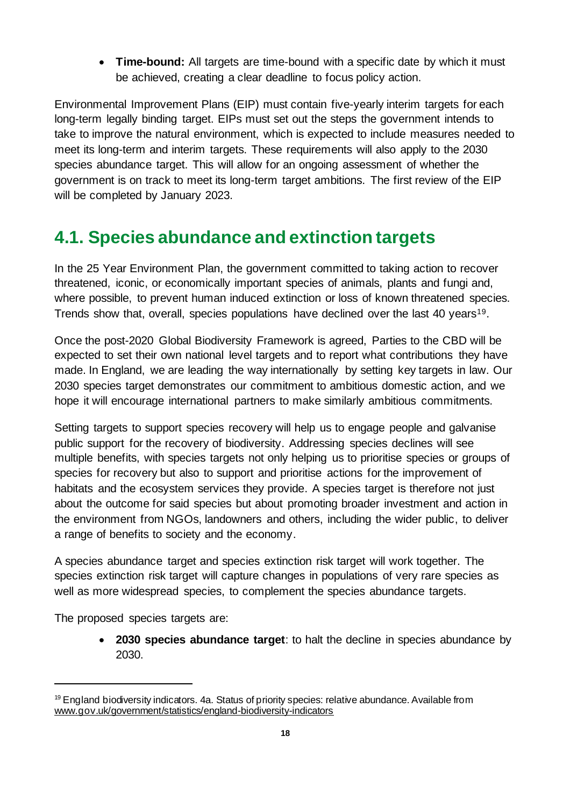• **Time-bound:** All targets are time-bound with a specific date by which it must be achieved, creating a clear deadline to focus policy action.

Environmental Improvement Plans (EIP) must contain five-yearly interim targets for each long-term legally binding target. EIPs must set out the steps the government intends to take to improve the natural environment, which is expected to include measures needed to meet its long-term and interim targets. These requirements will also apply to the 2030 species abundance target. This will allow for an ongoing assessment of whether the government is on track to meet its long-term target ambitions. The first review of the EIP will be completed by January 2023.

### <span id="page-17-0"></span>**4.1. Species abundance and extinction targets**

In the 25 Year Environment Plan, the government committed to taking action to recover threatened, iconic, or economically important species of animals, plants and fungi and, where possible, to prevent human induced extinction or loss of known threatened species. Trends show that, overall, species populations have declined over the last 40 years<sup>19</sup>.

Once the post-2020 Global Biodiversity Framework is agreed, Parties to the CBD will be expected to set their own national level targets and to report what contributions they have made. In England, we are leading the way internationally by setting key targets in law. Our 2030 species target demonstrates our commitment to ambitious domestic action, and we hope it will encourage international partners to make similarly ambitious commitments.

Setting targets to support species recovery will help us to engage people and galvanise public support for the recovery of biodiversity. Addressing species declines will see multiple benefits, with species targets not only helping us to prioritise species or groups of species for recovery but also to support and prioritise actions for the improvement of habitats and the ecosystem services they provide. A species target is therefore not just about the outcome for said species but about promoting broader investment and action in the environment from NGOs, landowners and others, including the wider public, to deliver a range of benefits to society and the economy.

A species abundance target and species extinction risk target will work together. The species extinction risk target will capture changes in populations of very rare species as well as more widespread species, to complement the species abundance targets.

The proposed species targets are:

• **2030 species abundance target**: to halt the decline in species abundance by 2030.

 $19$  England biodiversity indicators. 4a. Status of priority species: relative abundance. Available from [www.gov.uk/government/statistics/england-biodiversity-indicators](https://www.gov.uk/government/statistics/england-biodiversity-indicators)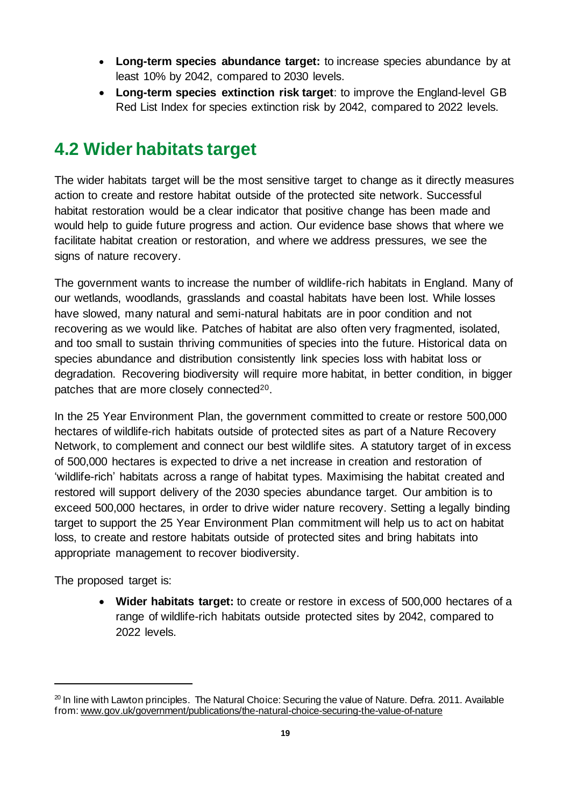- **Long-term species abundance target:** to increase species abundance by at least 10% by 2042, compared to 2030 levels.
- **Long-term species extinction risk target**: to improve the England-level GB Red List Index for species extinction risk by 2042, compared to 2022 levels.

### <span id="page-18-0"></span>**4.2 Wider habitats target**

The wider habitats target will be the most sensitive target to change as it directly measures action to create and restore habitat outside of the protected site network. Successful habitat restoration would be a clear indicator that positive change has been made and would help to guide future progress and action. Our evidence base shows that where we facilitate habitat creation or restoration, and where we address pressures, we see the signs of nature recovery.

The government wants to increase the number of wildlife-rich habitats in England. Many of our wetlands, woodlands, grasslands and coastal habitats have been lost. While losses have slowed, many natural and semi-natural habitats are in poor condition and not recovering as we would like. Patches of habitat are also often very fragmented, isolated, and too small to sustain thriving communities of species into the future. Historical data on species abundance and distribution consistently link species loss with habitat loss or degradation. Recovering biodiversity will require more habitat, in better condition, in bigger patches that are more closely connected<sup>20</sup>.

In the 25 Year Environment Plan, the government committed to create or restore 500,000 hectares of wildlife-rich habitats outside of protected sites as part of a Nature Recovery Network, to complement and connect our best wildlife sites. A statutory target of in excess of 500,000 hectares is expected to drive a net increase in creation and restoration of 'wildlife-rich' habitats across a range of habitat types. Maximising the habitat created and restored will support delivery of the 2030 species abundance target. Our ambition is to exceed 500,000 hectares, in order to drive wider nature recovery. Setting a legally binding target to support the 25 Year Environment Plan commitment will help us to act on habitat loss, to create and restore habitats outside of protected sites and bring habitats into appropriate management to recover biodiversity.

The proposed target is:

• **Wider habitats target:** to create or restore in excess of 500,000 hectares of a range of wildlife-rich habitats outside protected sites by 2042, compared to 2022 levels.

 $20$  In line with Lawton principles. The Natural Choice: Securing the value of Nature. Defra. 2011. Available from[: www.gov.uk/government/publications/the-natural-choice-securing-the-value-of-nature](http://www.gov.uk/government/publications/the-natural-choice-securing-the-value-of-nature)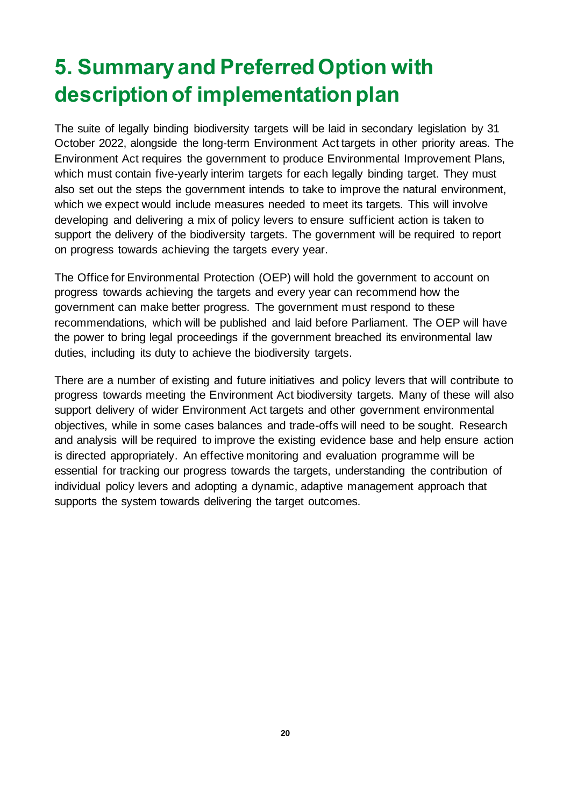# <span id="page-19-0"></span>**5. Summary and Preferred Option with description of implementation plan**

The suite of legally binding biodiversity targets will be laid in secondary legislation by 31 October 2022, alongside the long-term Environment Act targets in other priority areas. The Environment Act requires the government to produce Environmental Improvement Plans, which must contain five-yearly interim targets for each legally binding target. They must also set out the steps the government intends to take to improve the natural environment, which we expect would include measures needed to meet its targets. This will involve developing and delivering a mix of policy levers to ensure sufficient action is taken to support the delivery of the biodiversity targets. The government will be required to report on progress towards achieving the targets every year.

The Office for Environmental Protection (OEP) will hold the government to account on progress towards achieving the targets and every year can recommend how the government can make better progress. The government must respond to these recommendations, which will be published and laid before Parliament. The OEP will have the power to bring legal proceedings if the government breached its environmental law duties, including its duty to achieve the biodiversity targets.

There are a number of existing and future initiatives and policy levers that will contribute to progress towards meeting the Environment Act biodiversity targets. Many of these will also support delivery of wider Environment Act targets and other government environmental objectives, while in some cases balances and trade-offs will need to be sought. Research and analysis will be required to improve the existing evidence base and help ensure action is directed appropriately. An effective monitoring and evaluation programme will be essential for tracking our progress towards the targets, understanding the contribution of individual policy levers and adopting a dynamic, adaptive management approach that supports the system towards delivering the target outcomes.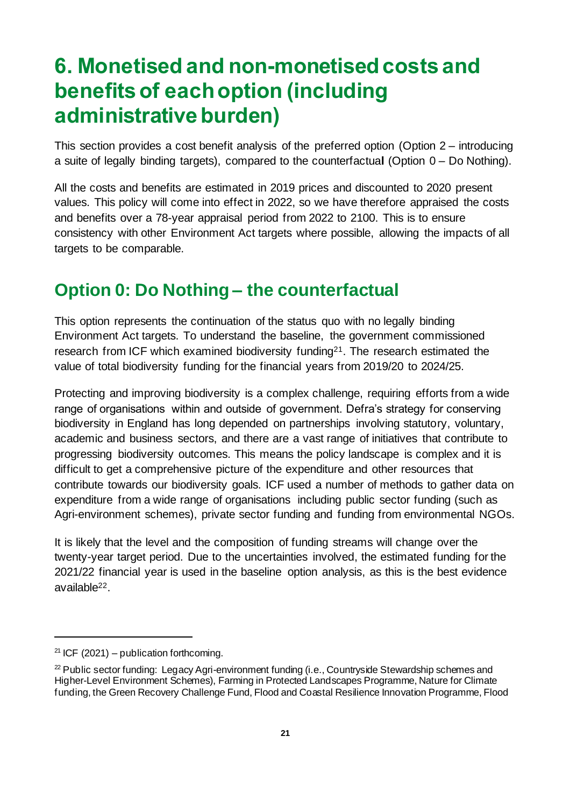## <span id="page-20-0"></span>**6. Monetised and non-monetised costs and benefits of each option (including administrative burden)**

This section provides a cost benefit analysis of the preferred option (Option 2 – introducing a suite of legally binding targets), compared to the counterfactua**l** (Option 0 – Do Nothing).

All the costs and benefits are estimated in 2019 prices and discounted to 2020 present values. This policy will come into effect in 2022, so we have therefore appraised the costs and benefits over a 78-year appraisal period from 2022 to 2100. This is to ensure consistency with other Environment Act targets where possible, allowing the impacts of all targets to be comparable.

### <span id="page-20-1"></span>**Option 0: Do Nothing – the counterfactual**

This option represents the continuation of the status quo with no legally binding Environment Act targets. To understand the baseline, the government commissioned research from ICF which examined biodiversity funding<sup>21</sup>. The research estimated the value of total biodiversity funding for the financial years from 2019/20 to 2024/25.

Protecting and improving biodiversity is a complex challenge, requiring efforts from a wide range of organisations within and outside of government. Defra's strategy for conserving biodiversity in England has long depended on partnerships involving statutory, voluntary, academic and business sectors, and there are a vast range of initiatives that contribute to progressing biodiversity outcomes. This means the policy landscape is complex and it is difficult to get a comprehensive picture of the expenditure and other resources that contribute towards our biodiversity goals. ICF used a number of methods to gather data on expenditure from a wide range of organisations including public sector funding (such as Agri-environment schemes), private sector funding and funding from environmental NGOs.

It is likely that the level and the composition of funding streams will change over the twenty-year target period. Due to the uncertainties involved, the estimated funding for the 2021/22 financial year is used in the baseline option analysis, as this is the best evidence available22.

<sup>&</sup>lt;sup>21</sup> ICF (2021) – publication forthcoming.

 $22$  Public sector funding: Legacy Agri-environment funding (i.e., Countryside Stewardship schemes and Higher-Level Environment Schemes), Farming in Protected Landscapes Programme, Nature for Climate funding, the Green Recovery Challenge Fund, Flood and Coastal Resilience Innovation Programme, Flood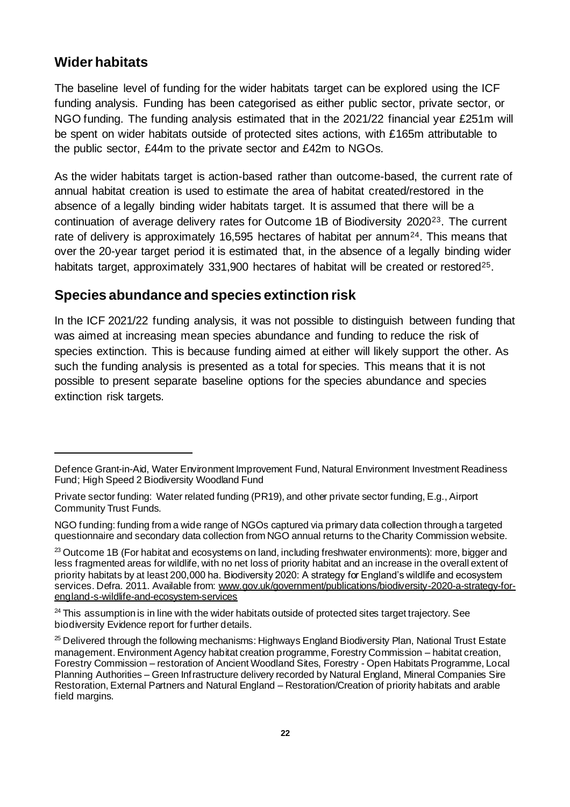#### **Wider habitats**

The baseline level of funding for the wider habitats target can be explored using the ICF funding analysis. Funding has been categorised as either public sector, private sector, or NGO funding. The funding analysis estimated that in the 2021/22 financial year £251m will be spent on wider habitats outside of protected sites actions, with £165m attributable to the public sector, £44m to the private sector and £42m to NGOs.

As the wider habitats target is action-based rather than outcome-based, the current rate of annual habitat creation is used to estimate the area of habitat created/restored in the absence of a legally binding wider habitats target. It is assumed that there will be a continuation of average delivery rates for Outcome 1B of Biodiversity 202023. The current rate of delivery is approximately 16,595 hectares of habitat per annum<sup>24</sup>. This means that over the 20-year target period it is estimated that, in the absence of a legally binding wider habitats target, approximately 331,900 hectares of habitat will be created or restored<sup>25</sup>.

#### **Species abundance and species extinction risk**

In the ICF 2021/22 funding analysis, it was not possible to distinguish between funding that was aimed at increasing mean species abundance and funding to reduce the risk of species extinction. This is because funding aimed at either will likely support the other. As such the funding analysis is presented as a total for species. This means that it is not possible to present separate baseline options for the species abundance and species extinction risk targets.

Defence Grant-in-Aid, Water Environment Improvement Fund, Natural Environment Investment Readiness Fund; High Speed 2 Biodiversity Woodland Fund

Private sector funding: Water related funding (PR19), and other private sector funding, E.g., Airport Community Trust Funds.

NGO funding: funding from a wide range of NGOs captured via primary data collection through a targeted questionnaire and secondary data collection from NGO annual returns to the Charity Commission website.

 $23$  Outcome 1B (For habitat and ecosystems on land, including freshwater environments): more, bigger and less fragmented areas for wildlife, with no net loss of priority habitat and an increase in the overall extent of priority habitats by at least 200,000 ha. Biodiversity 2020: A strategy for England's wildlife and ecosystem services. Defra. 2011. Available from[: www.gov.uk/government/publications/biodiversity-2020-a-strategy-for](https://www.gov.uk/government/publications/biodiversity-2020-a-strategy-for-england-s-wildlife-and-ecosystem-services)[england-s-wildlife-and-ecosystem-services](https://www.gov.uk/government/publications/biodiversity-2020-a-strategy-for-england-s-wildlife-and-ecosystem-services)

 $24$  This assumption is in line with the wider habitats outside of protected sites target trajectory. See biodiversity Evidence report for further details.

<sup>&</sup>lt;sup>25</sup> Delivered through the following mechanisms: Highways England Biodiversity Plan, National Trust Estate management. Environment Agency habitat creation programme, Forestry Commission – habitat creation, Forestry Commission – restoration of Ancient Woodland Sites, Forestry - Open Habitats Programme, Local Planning Authorities – Green Infrastructure delivery recorded by Natural England, Mineral Companies Sire Restoration, External Partners and Natural England – Restoration/Creation of priority habitats and arable field margins.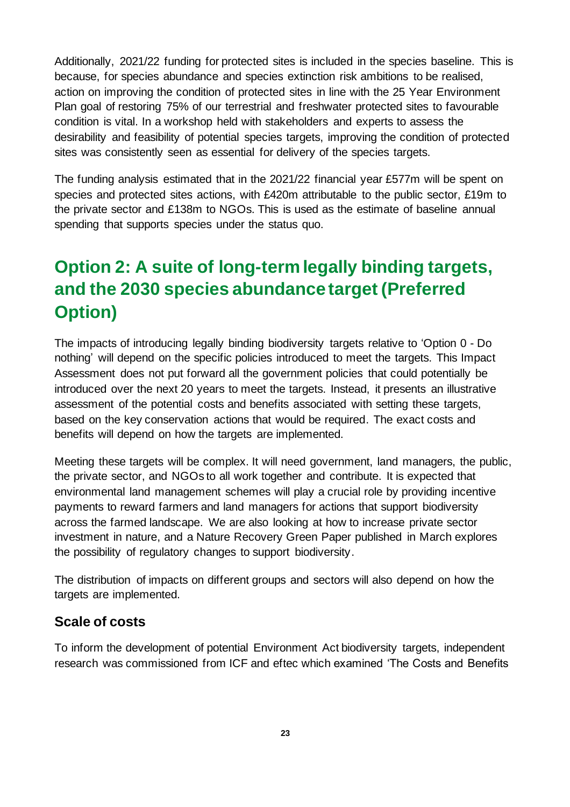Additionally, 2021/22 funding for protected sites is included in the species baseline. This is because, for species abundance and species extinction risk ambitions to be realised, action on improving the condition of protected sites in line with the 25 Year Environment Plan goal of restoring 75% of our terrestrial and freshwater protected sites to favourable condition is vital. In a workshop held with stakeholders and experts to assess the desirability and feasibility of potential species targets, improving the condition of protected sites was consistently seen as essential for delivery of the species targets.

The funding analysis estimated that in the 2021/22 financial year £577m will be spent on species and protected sites actions, with £420m attributable to the public sector, £19m to the private sector and £138m to NGOs. This is used as the estimate of baseline annual spending that supports species under the status quo.

### <span id="page-22-0"></span>**Option 2: A suite of long-term legally binding targets, and the 2030 species abundance target (Preferred Option)**

The impacts of introducing legally binding biodiversity targets relative to 'Option 0 - Do nothing' will depend on the specific policies introduced to meet the targets. This Impact Assessment does not put forward all the government policies that could potentially be introduced over the next 20 years to meet the targets. Instead, it presents an illustrative assessment of the potential costs and benefits associated with setting these targets, based on the key conservation actions that would be required. The exact costs and benefits will depend on how the targets are implemented.

Meeting these targets will be complex. It will need government, land managers, the public, the private sector, and NGOs to all work together and contribute. It is expected that environmental land management schemes will play a crucial role by providing incentive payments to reward farmers and land managers for actions that support biodiversity across the farmed landscape. We are also looking at how to increase private sector investment in nature, and a Nature Recovery Green Paper published in March explores the possibility of regulatory changes to support biodiversity.

The distribution of impacts on different groups and sectors will also depend on how the targets are implemented.

#### **Scale of costs**

To inform the development of potential Environment Act biodiversity targets, independent research was commissioned from ICF and eftec which examined 'The Costs and Benefits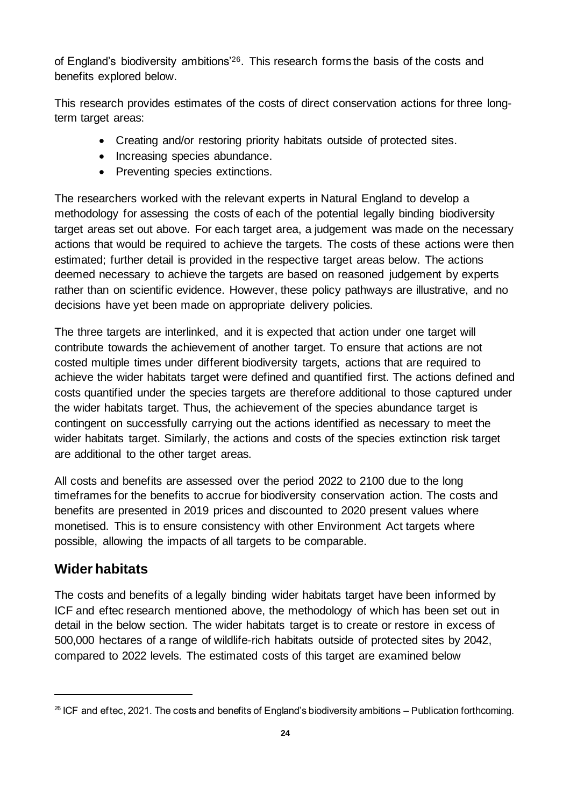of England's biodiversity ambitions'26. This research forms the basis of the costs and benefits explored below.

This research provides estimates of the costs of direct conservation actions for three longterm target areas:

- Creating and/or restoring priority habitats outside of protected sites.
- Increasing species abundance.
- Preventing species extinctions.

The researchers worked with the relevant experts in Natural England to develop a methodology for assessing the costs of each of the potential legally binding biodiversity target areas set out above. For each target area, a judgement was made on the necessary actions that would be required to achieve the targets. The costs of these actions were then estimated; further detail is provided in the respective target areas below. The actions deemed necessary to achieve the targets are based on reasoned judgement by experts rather than on scientific evidence. However, these policy pathways are illustrative, and no decisions have yet been made on appropriate delivery policies.

The three targets are interlinked, and it is expected that action under one target will contribute towards the achievement of another target. To ensure that actions are not costed multiple times under different biodiversity targets, actions that are required to achieve the wider habitats target were defined and quantified first. The actions defined and costs quantified under the species targets are therefore additional to those captured under the wider habitats target. Thus, the achievement of the species abundance target is contingent on successfully carrying out the actions identified as necessary to meet the wider habitats target. Similarly, the actions and costs of the species extinction risk target are additional to the other target areas.

All costs and benefits are assessed over the period 2022 to 2100 due to the long timeframes for the benefits to accrue for biodiversity conservation action. The costs and benefits are presented in 2019 prices and discounted to 2020 present values where monetised. This is to ensure consistency with other Environment Act targets where possible, allowing the impacts of all targets to be comparable.

#### **Wider habitats**

The costs and benefits of a legally binding wider habitats target have been informed by ICF and eftec research mentioned above, the methodology of which has been set out in detail in the below section. The wider habitats target is to create or restore in excess of 500,000 hectares of a range of wildlife-rich habitats outside of protected sites by 2042, compared to 2022 levels. The estimated costs of this target are examined below

 $26$  ICF and eftec, 2021. The costs and benefits of England's biodiversity ambitions – Publication forthcoming.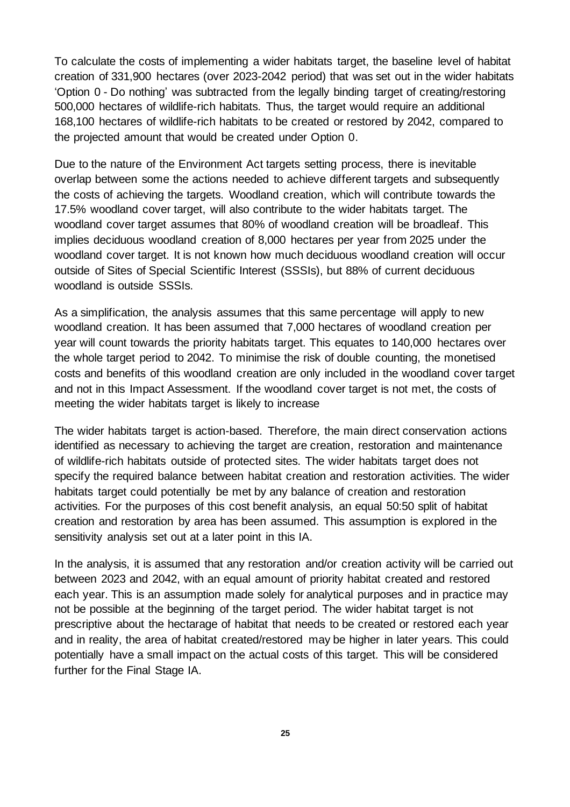To calculate the costs of implementing a wider habitats target, the baseline level of habitat creation of 331,900 hectares (over 2023-2042 period) that was set out in the wider habitats 'Option 0 - Do nothing' was subtracted from the legally binding target of creating/restoring 500,000 hectares of wildlife-rich habitats. Thus, the target would require an additional 168,100 hectares of wildlife-rich habitats to be created or restored by 2042, compared to the projected amount that would be created under Option 0.

Due to the nature of the Environment Act targets setting process, there is inevitable overlap between some the actions needed to achieve different targets and subsequently the costs of achieving the targets. Woodland creation, which will contribute towards the 17.5% woodland cover target, will also contribute to the wider habitats target. The woodland cover target assumes that 80% of woodland creation will be broadleaf. This implies deciduous woodland creation of 8,000 hectares per year from 2025 under the woodland cover target. It is not known how much deciduous woodland creation will occur outside of Sites of Special Scientific Interest (SSSIs), but 88% of current deciduous woodland is outside SSSIs.

As a simplification, the analysis assumes that this same percentage will apply to new woodland creation. It has been assumed that 7,000 hectares of woodland creation per year will count towards the priority habitats target. This equates to 140,000 hectares over the whole target period to 2042. To minimise the risk of double counting, the monetised costs and benefits of this woodland creation are only included in the woodland cover target and not in this Impact Assessment. If the woodland cover target is not met, the costs of meeting the wider habitats target is likely to increase

The wider habitats target is action-based. Therefore, the main direct conservation actions identified as necessary to achieving the target are creation, restoration and maintenance of wildlife-rich habitats outside of protected sites. The wider habitats target does not specify the required balance between habitat creation and restoration activities. The wider habitats target could potentially be met by any balance of creation and restoration activities. For the purposes of this cost benefit analysis, an equal 50:50 split of habitat creation and restoration by area has been assumed. This assumption is explored in the sensitivity analysis set out at a later point in this IA.

In the analysis, it is assumed that any restoration and/or creation activity will be carried out between 2023 and 2042, with an equal amount of priority habitat created and restored each year. This is an assumption made solely for analytical purposes and in practice may not be possible at the beginning of the target period. The wider habitat target is not prescriptive about the hectarage of habitat that needs to be created or restored each year and in reality, the area of habitat created/restored may be higher in later years. This could potentially have a small impact on the actual costs of this target. This will be considered further for the Final Stage IA.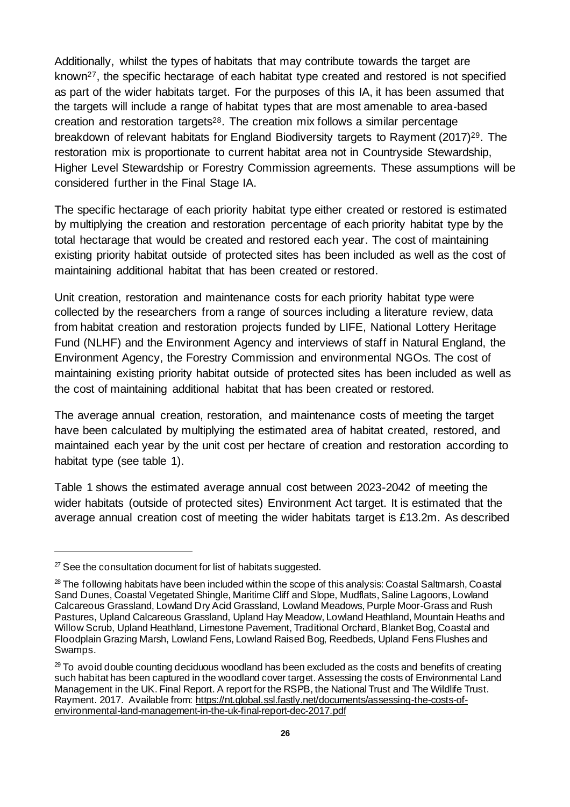Additionally, whilst the types of habitats that may contribute towards the target are known27, the specific hectarage of each habitat type created and restored is not specified as part of the wider habitats target. For the purposes of this IA, it has been assumed that the targets will include a range of habitat types that are most amenable to area-based creation and restoration targets28. The creation mix follows a similar percentage breakdown of relevant habitats for England Biodiversity targets to Rayment (2017) <sup>29</sup>. The restoration mix is proportionate to current habitat area not in Countryside Stewardship, Higher Level Stewardship or Forestry Commission agreements. These assumptions will be considered further in the Final Stage IA.

The specific hectarage of each priority habitat type either created or restored is estimated by multiplying the creation and restoration percentage of each priority habitat type by the total hectarage that would be created and restored each year. The cost of maintaining existing priority habitat outside of protected sites has been included as well as the cost of maintaining additional habitat that has been created or restored.

Unit creation, restoration and maintenance costs for each priority habitat type were collected by the researchers from a range of sources including a literature review, data from habitat creation and restoration projects funded by LIFE, National Lottery Heritage Fund (NLHF) and the Environment Agency and interviews of staff in Natural England, the Environment Agency, the Forestry Commission and environmental NGOs. The cost of maintaining existing priority habitat outside of protected sites has been included as well as the cost of maintaining additional habitat that has been created or restored.

The average annual creation, restoration, and maintenance costs of meeting the target have been calculated by multiplying the estimated area of habitat created, restored, and maintained each year by the unit cost per hectare of creation and restoration according to habitat type (see table 1).

Table 1 shows the estimated average annual cost between 2023-2042 of meeting the wider habitats (outside of protected sites) Environment Act target. It is estimated that the average annual creation cost of meeting the wider habitats target is £13.2m. As described

 $27$  See the consultation document for list of habitats suggested.

<sup>&</sup>lt;sup>28</sup> The following habitats have been included within the scope of this analysis: Coastal Saltmarsh, Coastal Sand Dunes, Coastal Vegetated Shingle, Maritime Cliff and Slope, Mudflats, Saline Lagoons, Lowland Calcareous Grassland, Lowland Dry Acid Grassland, Lowland Meadows, Purple Moor-Grass and Rush Pastures, Upland Calcareous Grassland, Upland Hay Meadow, Lowland Heathland, Mountain Heaths and Willow Scrub, Upland Heathland, Limestone Pavement, Traditional Orchard, Blanket Bog, Coastal and Floodplain Grazing Marsh, Lowland Fens, Lowland Raised Bog, Reedbeds, Upland Fens Flushes and Swamps.

 $29$  To avoid double counting deciduous woodland has been excluded as the costs and benefits of creating such habitat has been captured in the woodland cover target. Assessing the costs of Environmental Land Management in the UK. Final Report. A report for the RSPB, the National Trust and The Wildlife Trust. Rayment. 2017. Available from: https://nt.global.ssl.fastly.net/documents/assessing-the-costs-ofenvironmental-land-management-in-the-uk-final-report-dec-2017.pdf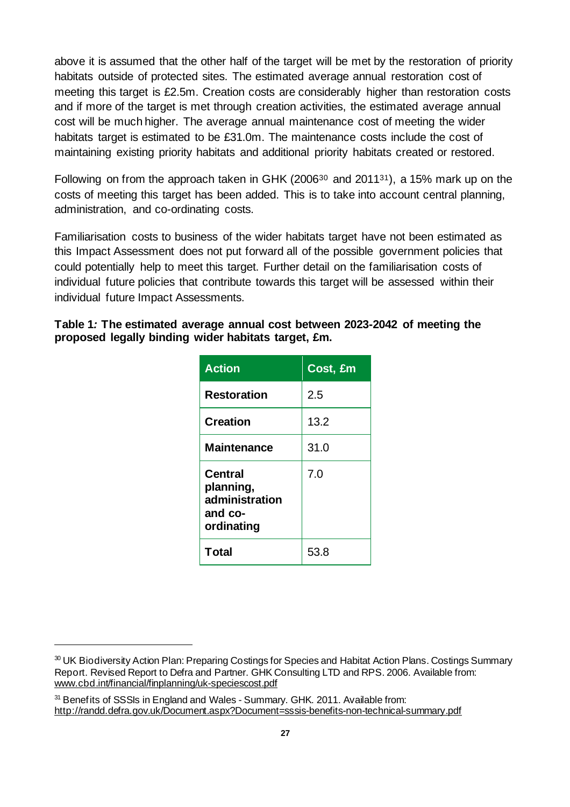above it is assumed that the other half of the target will be met by the restoration of priority habitats outside of protected sites. The estimated average annual restoration cost of meeting this target is £2.5m. Creation costs are considerably higher than restoration costs and if more of the target is met through creation activities, the estimated average annual cost will be much higher. The average annual maintenance cost of meeting the wider habitats target is estimated to be £31.0m. The maintenance costs include the cost of maintaining existing priority habitats and additional priority habitats created or restored.

Following on from the approach taken in GHK (2006<sup>30</sup> and 2011<sup>31</sup>), a 15% mark up on the costs of meeting this target has been added. This is to take into account central planning, administration, and co-ordinating costs.

Familiarisation costs to business of the wider habitats target have not been estimated as this Impact Assessment does not put forward all of the possible government policies that could potentially help to meet this target. Further detail on the familiarisation costs of individual future policies that contribute towards this target will be assessed within their individual future Impact Assessments.

#### **Table 1***:* **The estimated average annual cost between 2023-2042 of meeting the proposed legally binding wider habitats target, £m.**

| <b>Action</b>                                                          | Cost, £m |
|------------------------------------------------------------------------|----------|
| <b>Restoration</b>                                                     | 2.5      |
| <b>Creation</b>                                                        | 13.2     |
| <b>Maintenance</b>                                                     | 31.0     |
| <b>Central</b><br>planning,<br>administration<br>and co-<br>ordinating | 7.0      |
| <b>Total</b>                                                           | 53.8     |

<sup>&</sup>lt;sup>30</sup> UK Biodiversity Action Plan: Preparing Costings for Species and Habitat Action Plans. Costings Summary Report. Revised Report to Defra and Partner. GHK Consulting LTD and RPS. 2006. Available from: [www.cbd.int/financial/finplanning/uk-speciescost.pdf](https://www.cbd.int/financial/finplanning/uk-speciescost.pdf)

<sup>&</sup>lt;sup>31</sup> Benefits of SSSIs in England and Wales - Summary. GHK. 2011. Available from: <http://randd.defra.gov.uk/Document.aspx?Document=sssis-benefits-non-technical-summary.pdf>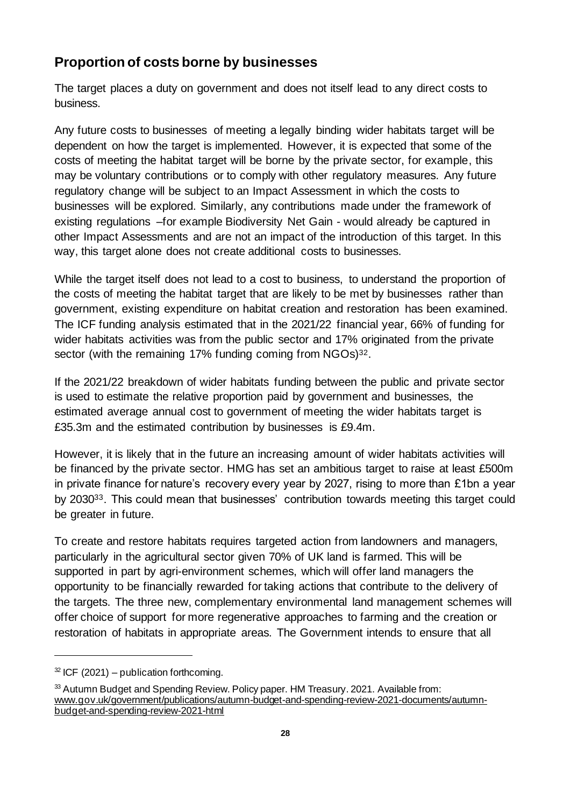#### **Proportion of costs borne by businesses**

The target places a duty on government and does not itself lead to any direct costs to business.

Any future costs to businesses of meeting a legally binding wider habitats target will be dependent on how the target is implemented. However, it is expected that some of the costs of meeting the habitat target will be borne by the private sector, for example, this may be voluntary contributions or to comply with other regulatory measures. Any future regulatory change will be subject to an Impact Assessment in which the costs to businesses will be explored. Similarly, any contributions made under the framework of existing regulations –for example Biodiversity Net Gain - would already be captured in other Impact Assessments and are not an impact of the introduction of this target. In this way, this target alone does not create additional costs to businesses.

While the target itself does not lead to a cost to business, to understand the proportion of the costs of meeting the habitat target that are likely to be met by businesses rather than government, existing expenditure on habitat creation and restoration has been examined. The ICF funding analysis estimated that in the 2021/22 financial year, 66% of funding for wider habitats activities was from the public sector and 17% originated from the private sector (with the remaining 17% funding coming from NGOs)<sup>32</sup>.

If the 2021/22 breakdown of wider habitats funding between the public and private sector is used to estimate the relative proportion paid by government and businesses, the estimated average annual cost to government of meeting the wider habitats target is £35.3m and the estimated contribution by businesses is £9.4m.

However, it is likely that in the future an increasing amount of wider habitats activities will be financed by the private sector. HMG has set an ambitious target to raise at least £500m in private finance for nature's recovery every year by 2027, rising to more than £1bn a year by 203033. This could mean that businesses' contribution towards meeting this target could be greater in future.

To create and restore habitats requires targeted action from landowners and managers, particularly in the agricultural sector given 70% of UK land is farmed. This will be supported in part by agri-environment schemes, which will offer land managers the opportunity to be financially rewarded for taking actions that contribute to the delivery of the targets. The three new, complementary environmental land management schemes will offer choice of support for more regenerative approaches to farming and the creation or restoration of habitats in appropriate areas. The Government intends to ensure that all

 $32$  ICF (2021) – publication forthcoming.

<sup>&</sup>lt;sup>33</sup> Autumn Budget and Spending Review. Policy paper. HM Treasury. 2021. Available from: [www.gov.uk/government/publications/autumn-budget-and-spending-review-2021-documents/autumn](https://www.gov.uk/government/publications/autumn-budget-and-spending-review-2021-documents/autumn-budget-and-spending-review-2021-html)[budget-and-spending-review-2021-html](https://www.gov.uk/government/publications/autumn-budget-and-spending-review-2021-documents/autumn-budget-and-spending-review-2021-html)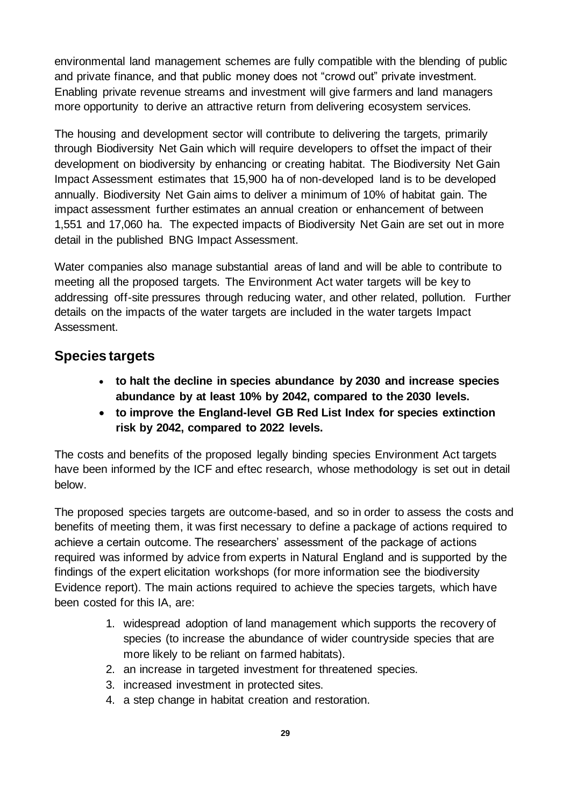environmental land management schemes are fully compatible with the blending of public and private finance, and that public money does not "crowd out" private investment. Enabling private revenue streams and investment will give farmers and land managers more opportunity to derive an attractive return from delivering ecosystem services.

The housing and development sector will contribute to delivering the targets, primarily through Biodiversity Net Gain which will require developers to offset the impact of their development on biodiversity by enhancing or creating habitat. The Biodiversity Net Gain Impact Assessment estimates that 15,900 ha of non-developed land is to be developed annually. Biodiversity Net Gain aims to deliver a minimum of 10% of habitat gain. The impact assessment further estimates an annual creation or enhancement of between 1,551 and 17,060 ha. The expected impacts of Biodiversity Net Gain are set out in more detail in the published BNG Impact Assessment.

Water companies also manage substantial areas of land and will be able to contribute to meeting all the proposed targets. The Environment Act water targets will be key to addressing off-site pressures through reducing water, and other related, pollution. Further details on the impacts of the water targets are included in the water targets Impact Assessment.

#### **Species targets**

- **to halt the decline in species abundance by 2030 and increase species abundance by at least 10% by 2042, compared to the 2030 levels.**
- **to improve the England-level GB Red List Index for species extinction risk by 2042, compared to 2022 levels.**

The costs and benefits of the proposed legally binding species Environment Act targets have been informed by the ICF and eftec research, whose methodology is set out in detail below.

The proposed species targets are outcome-based, and so in order to assess the costs and benefits of meeting them, it was first necessary to define a package of actions required to achieve a certain outcome. The researchers' assessment of the package of actions required was informed by advice from experts in Natural England and is supported by the findings of the expert elicitation workshops (for more information see the biodiversity Evidence report). The main actions required to achieve the species targets, which have been costed for this IA, are:

- 1. widespread adoption of land management which supports the recovery of species (to increase the abundance of wider countryside species that are more likely to be reliant on farmed habitats).
- 2. an increase in targeted investment for threatened species.
- 3. increased investment in protected sites.
- 4. a step change in habitat creation and restoration.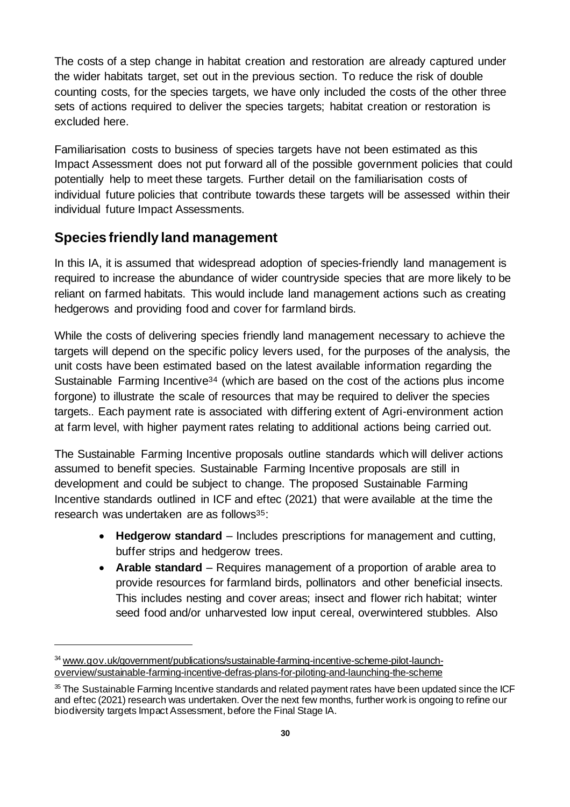The costs of a step change in habitat creation and restoration are already captured under the wider habitats target, set out in the previous section. To reduce the risk of double counting costs, for the species targets, we have only included the costs of the other three sets of actions required to deliver the species targets; habitat creation or restoration is excluded here.

Familiarisation costs to business of species targets have not been estimated as this Impact Assessment does not put forward all of the possible government policies that could potentially help to meet these targets. Further detail on the familiarisation costs of individual future policies that contribute towards these targets will be assessed within their individual future Impact Assessments.

#### **Species friendly land management**

In this IA, it is assumed that widespread adoption of species-friendly land management is required to increase the abundance of wider countryside species that are more likely to be reliant on farmed habitats. This would include land management actions such as creating hedgerows and providing food and cover for farmland birds.

While the costs of delivering species friendly land management necessary to achieve the targets will depend on the specific policy levers used, for the purposes of the analysis, the unit costs have been estimated based on the latest available information regarding the Sustainable Farming Incentive<sup>34</sup> (which are based on the cost of the actions plus income forgone) to illustrate the scale of resources that may be required to deliver the species targets.. Each payment rate is associated with differing extent of Agri-environment action at farm level, with higher payment rates relating to additional actions being carried out.

The Sustainable Farming Incentive proposals outline standards which will deliver actions assumed to benefit species. Sustainable Farming Incentive proposals are still in development and could be subject to change. The proposed Sustainable Farming Incentive standards outlined in ICF and eftec (2021) that were available at the time the research was undertaken are as follows<sup>35</sup>:

- **Hedgerow standard** Includes prescriptions for management and cutting, buffer strips and hedgerow trees.
- **Arable standard** Requires management of a proportion of arable area to provide resources for farmland birds, pollinators and other beneficial insects. This includes nesting and cover areas; insect and flower rich habitat; winter seed food and/or unharvested low input cereal, overwintered stubbles. Also

<sup>34</sup> [www.gov.uk/government/publications/sustainable-farming-incentive-scheme-pilot-launch](https://www.gov.uk/government/publications/sustainable-farming-incentive-scheme-pilot-launch-overview/sustainable-farming-incentive-defras-plans-for-piloting-and-launching-the-scheme)[overview/sustainable-farming-incentive-defras-plans-for-piloting-and-launching-the-scheme](https://www.gov.uk/government/publications/sustainable-farming-incentive-scheme-pilot-launch-overview/sustainable-farming-incentive-defras-plans-for-piloting-and-launching-the-scheme)

<sup>&</sup>lt;sup>35</sup> The Sustainable Farming Incentive standards and related payment rates have been updated since the ICF and eftec (2021) research was undertaken. Over the next few months, further work is ongoing to refine our biodiversity targets Impact Assessment, before the Final Stage IA.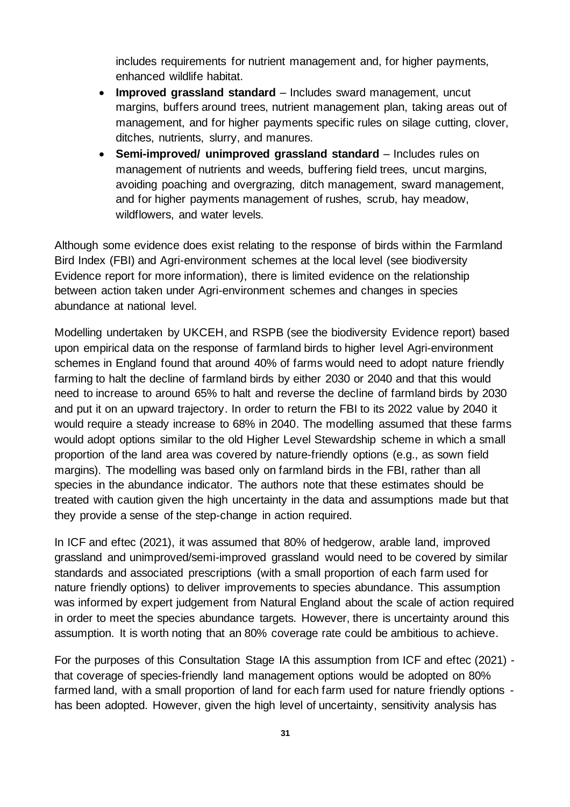includes requirements for nutrient management and, for higher payments, enhanced wildlife habitat.

- **Improved grassland standard** Includes sward management, uncut margins, buffers around trees, nutrient management plan, taking areas out of management, and for higher payments specific rules on silage cutting, clover, ditches, nutrients, slurry, and manures.
- **Semi-improved/ unimproved grassland standard** Includes rules on management of nutrients and weeds, buffering field trees, uncut margins, avoiding poaching and overgrazing, ditch management, sward management, and for higher payments management of rushes, scrub, hay meadow, wildflowers, and water levels.

Although some evidence does exist relating to the response of birds within the Farmland Bird Index (FBI) and Agri-environment schemes at the local level (see biodiversity Evidence report for more information), there is limited evidence on the relationship between action taken under Agri-environment schemes and changes in species abundance at national level.

Modelling undertaken by UKCEH, and RSPB (see the biodiversity Evidence report) based upon empirical data on the response of farmland birds to higher level Agri-environment schemes in England found that around 40% of farms would need to adopt nature friendly farming to halt the decline of farmland birds by either 2030 or 2040 and that this would need to increase to around 65% to halt and reverse the decline of farmland birds by 2030 and put it on an upward trajectory. In order to return the FBI to its 2022 value by 2040 it would require a steady increase to 68% in 2040. The modelling assumed that these farms would adopt options similar to the old Higher Level Stewardship scheme in which a small proportion of the land area was covered by nature-friendly options (e.g., as sown field margins). The modelling was based only on farmland birds in the FBI, rather than all species in the abundance indicator. The authors note that these estimates should be treated with caution given the high uncertainty in the data and assumptions made but that they provide a sense of the step-change in action required.

In ICF and eftec (2021), it was assumed that 80% of hedgerow, arable land, improved grassland and unimproved/semi-improved grassland would need to be covered by similar standards and associated prescriptions (with a small proportion of each farm used for nature friendly options) to deliver improvements to species abundance. This assumption was informed by expert judgement from Natural England about the scale of action required in order to meet the species abundance targets. However, there is uncertainty around this assumption. It is worth noting that an 80% coverage rate could be ambitious to achieve.

For the purposes of this Consultation Stage IA this assumption from ICF and eftec (2021) that coverage of species-friendly land management options would be adopted on 80% farmed land, with a small proportion of land for each farm used for nature friendly options has been adopted. However, given the high level of uncertainty, sensitivity analysis has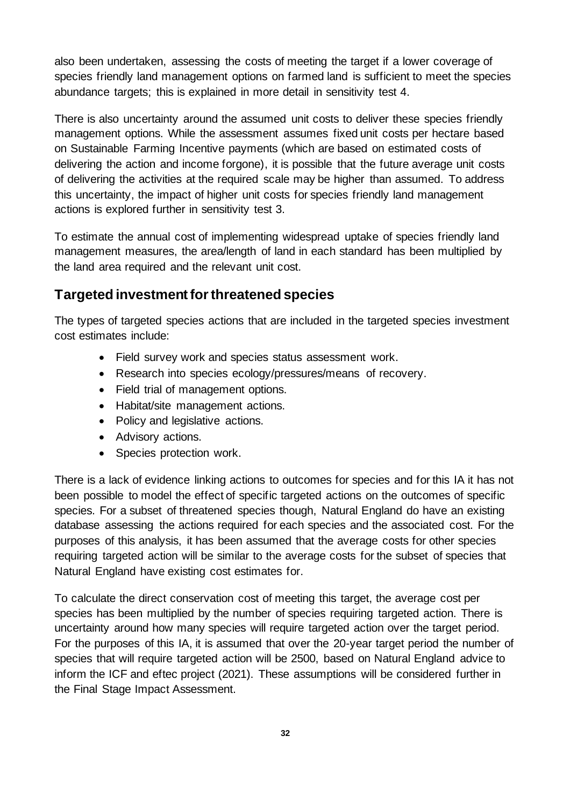also been undertaken, assessing the costs of meeting the target if a lower coverage of species friendly land management options on farmed land is sufficient to meet the species abundance targets; this is explained in more detail in sensitivity test 4.

There is also uncertainty around the assumed unit costs to deliver these species friendly management options. While the assessment assumes fixed unit costs per hectare based on Sustainable Farming Incentive payments (which are based on estimated costs of delivering the action and income forgone), it is possible that the future average unit costs of delivering the activities at the required scale may be higher than assumed. To address this uncertainty, the impact of higher unit costs for species friendly land management actions is explored further in sensitivity test 3.

To estimate the annual cost of implementing widespread uptake of species friendly land management measures, the area/length of land in each standard has been multiplied by the land area required and the relevant unit cost.

#### **Targeted investment for threatened species**

The types of targeted species actions that are included in the targeted species investment cost estimates include:

- Field survey work and species status assessment work.
- Research into species ecology/pressures/means of recovery.
- Field trial of management options.
- Habitat/site management actions.
- Policy and legislative actions.
- Advisory actions.
- Species protection work.

There is a lack of evidence linking actions to outcomes for species and for this IA it has not been possible to model the effect of specific targeted actions on the outcomes of specific species. For a subset of threatened species though, Natural England do have an existing database assessing the actions required for each species and the associated cost. For the purposes of this analysis, it has been assumed that the average costs for other species requiring targeted action will be similar to the average costs for the subset of species that Natural England have existing cost estimates for.

To calculate the direct conservation cost of meeting this target, the average cost per species has been multiplied by the number of species requiring targeted action. There is uncertainty around how many species will require targeted action over the target period. For the purposes of this IA, it is assumed that over the 20-year target period the number of species that will require targeted action will be 2500, based on Natural England advice to inform the ICF and eftec project (2021). These assumptions will be considered further in the Final Stage Impact Assessment.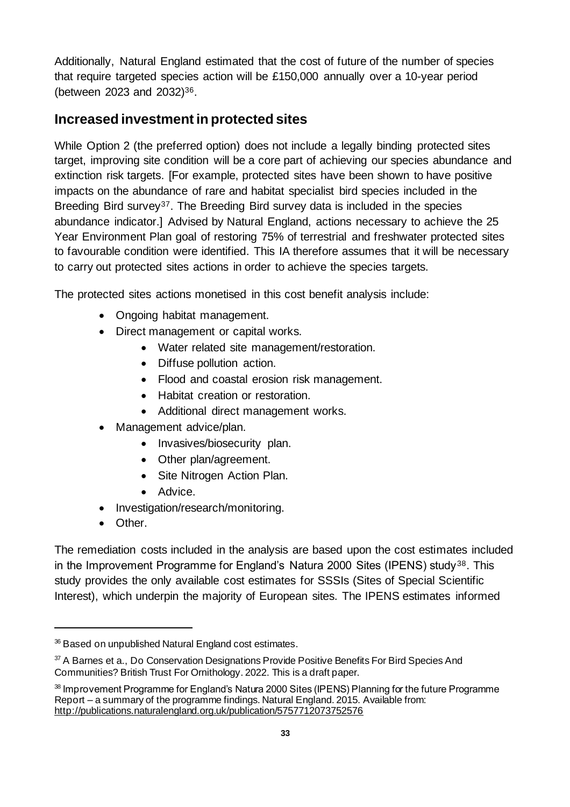Additionally, Natural England estimated that the cost of future of the number of species that require targeted species action will be £150,000 annually over a 10-year period (between 2023 and 2032)36.

#### **Increased investment in protected sites**

While Option 2 (the preferred option) does not include a legally binding protected sites target, improving site condition will be a core part of achieving our species abundance and extinction risk targets. [For example, protected sites have been shown to have positive impacts on the abundance of rare and habitat specialist bird species included in the Breeding Bird survey<sup>37</sup>. The Breeding Bird survey data is included in the species abundance indicator.] Advised by Natural England, actions necessary to achieve the 25 Year Environment Plan goal of restoring 75% of terrestrial and freshwater protected sites to favourable condition were identified. This IA therefore assumes that it will be necessary to carry out protected sites actions in order to achieve the species targets.

The protected sites actions monetised in this cost benefit analysis include:

- Ongoing habitat management.
- Direct management or capital works.
	- Water related site management/restoration.
	- Diffuse pollution action.
	- Flood and coastal erosion risk management.
	- Habitat creation or restoration.
	- Additional direct management works.
- Management advice/plan.
	- Invasives/biosecurity plan.
	- Other plan/agreement.
	- Site Nitrogen Action Plan.
	- Advice.
- Investigation/research/monitoring.
- Other.

The remediation costs included in the analysis are based upon the cost estimates included in the Improvement Programme for England's Natura 2000 Sites (IPENS) study<sup>38</sup>. This study provides the only available cost estimates for SSSIs (Sites of Special Scientific Interest), which underpin the majority of European sites. The IPENS estimates informed

<sup>&</sup>lt;sup>36</sup> Based on unpublished Natural England cost estimates.

<sup>&</sup>lt;sup>37</sup> A Barnes et a., Do Conservation Designations Provide Positive Benefits For Bird Species And Communities? British Trust For Ornithology. 2022. This is a draft paper.

<sup>&</sup>lt;sup>38</sup> Improvement Programme for England's Natura 2000 Sites (IPENS) Planning for the future Programme Report – a summary of the programme findings. Natural England. 2015. Available from: <http://publications.naturalengland.org.uk/publication/5757712073752576>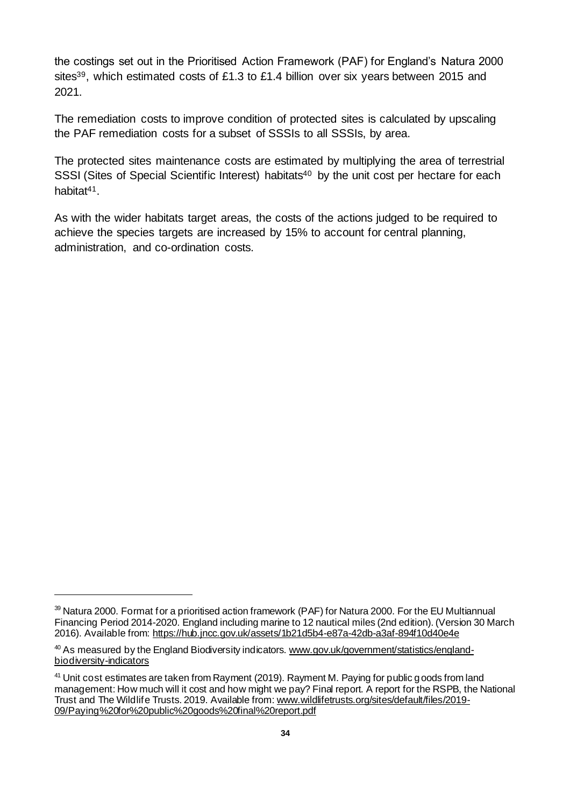the costings set out in the Prioritised Action Framework (PAF) for England's Natura 2000 sites<sup>39</sup>, which estimated costs of £1.3 to £1.4 billion over six years between 2015 and 2021.

The remediation costs to improve condition of protected sites is calculated by upscaling the PAF remediation costs for a subset of SSSIs to all SSSIs, by area.

The protected sites maintenance costs are estimated by multiplying the area of terrestrial SSSI (Sites of Special Scientific Interest) habitats<sup>40</sup> by the unit cost per hectare for each habitat<sup>41</sup>

As with the wider habitats target areas, the costs of the actions judged to be required to achieve the species targets are increased by 15% to account for central planning, administration, and co-ordination costs.

<sup>39</sup> Natura 2000. Format for a prioritised action framework (PAF) for Natura 2000. For the EU Multiannual Financing Period 2014-2020. England including marine to 12 nautical miles (2nd edition). (Version 30 March 2016). Available fro[m: https://hub.jncc.gov.uk/assets/1b21d5b4-e87a-42db-a3af-894f10d40e4e](https://hub.jncc.gov.uk/assets/1b21d5b4-e87a-42db-a3af-894f10d40e4e)

<sup>&</sup>lt;sup>40</sup> As measured by the England Biodiversity indicators[. www.gov.uk/government/statistics/england](http://www.gov.uk/government/statistics/england-biodiversity-indicators)[biodiversity-indicators](http://www.gov.uk/government/statistics/england-biodiversity-indicators)

<sup>&</sup>lt;sup>41</sup> Unit cost estimates are taken from Rayment (2019). Rayment M. Paying for public goods from land management: How much will it cost and how might we pay? Final report. A report for the RSPB, the National Trust and The Wildlife Trusts. 2019. Available from[: www.wildlifetrusts.org/sites/default/files/2019-](https://www.wildlifetrusts.org/sites/default/files/2019-09/Paying%20for%20public%20goods%20final%20report.pdf) [09/Paying%20for%20public%20goods%20final%20report.pdf](https://www.wildlifetrusts.org/sites/default/files/2019-09/Paying%20for%20public%20goods%20final%20report.pdf)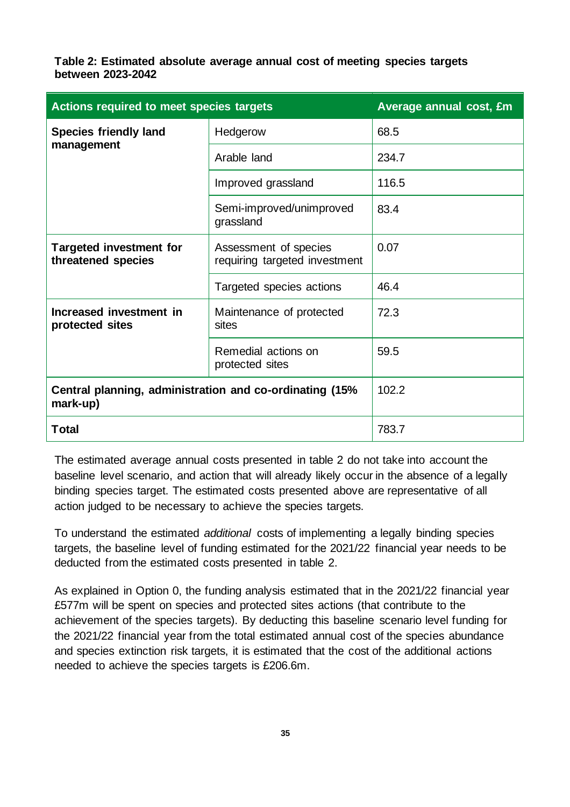**Table 2: Estimated absolute average annual cost of meeting species targets between 2023-2042**

| Actions required to meet species targets                                        | Average annual cost, £m                                |       |
|---------------------------------------------------------------------------------|--------------------------------------------------------|-------|
| <b>Species friendly land</b>                                                    | Hedgerow                                               | 68.5  |
| management                                                                      | Arable land                                            | 234.7 |
|                                                                                 | Improved grassland                                     | 116.5 |
|                                                                                 | Semi-improved/unimproved<br>grassland                  | 83.4  |
| <b>Targeted investment for</b><br>threatened species                            | Assessment of species<br>requiring targeted investment | 0.07  |
|                                                                                 | Targeted species actions                               | 46.4  |
| Increased investment in<br>Maintenance of protected<br>protected sites<br>sites |                                                        | 72.3  |
|                                                                                 | Remedial actions on<br>protected sites                 | 59.5  |
| Central planning, administration and co-ordinating (15%<br>mark-up)             | 102.2                                                  |       |
| <b>Total</b>                                                                    | 783.7                                                  |       |

The estimated average annual costs presented in table 2 do not take into account the baseline level scenario, and action that will already likely occur in the absence of a legally binding species target. The estimated costs presented above are representative of all action judged to be necessary to achieve the species targets.

To understand the estimated *additional* costs of implementing a legally binding species targets, the baseline level of funding estimated for the 2021/22 financial year needs to be deducted from the estimated costs presented in table 2.

As explained in Option 0, the funding analysis estimated that in the 2021/22 financial year £577m will be spent on species and protected sites actions (that contribute to the achievement of the species targets). By deducting this baseline scenario level funding for the 2021/22 financial year from the total estimated annual cost of the species abundance and species extinction risk targets, it is estimated that the cost of the additional actions needed to achieve the species targets is £206.6m.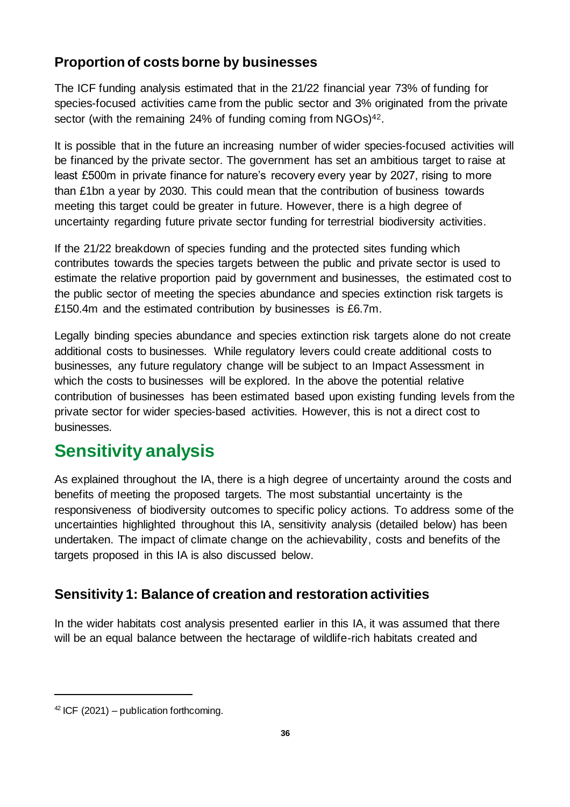#### **Proportion of costs borne by businesses**

The ICF funding analysis estimated that in the 21/22 financial year 73% of funding for species-focused activities came from the public sector and 3% originated from the private sector (with the remaining 24% of funding coming from NGOs)<sup>42</sup>.

It is possible that in the future an increasing number of wider species-focused activities will be financed by the private sector. The government has set an ambitious target to raise at least £500m in private finance for nature's recovery every year by 2027, rising to more than £1bn a year by 2030. This could mean that the contribution of business towards meeting this target could be greater in future. However, there is a high degree of uncertainty regarding future private sector funding for terrestrial biodiversity activities.

If the 21/22 breakdown of species funding and the protected sites funding which contributes towards the species targets between the public and private sector is used to estimate the relative proportion paid by government and businesses, the estimated cost to the public sector of meeting the species abundance and species extinction risk targets is £150.4m and the estimated contribution by businesses is £6.7m.

Legally binding species abundance and species extinction risk targets alone do not create additional costs to businesses. While regulatory levers could create additional costs to businesses, any future regulatory change will be subject to an Impact Assessment in which the costs to businesses will be explored. In the above the potential relative contribution of businesses has been estimated based upon existing funding levels from the private sector for wider species-based activities. However, this is not a direct cost to businesses.

### <span id="page-35-0"></span>**Sensitivity analysis**

As explained throughout the IA, there is a high degree of uncertainty around the costs and benefits of meeting the proposed targets. The most substantial uncertainty is the responsiveness of biodiversity outcomes to specific policy actions. To address some of the uncertainties highlighted throughout this IA, sensitivity analysis (detailed below) has been undertaken. The impact of climate change on the achievability, costs and benefits of the targets proposed in this IA is also discussed below.

### <span id="page-35-1"></span>**Sensitivity 1: Balance of creation and restoration activities**

In the wider habitats cost analysis presented earlier in this IA, it was assumed that there will be an equal balance between the hectarage of wildlife-rich habitats created and

 $42$  ICF (2021) – publication forthcoming.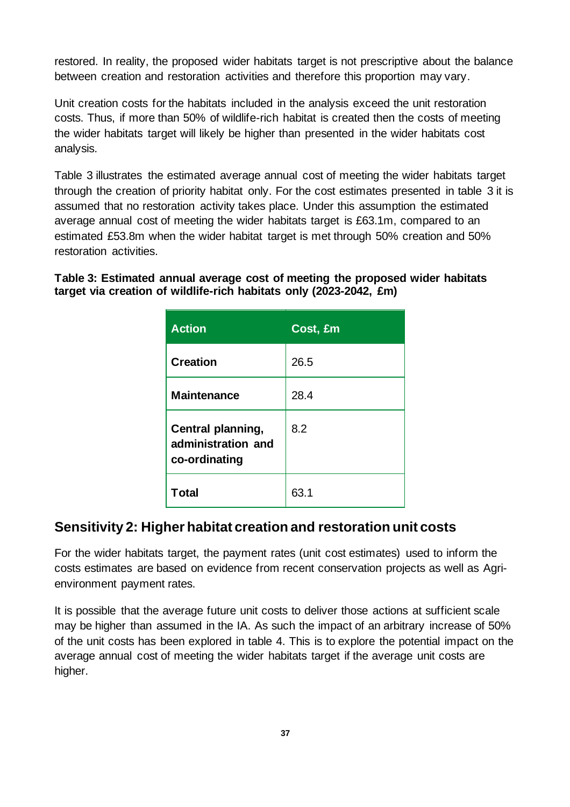restored. In reality, the proposed wider habitats target is not prescriptive about the balance between creation and restoration activities and therefore this proportion may vary.

Unit creation costs for the habitats included in the analysis exceed the unit restoration costs. Thus, if more than 50% of wildlife-rich habitat is created then the costs of meeting the wider habitats target will likely be higher than presented in the wider habitats cost analysis.

Table 3 illustrates the estimated average annual cost of meeting the wider habitats target through the creation of priority habitat only. For the cost estimates presented in table 3 it is assumed that no restoration activity takes place. Under this assumption the estimated average annual cost of meeting the wider habitats target is £63.1m, compared to an estimated £53.8m when the wider habitat target is met through 50% creation and 50% restoration activities.

**Table 3: Estimated annual average cost of meeting the proposed wider habitats target via creation of wildlife-rich habitats only (2023-2042, £m)**

| <b>Action</b>                                            | Cost, £m |
|----------------------------------------------------------|----------|
| <b>Creation</b>                                          | 26.5     |
| <b>Maintenance</b>                                       | 28.4     |
| Central planning,<br>administration and<br>co-ordinating | 8.2      |
| <b>Total</b>                                             | 63.1     |

#### **Sensitivity 2: Higher habitat creation and restoration unit costs**

For the wider habitats target, the payment rates (unit cost estimates) used to inform the costs estimates are based on evidence from recent conservation projects as well as Agrienvironment payment rates.

It is possible that the average future unit costs to deliver those actions at sufficient scale may be higher than assumed in the IA. As such the impact of an arbitrary increase of 50% of the unit costs has been explored in table 4. This is to explore the potential impact on the average annual cost of meeting the wider habitats target if the average unit costs are higher.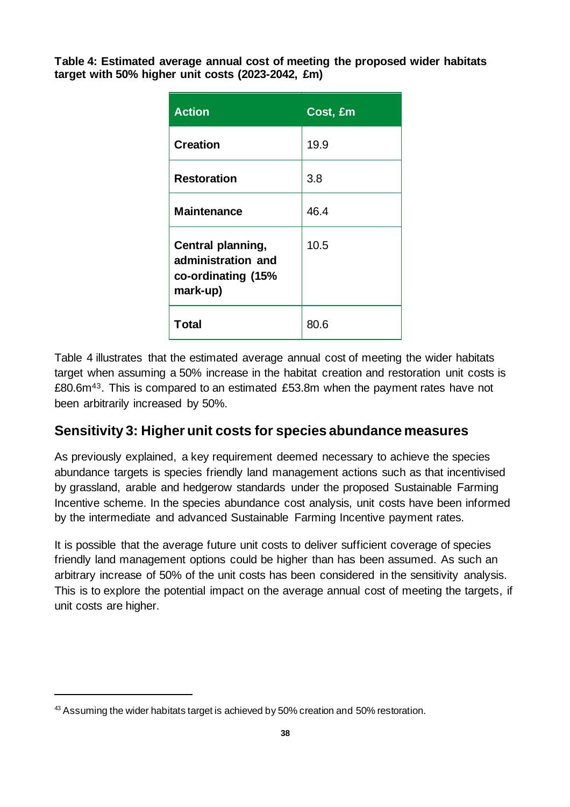**Table 4: Estimated average annual cost of meeting the proposed wider habitats target with 50% higher unit costs (2023-2042, £m)**

| <b>Action</b>                                                             | Cost, £m |
|---------------------------------------------------------------------------|----------|
| <b>Creation</b>                                                           | 19.9     |
| <b>Restoration</b>                                                        | 3.8      |
| <b>Maintenance</b>                                                        | 46.4     |
| Central planning,<br>administration and<br>co-ordinating (15%<br>mark-up) | 10.5     |
| Total                                                                     | 80.6     |

Table 4 illustrates that the estimated average annual cost of meeting the wider habitats target when assuming a 50% increase in the habitat creation and restoration unit costs is £80.6m43. This is compared to an estimated £53.8m when the payment rates have not been arbitrarily increased by 50%.

#### **Sensitivity 3: Higher unit costs for species abundance measures**

As previously explained, a key requirement deemed necessary to achieve the species abundance targets is species friendly land management actions such as that incentivised by grassland, arable and hedgerow standards under the proposed Sustainable Farming Incentive scheme. In the species abundance cost analysis, unit costs have been informed by the intermediate and advanced Sustainable Farming Incentive payment rates.

It is possible that the average future unit costs to deliver sufficient coverage of species friendly land management options could be higher than has been assumed. As such an arbitrary increase of 50% of the unit costs has been considered in the sensitivity analysis. This is to explore the potential impact on the average annual cost of meeting the targets, if unit costs are higher.

<sup>&</sup>lt;sup>43</sup> Assuming the wider habitats target is achieved by 50% creation and 50% restoration.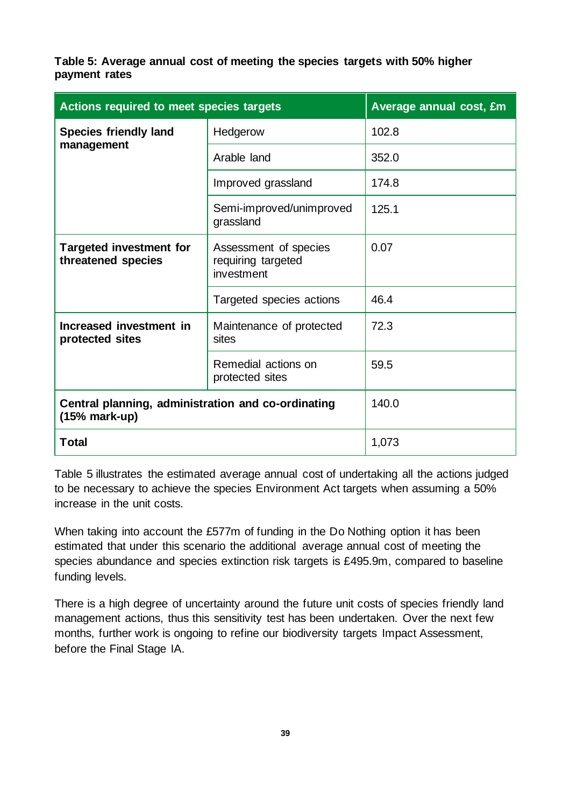**Table 5: Average annual cost of meeting the species targets with 50% higher payment rates**

| <b>Actions required to meet species targets</b>                       |                                                           | Average annual cost, £m |
|-----------------------------------------------------------------------|-----------------------------------------------------------|-------------------------|
| <b>Species friendly land</b><br>management                            | Hedgerow                                                  | 102.8                   |
|                                                                       | Arable land                                               | 352.0                   |
|                                                                       | Improved grassland                                        | 174.8                   |
|                                                                       | Semi-improved/unimproved<br>grassland                     | 125.1                   |
| <b>Targeted investment for</b><br>threatened species                  | Assessment of species<br>requiring targeted<br>investment | 0.07                    |
|                                                                       | Targeted species actions                                  | 46.4                    |
| Increased investment in<br>protected sites                            | Maintenance of protected<br>sites                         | 72.3                    |
|                                                                       | Remedial actions on<br>protected sites                    | 59.5                    |
| Central planning, administration and co-ordinating<br>$(15% mark-up)$ |                                                           | 140.0                   |
| <b>Total</b>                                                          |                                                           | 1,073                   |

Table 5 illustrates the estimated average annual cost of undertaking all the actions judged to be necessary to achieve the species Environment Act targets when assuming a 50% increase in the unit costs.

When taking into account the £577m of funding in the Do Nothing option it has been estimated that under this scenario the additional average annual cost of meeting the species abundance and species extinction risk targets is £495.9m, compared to baseline funding levels.

There is a high degree of uncertainty around the future unit costs of species friendly land management actions, thus this sensitivity test has been undertaken. Over the next few months, further work is ongoing to refine our biodiversity targets Impact Assessment, before the Final Stage IA.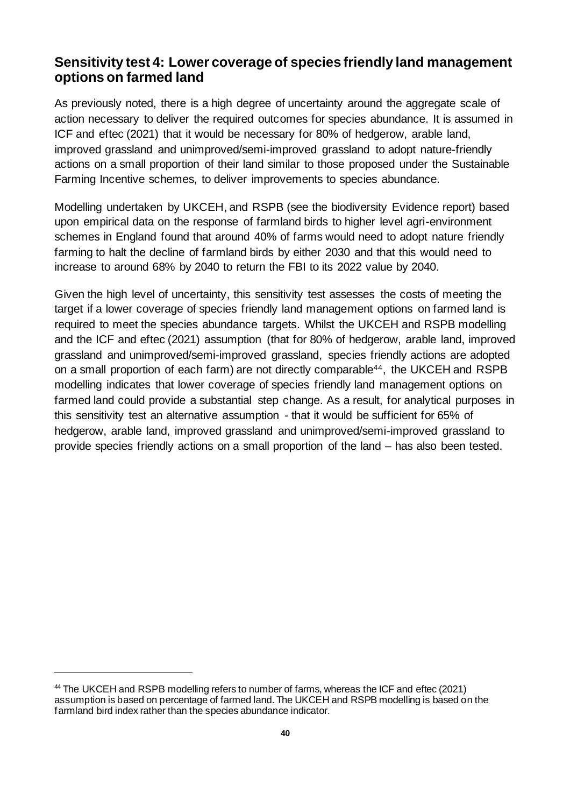#### **Sensitivity test 4: Lower coverage of species friendly land management options on farmed land**

As previously noted, there is a high degree of uncertainty around the aggregate scale of action necessary to deliver the required outcomes for species abundance. It is assumed in ICF and eftec (2021) that it would be necessary for 80% of hedgerow, arable land, improved grassland and unimproved/semi-improved grassland to adopt nature-friendly actions on a small proportion of their land similar to those proposed under the Sustainable Farming Incentive schemes, to deliver improvements to species abundance.

Modelling undertaken by UKCEH, and RSPB (see the biodiversity Evidence report) based upon empirical data on the response of farmland birds to higher level agri-environment schemes in England found that around 40% of farms would need to adopt nature friendly farming to halt the decline of farmland birds by either 2030 and that this would need to increase to around 68% by 2040 to return the FBI to its 2022 value by 2040.

Given the high level of uncertainty, this sensitivity test assesses the costs of meeting the target if a lower coverage of species friendly land management options on farmed land is required to meet the species abundance targets. Whilst the UKCEH and RSPB modelling and the ICF and eftec (2021) assumption (that for 80% of hedgerow, arable land, improved grassland and unimproved/semi-improved grassland, species friendly actions are adopted on a small proportion of each farm) are not directly comparable<sup>44</sup>, the UKCEH and RSPB modelling indicates that lower coverage of species friendly land management options on farmed land could provide a substantial step change. As a result, for analytical purposes in this sensitivity test an alternative assumption - that it would be sufficient for 65% of hedgerow, arable land, improved grassland and unimproved/semi-improved grassland to provide species friendly actions on a small proportion of the land – has also been tested.

<sup>&</sup>lt;sup>44</sup> The UKCEH and RSPB modelling refers to number of farms, whereas the ICF and eftec (2021) assumption is based on percentage of farmed land. The UKCEH and RSPB modelling is based on the farmland bird index rather than the species abundance indicator.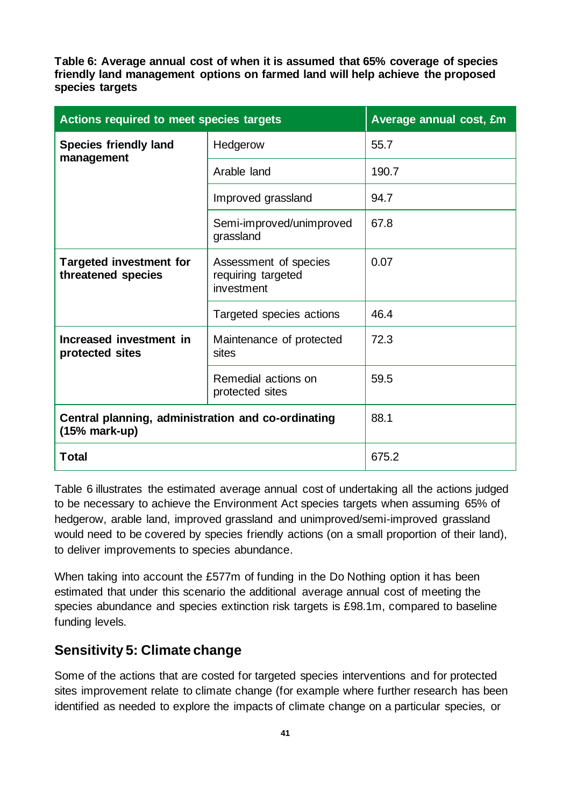**Table 6: Average annual cost of when it is assumed that 65% coverage of species friendly land management options on farmed land will help achieve the proposed species targets**

| Actions required to meet species targets                              |                                                           | Average annual cost, £m |
|-----------------------------------------------------------------------|-----------------------------------------------------------|-------------------------|
| <b>Species friendly land</b><br>management                            | Hedgerow                                                  | 55.7                    |
|                                                                       | Arable land                                               | 190.7                   |
|                                                                       | Improved grassland                                        | 94.7                    |
|                                                                       | Semi-improved/unimproved<br>grassland                     | 67.8                    |
| <b>Targeted investment for</b><br>threatened species                  | Assessment of species<br>requiring targeted<br>investment | 0.07                    |
|                                                                       | Targeted species actions                                  | 46.4                    |
| Increased investment in<br>protected sites                            | Maintenance of protected<br>sites                         | 72.3                    |
|                                                                       | Remedial actions on<br>protected sites                    | 59.5                    |
| Central planning, administration and co-ordinating<br>$(15% mark-up)$ |                                                           | 88.1                    |
| Total                                                                 |                                                           | 675.2                   |

Table 6 illustrates the estimated average annual cost of undertaking all the actions judged to be necessary to achieve the Environment Act species targets when assuming 65% of hedgerow, arable land, improved grassland and unimproved/semi-improved grassland would need to be covered by species friendly actions (on a small proportion of their land), to deliver improvements to species abundance.

When taking into account the £577m of funding in the Do Nothing option it has been estimated that under this scenario the additional average annual cost of meeting the species abundance and species extinction risk targets is £98.1m, compared to baseline funding levels.

#### **Sensitivity 5: Climate change**

Some of the actions that are costed for targeted species interventions and for protected sites improvement relate to climate change (for example where further research has been identified as needed to explore the impacts of climate change on a particular species, or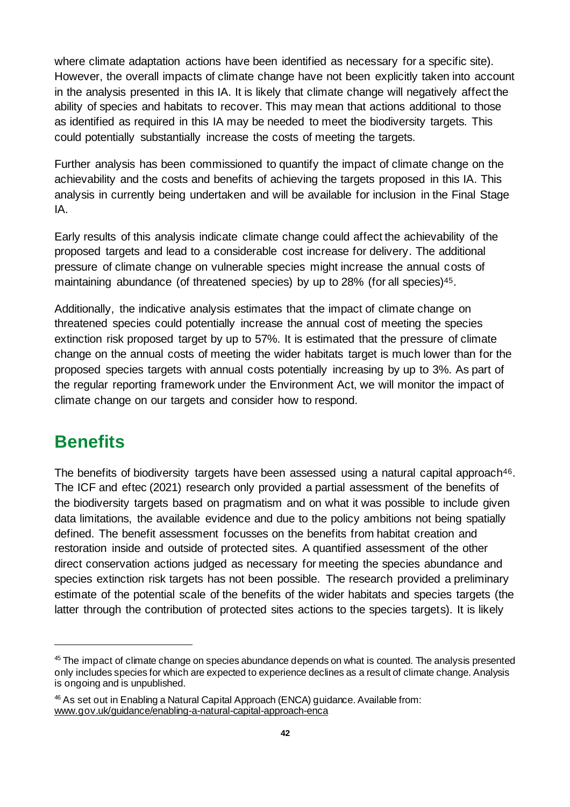where climate adaptation actions have been identified as necessary for a specific site). However, the overall impacts of climate change have not been explicitly taken into account in the analysis presented in this IA. It is likely that climate change will negatively affect the ability of species and habitats to recover. This may mean that actions additional to those as identified as required in this IA may be needed to meet the biodiversity targets. This could potentially substantially increase the costs of meeting the targets.

Further analysis has been commissioned to quantify the impact of climate change on the achievability and the costs and benefits of achieving the targets proposed in this IA. This analysis in currently being undertaken and will be available for inclusion in the Final Stage IA.

Early results of this analysis indicate climate change could affect the achievability of the proposed targets and lead to a considerable cost increase for delivery. The additional pressure of climate change on vulnerable species might increase the annual costs of maintaining abundance (of threatened species) by up to 28% (for all species)<sup>45</sup>.

Additionally, the indicative analysis estimates that the impact of climate change on threatened species could potentially increase the annual cost of meeting the species extinction risk proposed target by up to 57%. It is estimated that the pressure of climate change on the annual costs of meeting the wider habitats target is much lower than for the proposed species targets with annual costs potentially increasing by up to 3%. As part of the regular reporting framework under the Environment Act, we will monitor the impact of climate change on our targets and consider how to respond.

### <span id="page-41-0"></span>**Benefits**

The benefits of biodiversity targets have been assessed using a natural capital approach<sup>46</sup>. The ICF and eftec (2021) research only provided a partial assessment of the benefits of the biodiversity targets based on pragmatism and on what it was possible to include given data limitations, the available evidence and due to the policy ambitions not being spatially defined. The benefit assessment focusses on the benefits from habitat creation and restoration inside and outside of protected sites. A quantified assessment of the other direct conservation actions judged as necessary for meeting the species abundance and species extinction risk targets has not been possible. The research provided a preliminary estimate of the potential scale of the benefits of the wider habitats and species targets (the latter through the contribution of protected sites actions to the species targets). It is likely

<sup>&</sup>lt;sup>45</sup> The impact of climate change on species abundance depends on what is counted. The analysis presented only includes species for which are expected to experience declines as a result of climate change. Analysis is ongoing and is unpublished.

<sup>46</sup> As set out in Enabling a Natural Capital Approach (ENCA) guidance. Available from: [www.gov.uk/guidance/enabling-a-natural-capital-approach-enca](https://www.gov.uk/guidance/enabling-a-natural-capital-approach-enca)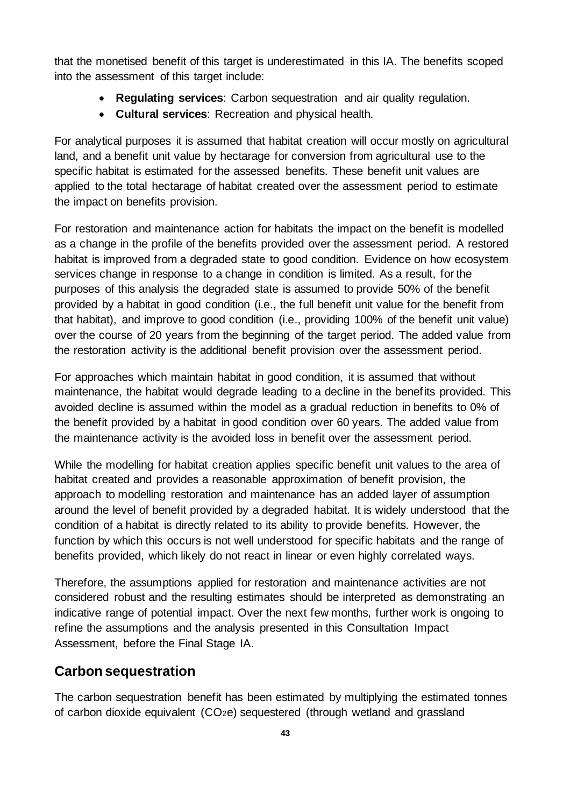that the monetised benefit of this target is underestimated in this IA. The benefits scoped into the assessment of this target include:

- **Regulating services**: Carbon sequestration and air quality regulation.
- **Cultural services**: Recreation and physical health.

For analytical purposes it is assumed that habitat creation will occur mostly on agricultural land, and a benefit unit value by hectarage for conversion from agricultural use to the specific habitat is estimated for the assessed benefits. These benefit unit values are applied to the total hectarage of habitat created over the assessment period to estimate the impact on benefits provision.

For restoration and maintenance action for habitats the impact on the benefit is modelled as a change in the profile of the benefits provided over the assessment period. A restored habitat is improved from a degraded state to good condition. Evidence on how ecosystem services change in response to a change in condition is limited. As a result, for the purposes of this analysis the degraded state is assumed to provide 50% of the benefit provided by a habitat in good condition (i.e., the full benefit unit value for the benefit from that habitat), and improve to good condition (i.e., providing 100% of the benefit unit value) over the course of 20 years from the beginning of the target period. The added value from the restoration activity is the additional benefit provision over the assessment period.

For approaches which maintain habitat in good condition, it is assumed that without maintenance, the habitat would degrade leading to a decline in the benefits provided. This avoided decline is assumed within the model as a gradual reduction in benefits to 0% of the benefit provided by a habitat in good condition over 60 years. The added value from the maintenance activity is the avoided loss in benefit over the assessment period.

While the modelling for habitat creation applies specific benefit unit values to the area of habitat created and provides a reasonable approximation of benefit provision, the approach to modelling restoration and maintenance has an added layer of assumption around the level of benefit provided by a degraded habitat. It is widely understood that the condition of a habitat is directly related to its ability to provide benefits. However, the function by which this occurs is not well understood for specific habitats and the range of benefits provided, which likely do not react in linear or even highly correlated ways.

Therefore, the assumptions applied for restoration and maintenance activities are not considered robust and the resulting estimates should be interpreted as demonstrating an indicative range of potential impact. Over the next few months, further work is ongoing to refine the assumptions and the analysis presented in this Consultation Impact Assessment, before the Final Stage IA.

#### **Carbon sequestration**

The carbon sequestration benefit has been estimated by multiplying the estimated tonnes of carbon dioxide equivalent (CO2e) sequestered (through wetland and grassland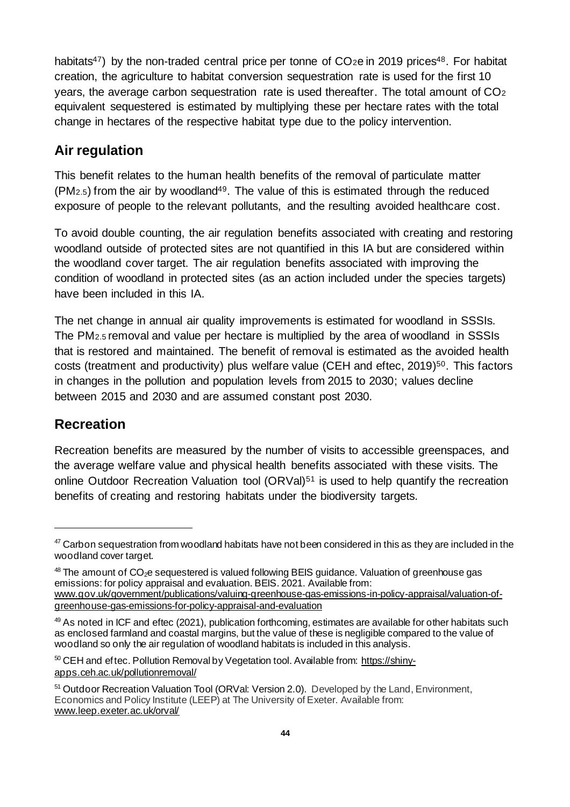habitats<sup>47</sup>) by the non-traded central price per tonne of  $CO<sub>2</sub>e$  in 2019 prices<sup>48</sup>. For habitat creation, the agriculture to habitat conversion sequestration rate is used for the first 10 years, the average carbon sequestration rate is used thereafter. The total amount of  $CO<sub>2</sub>$ equivalent sequestered is estimated by multiplying these per hectare rates with the total change in hectares of the respective habitat type due to the policy intervention.

#### **Air regulation**

This benefit relates to the human health benefits of the removal of particulate matter  $(PM<sub>2.5</sub>)$  from the air by woodland<sup>49</sup>. The value of this is estimated through the reduced exposure of people to the relevant pollutants, and the resulting avoided healthcare cost.

To avoid double counting, the air regulation benefits associated with creating and restoring woodland outside of protected sites are not quantified in this IA but are considered within the woodland cover target. The air regulation benefits associated with improving the condition of woodland in protected sites (as an action included under the species targets) have been included in this IA.

The net change in annual air quality improvements is estimated for woodland in SSSIs. The PM2.5 removal and value per hectare is multiplied by the area of woodland in SSSIs that is restored and maintained. The benefit of removal is estimated as the avoided health costs (treatment and productivity) plus welfare value (CEH and eftec, 2019) <sup>50</sup>. This factors in changes in the pollution and population levels from 2015 to 2030; values decline between 2015 and 2030 and are assumed constant post 2030.

#### **Recreation**

Recreation benefits are measured by the number of visits to accessible greenspaces, and the average welfare value and physical health benefits associated with these visits. The online Outdoor Recreation Valuation tool (ORVal)<sup>51</sup> is used to help quantify the recreation benefits of creating and restoring habitats under the biodiversity targets.

 $50$  CEH and eftec. Pollution Removal by Vegetation tool. Available from: [https://shiny](https://shiny-apps.ceh.ac.uk/pollutionremoval/)[apps.ceh.ac.uk/pollutionremoval/](https://shiny-apps.ceh.ac.uk/pollutionremoval/)

<sup>&</sup>lt;sup>47</sup> Carbon sequestration from woodland habitats have not been considered in this as they are included in the woodland cover target.

 $48$  The amount of  $CO<sub>2</sub>e$  sequestered is valued following BEIS guidance. Valuation of greenhouse gas emissions: for policy appraisal and evaluation. BEIS. 2021. Available from:

[www.gov.uk/government/publications/valuing-greenhouse-gas-emissions-in-policy-appraisal/valuation-of](https://www.gov.uk/government/publications/valuing-greenhouse-gas-emissions-in-policy-appraisal/valuation-of-greenhouse-gas-emissions-for-policy-appraisal-and-evaluation)[greenhouse-gas-emissions-for-policy-appraisal-and-evaluation](https://www.gov.uk/government/publications/valuing-greenhouse-gas-emissions-in-policy-appraisal/valuation-of-greenhouse-gas-emissions-for-policy-appraisal-and-evaluation)

<sup>49</sup> As noted in ICF and eftec (2021), publication forthcoming, estimates are available for other habitats such as enclosed farmland and coastal margins, but the value of these is negligible compared to the value of woodland so only the air regulation of woodland habitats is included in this analysis.

<sup>&</sup>lt;sup>51</sup> Outdoor Recreation Valuation Tool (ORVal: Version 2.0). Developed by the Land, Environment, Economics and Policy Institute (LEEP) at The University of Exeter. Available from: [www.leep.exeter.ac.uk/orval/](https://www.leep.exeter.ac.uk/orval/)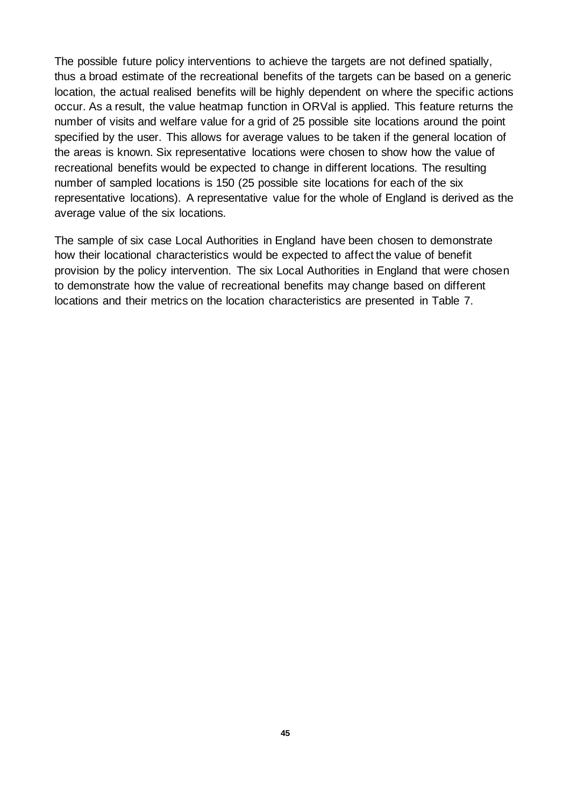The possible future policy interventions to achieve the targets are not defined spatially, thus a broad estimate of the recreational benefits of the targets can be based on a generic location, the actual realised benefits will be highly dependent on where the specific actions occur. As a result, the value heatmap function in ORVal is applied. This feature returns the number of visits and welfare value for a grid of 25 possible site locations around the point specified by the user. This allows for average values to be taken if the general location of the areas is known. Six representative locations were chosen to show how the value of recreational benefits would be expected to change in different locations. The resulting number of sampled locations is 150 (25 possible site locations for each of the six representative locations). A representative value for the whole of England is derived as the average value of the six locations.

The sample of six case Local Authorities in England have been chosen to demonstrate how their locational characteristics would be expected to affect the value of benefit provision by the policy intervention. The six Local Authorities in England that were chosen to demonstrate how the value of recreational benefits may change based on different locations and their metrics on the location characteristics are presented in Table 7.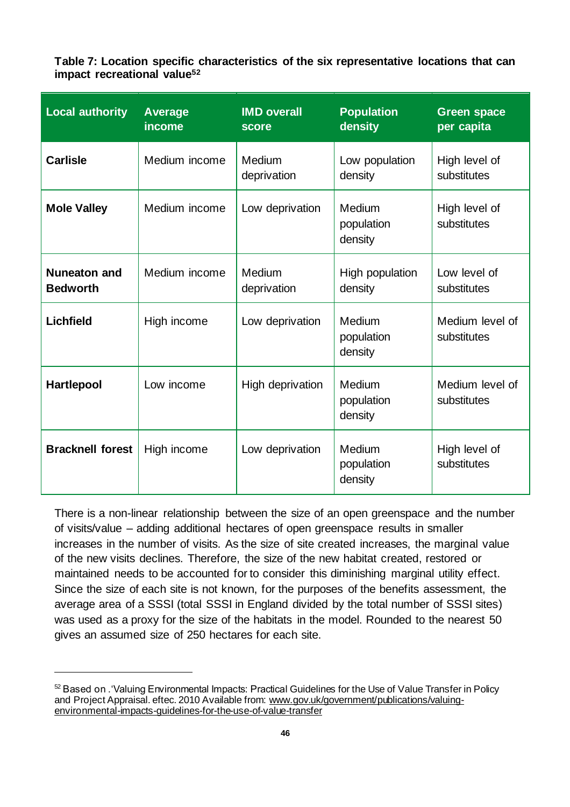**Table 7: Location specific characteristics of the six representative locations that can impact recreational value<sup>52</sup>**

| <b>Local authority</b>                 | <b>Average</b><br>income | <b>IMD overall</b><br>score | <b>Population</b><br>density    | <b>Green space</b><br>per capita |
|----------------------------------------|--------------------------|-----------------------------|---------------------------------|----------------------------------|
| <b>Carlisle</b>                        | Medium income            | Medium<br>deprivation       | Low population<br>density       | High level of<br>substitutes     |
| <b>Mole Valley</b>                     | Medium income            | Low deprivation             | Medium<br>population<br>density | High level of<br>substitutes     |
| <b>Nuneaton and</b><br><b>Bedworth</b> | Medium income            | Medium<br>deprivation       | High population<br>density      | Low level of<br>substitutes      |
| <b>Lichfield</b>                       | High income              | Low deprivation             | Medium<br>population<br>density | Medium level of<br>substitutes   |
| <b>Hartlepool</b>                      | Low income               | High deprivation            | Medium<br>population<br>density | Medium level of<br>substitutes   |
| <b>Bracknell forest</b>                | High income              | Low deprivation             | Medium<br>population<br>density | High level of<br>substitutes     |

There is a non-linear relationship between the size of an open greenspace and the number of visits/value – adding additional hectares of open greenspace results in smaller increases in the number of visits. As the size of site created increases, the marginal value of the new visits declines. Therefore, the size of the new habitat created, restored or maintained needs to be accounted for to consider this diminishing marginal utility effect. Since the size of each site is not known, for the purposes of the benefits assessment, the average area of a SSSI (total SSSI in England divided by the total number of SSSI sites) was used as a proxy for the size of the habitats in the model. Rounded to the nearest 50 gives an assumed size of 250 hectares for each site.

<sup>52</sup> Based on . 'Valuing Environmental Impacts: Practical Guidelines for the Use of Value Transfer in Policy and Project Appraisal. eftec. 2010 Available from[: www.gov.uk/government/publications/valuing](https://www.gov.uk/government/publications/valuing-environmental-impacts-guidelines-for-the-use-of-value-transfer)[environmental-impacts-guidelines-for-the-use-of-value-transfer](https://www.gov.uk/government/publications/valuing-environmental-impacts-guidelines-for-the-use-of-value-transfer)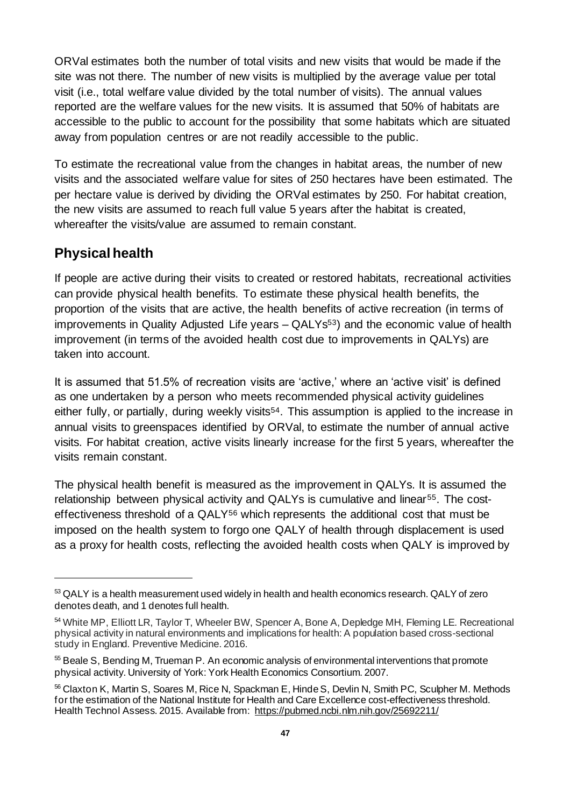ORVal estimates both the number of total visits and new visits that would be made if the site was not there. The number of new visits is multiplied by the average value per total visit (i.e., total welfare value divided by the total number of visits). The annual values reported are the welfare values for the new visits. It is assumed that 50% of habitats are accessible to the public to account for the possibility that some habitats which are situated away from population centres or are not readily accessible to the public.

To estimate the recreational value from the changes in habitat areas, the number of new visits and the associated welfare value for sites of 250 hectares have been estimated. The per hectare value is derived by dividing the ORVal estimates by 250. For habitat creation, the new visits are assumed to reach full value 5 years after the habitat is created, whereafter the visits/value are assumed to remain constant.

#### **Physical health**

If people are active during their visits to created or restored habitats, recreational activities can provide physical health benefits. To estimate these physical health benefits, the proportion of the visits that are active, the health benefits of active recreation (in terms of improvements in Quality Adjusted Life years – QALYs<sup>53</sup>) and the economic value of health improvement (in terms of the avoided health cost due to improvements in QALYs) are taken into account.

It is assumed that 51.5% of recreation visits are 'active,' where an 'active visit' is defined as one undertaken by a person who meets recommended physical activity guidelines either fully, or partially, during weekly visits<sup>54</sup>. This assumption is applied to the increase in annual visits to greenspaces identified by ORVal, to estimate the number of annual active visits. For habitat creation, active visits linearly increase for the first 5 years, whereafter the visits remain constant.

The physical health benefit is measured as the improvement in QALYs. It is assumed the relationship between physical activity and QALYs is cumulative and linear55. The costeffectiveness threshold of a QALY<sup>56</sup> which represents the additional cost that must be imposed on the health system to forgo one QALY of health through displacement is used as a proxy for health costs, reflecting the avoided health costs when QALY is improved by

<sup>53</sup> QALY is a health measurement used widely in health and health economics research. QALY of zero denotes death, and 1 denotes full health.

<sup>54</sup> White MP, Elliott LR, Taylor T, Wheeler BW, Spencer A, Bone A, Depledge MH, Fleming LE. Recreational physical activity in natural environments and implications for health: A population based cross-sectional study in England. Preventive Medicine. 2016.

<sup>&</sup>lt;sup>55</sup> Beale S, Bending M, Trueman P. An economic analysis of environmental interventions that promote physical activity. University of York: York Health Economics Consortium. 2007.

<sup>56</sup> Claxton K, Martin S, Soares M, Rice N, Spackman E, Hinde S, Devlin N, Smith PC, Sculpher M. Methods for the estimation of the National Institute for Health and Care Excellence cost-effectiveness threshold. Health Technol Assess. 2015. Available from:<https://pubmed.ncbi.nlm.nih.gov/25692211/>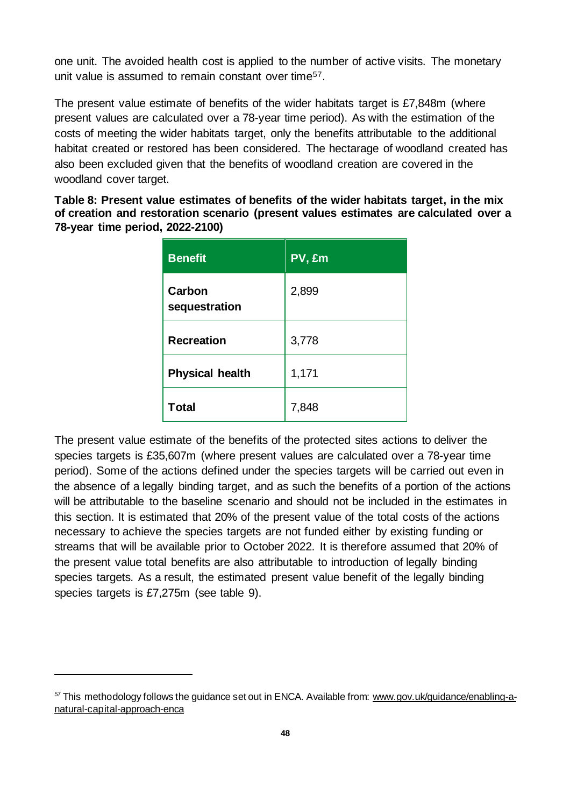one unit. The avoided health cost is applied to the number of active visits. The monetary unit value is assumed to remain constant over time<sup>57</sup>.

The present value estimate of benefits of the wider habitats target is £7,848m (where present values are calculated over a 78-year time period). As with the estimation of the costs of meeting the wider habitats target, only the benefits attributable to the additional habitat created or restored has been considered. The hectarage of woodland created has also been excluded given that the benefits of woodland creation are covered in the woodland cover target.

**Table 8: Present value estimates of benefits of the wider habitats target, in the mix of creation and restoration scenario (present values estimates are calculated over a 78-year time period, 2022-2100)**

| <b>Benefit</b>          | PV, £m |
|-------------------------|--------|
| Carbon<br>sequestration | 2,899  |
| <b>Recreation</b>       | 3,778  |
| <b>Physical health</b>  | 1,171  |
| Total                   | 7,848  |

The present value estimate of the benefits of the protected sites actions to deliver the species targets is £35,607m (where present values are calculated over a 78-year time period). Some of the actions defined under the species targets will be carried out even in the absence of a legally binding target, and as such the benefits of a portion of the actions will be attributable to the baseline scenario and should not be included in the estimates in this section. It is estimated that 20% of the present value of the total costs of the actions necessary to achieve the species targets are not funded either by existing funding or streams that will be available prior to October 2022. It is therefore assumed that 20% of the present value total benefits are also attributable to introduction of legally binding species targets. As a result, the estimated present value benefit of the legally binding species targets is £7,275m (see table 9).

 $57$  This methodology follows the guidance set out in ENCA. Available from[: www.gov.uk/guidance/enabling-a](https://www.gov.uk/guidance/enabling-a-natural-capital-approach-enca)[natural-capital-approach-enca](https://www.gov.uk/guidance/enabling-a-natural-capital-approach-enca)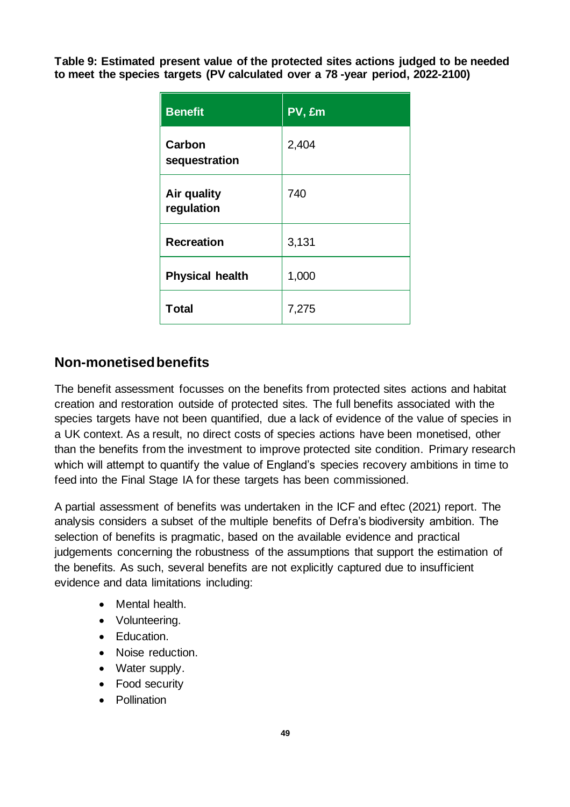**Table 9: Estimated present value of the protected sites actions judged to be needed to meet the species targets (PV calculated over a 78 -year period, 2022-2100)**

| <b>Benefit</b>            | PV, £m |
|---------------------------|--------|
| Carbon<br>sequestration   | 2,404  |
| Air quality<br>regulation | 740    |
| <b>Recreation</b>         | 3,131  |
| <b>Physical health</b>    | 1,000  |
| Total                     | 7,275  |

#### **Non-monetised benefits**

The benefit assessment focusses on the benefits from protected sites actions and habitat creation and restoration outside of protected sites. The full benefits associated with the species targets have not been quantified, due a lack of evidence of the value of species in a UK context. As a result, no direct costs of species actions have been monetised, other than the benefits from the investment to improve protected site condition. Primary research which will attempt to quantify the value of England's species recovery ambitions in time to feed into the Final Stage IA for these targets has been commissioned.

A partial assessment of benefits was undertaken in the ICF and eftec (2021) report. The analysis considers a subset of the multiple benefits of Defra's biodiversity ambition. The selection of benefits is pragmatic, based on the available evidence and practical judgements concerning the robustness of the assumptions that support the estimation of the benefits. As such, several benefits are not explicitly captured due to insufficient evidence and data limitations including:

- Mental health.
- Volunteering.
- Education.
- Noise reduction.
- Water supply.
- Food security
- Pollination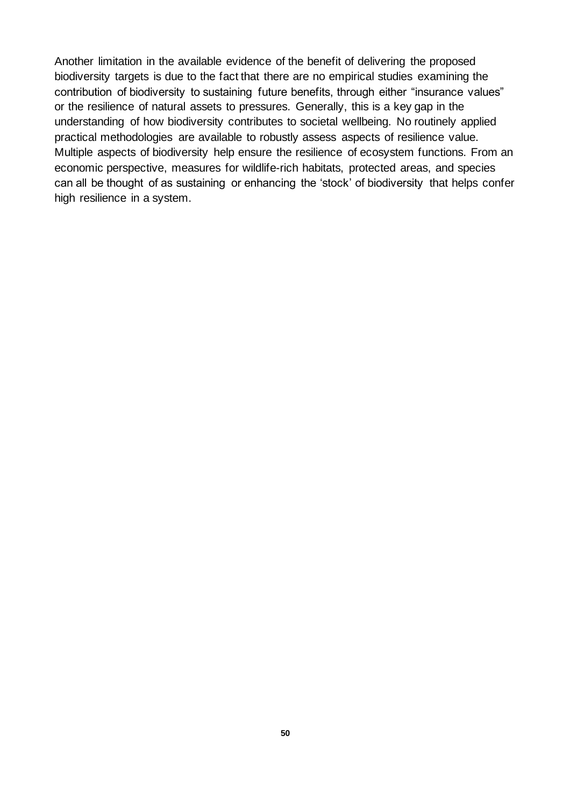Another limitation in the available evidence of the benefit of delivering the proposed biodiversity targets is due to the fact that there are no empirical studies examining the contribution of biodiversity to sustaining future benefits, through either "insurance values" or the resilience of natural assets to pressures. Generally, this is a key gap in the understanding of how biodiversity contributes to societal wellbeing. No routinely applied practical methodologies are available to robustly assess aspects of resilience value. Multiple aspects of biodiversity help ensure the resilience of ecosystem functions. From an economic perspective, measures for wildlife-rich habitats, protected areas, and species can all be thought of as sustaining or enhancing the 'stock' of biodiversity that helps confer high resilience in a system.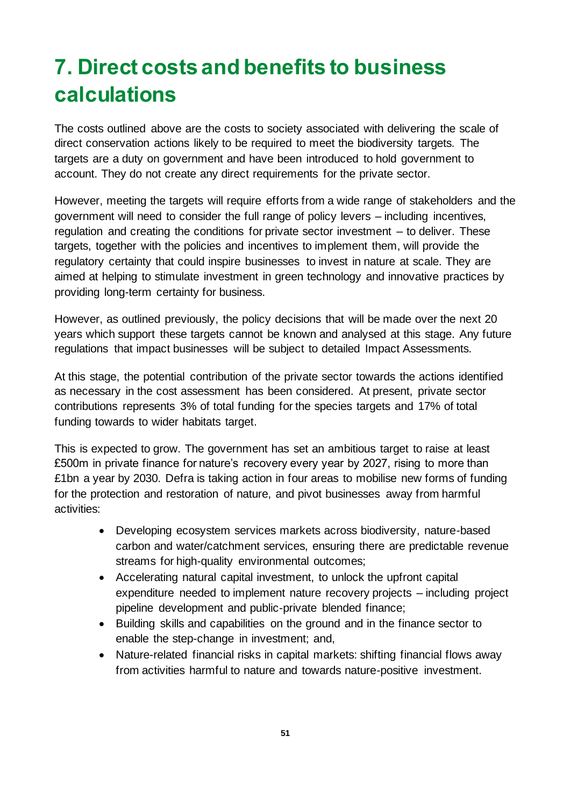# <span id="page-50-0"></span>**7. Direct costs and benefits to business calculations**

The costs outlined above are the costs to society associated with delivering the scale of direct conservation actions likely to be required to meet the biodiversity targets. The targets are a duty on government and have been introduced to hold government to account. They do not create any direct requirements for the private sector.

However, meeting the targets will require efforts from a wide range of stakeholders and the government will need to consider the full range of policy levers – including incentives, regulation and creating the conditions for private sector investment – to deliver. These targets, together with the policies and incentives to implement them, will provide the regulatory certainty that could inspire businesses to invest in nature at scale. They are aimed at helping to stimulate investment in green technology and innovative practices by providing long-term certainty for business.

However, as outlined previously, the policy decisions that will be made over the next 20 years which support these targets cannot be known and analysed at this stage. Any future regulations that impact businesses will be subject to detailed Impact Assessments.

At this stage, the potential contribution of the private sector towards the actions identified as necessary in the cost assessment has been considered. At present, private sector contributions represents 3% of total funding for the species targets and 17% of total funding towards to wider habitats target.

This is expected to grow. The government has set an ambitious target to raise at least £500m in private finance for nature's recovery every year by 2027, rising to more than £1bn a year by 2030. Defra is taking action in four areas to mobilise new forms of funding for the protection and restoration of nature, and pivot businesses away from harmful activities:

- Developing ecosystem services markets across biodiversity, nature-based carbon and water/catchment services, ensuring there are predictable revenue streams for high-quality environmental outcomes;
- Accelerating natural capital investment, to unlock the upfront capital expenditure needed to implement nature recovery projects – including project pipeline development and public-private blended finance;
- Building skills and capabilities on the ground and in the finance sector to enable the step-change in investment; and,
- Nature-related financial risks in capital markets: shifting financial flows away from activities harmful to nature and towards nature-positive investment.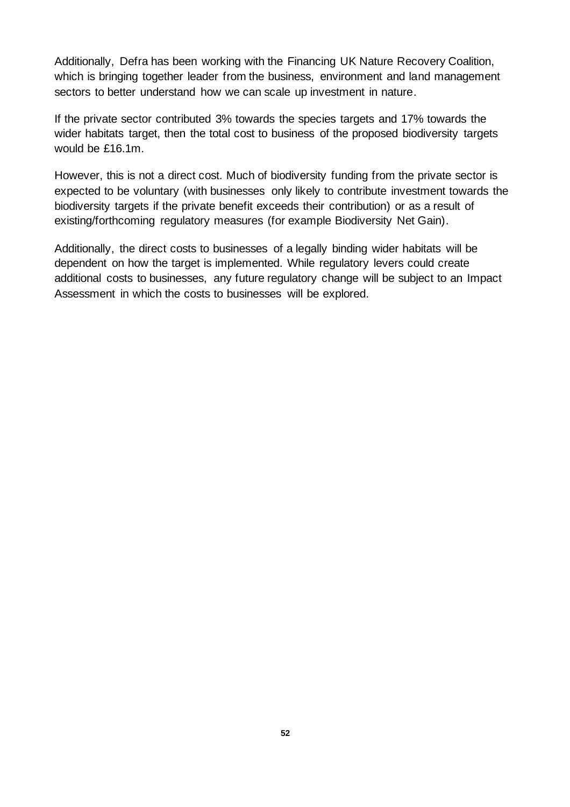Additionally, Defra has been working with the Financing UK Nature Recovery Coalition, which is bringing together leader from the business, environment and land management sectors to better understand how we can scale up investment in nature.

If the private sector contributed 3% towards the species targets and 17% towards the wider habitats target, then the total cost to business of the proposed biodiversity targets would be £16.1m.

However, this is not a direct cost. Much of biodiversity funding from the private sector is expected to be voluntary (with businesses only likely to contribute investment towards the biodiversity targets if the private benefit exceeds their contribution) or as a result of existing/forthcoming regulatory measures (for example Biodiversity Net Gain).

Additionally, the direct costs to businesses of a legally binding wider habitats will be dependent on how the target is implemented. While regulatory levers could create additional costs to businesses, any future regulatory change will be subject to an Impact Assessment in which the costs to businesses will be explored.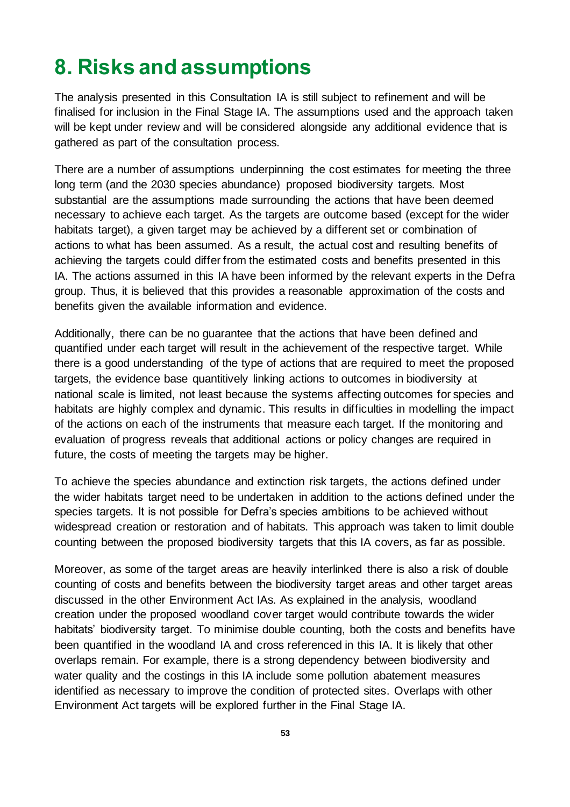# <span id="page-52-0"></span>**8. Risks and assumptions**

The analysis presented in this Consultation IA is still subject to refinement and will be finalised for inclusion in the Final Stage IA. The assumptions used and the approach taken will be kept under review and will be considered alongside any additional evidence that is gathered as part of the consultation process.

There are a number of assumptions underpinning the cost estimates for meeting the three long term (and the 2030 species abundance) proposed biodiversity targets. Most substantial are the assumptions made surrounding the actions that have been deemed necessary to achieve each target. As the targets are outcome based (except for the wider habitats target), a given target may be achieved by a different set or combination of actions to what has been assumed. As a result, the actual cost and resulting benefits of achieving the targets could differ from the estimated costs and benefits presented in this IA. The actions assumed in this IA have been informed by the relevant experts in the Defra group. Thus, it is believed that this provides a reasonable approximation of the costs and benefits given the available information and evidence.

Additionally, there can be no guarantee that the actions that have been defined and quantified under each target will result in the achievement of the respective target. While there is a good understanding of the type of actions that are required to meet the proposed targets, the evidence base quantitively linking actions to outcomes in biodiversity at national scale is limited, not least because the systems affecting outcomes for species and habitats are highly complex and dynamic. This results in difficulties in modelling the impact of the actions on each of the instruments that measure each target. If the monitoring and evaluation of progress reveals that additional actions or policy changes are required in future, the costs of meeting the targets may be higher.

To achieve the species abundance and extinction risk targets, the actions defined under the wider habitats target need to be undertaken in addition to the actions defined under the species targets. It is not possible for Defra's species ambitions to be achieved without widespread creation or restoration and of habitats. This approach was taken to limit double counting between the proposed biodiversity targets that this IA covers, as far as possible.

Moreover, as some of the target areas are heavily interlinked there is also a risk of double counting of costs and benefits between the biodiversity target areas and other target areas discussed in the other Environment Act IAs. As explained in the analysis, woodland creation under the proposed woodland cover target would contribute towards the wider habitats' biodiversity target. To minimise double counting, both the costs and benefits have been quantified in the woodland IA and cross referenced in this IA. It is likely that other overlaps remain. For example, there is a strong dependency between biodiversity and water quality and the costings in this IA include some pollution abatement measures identified as necessary to improve the condition of protected sites. Overlaps with other Environment Act targets will be explored further in the Final Stage IA.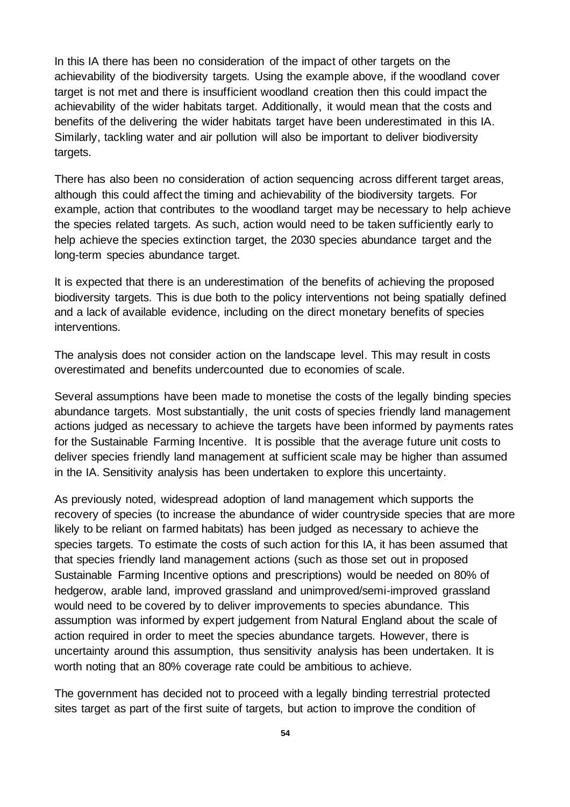In this IA there has been no consideration of the impact of other targets on the achievability of the biodiversity targets. Using the example above, if the woodland cover target is not met and there is insufficient woodland creation then this could impact the achievability of the wider habitats target. Additionally, it would mean that the costs and benefits of the delivering the wider habitats target have been underestimated in this IA. Similarly, tackling water and air pollution will also be important to deliver biodiversity targets.

There has also been no consideration of action sequencing across different target areas, although this could affect the timing and achievability of the biodiversity targets. For example, action that contributes to the woodland target may be necessary to help achieve the species related targets. As such, action would need to be taken sufficiently early to help achieve the species extinction target, the 2030 species abundance target and the long-term species abundance target.

It is expected that there is an underestimation of the benefits of achieving the proposed biodiversity targets. This is due both to the policy interventions not being spatially defined and a lack of available evidence, including on the direct monetary benefits of species interventions.

The analysis does not consider action on the landscape level. This may result in costs overestimated and benefits undercounted due to economies of scale.

Several assumptions have been made to monetise the costs of the legally binding species abundance targets. Most substantially, the unit costs of species friendly land management actions judged as necessary to achieve the targets have been informed by payments rates for the Sustainable Farming Incentive. It is possible that the average future unit costs to deliver species friendly land management at sufficient scale may be higher than assumed in the IA. Sensitivity analysis has been undertaken to explore this uncertainty.

As previously noted, widespread adoption of land management which supports the recovery of species (to increase the abundance of wider countryside species that are more likely to be reliant on farmed habitats) has been judged as necessary to achieve the species targets. To estimate the costs of such action for this IA, it has been assumed that that species friendly land management actions (such as those set out in proposed Sustainable Farming Incentive options and prescriptions) would be needed on 80% of hedgerow, arable land, improved grassland and unimproved/semi-improved grassland would need to be covered by to deliver improvements to species abundance. This assumption was informed by expert judgement from Natural England about the scale of action required in order to meet the species abundance targets. However, there is uncertainty around this assumption, thus sensitivity analysis has been undertaken. It is worth noting that an 80% coverage rate could be ambitious to achieve.

The government has decided not to proceed with a legally binding terrestrial protected sites target as part of the first suite of targets, but action to improve the condition of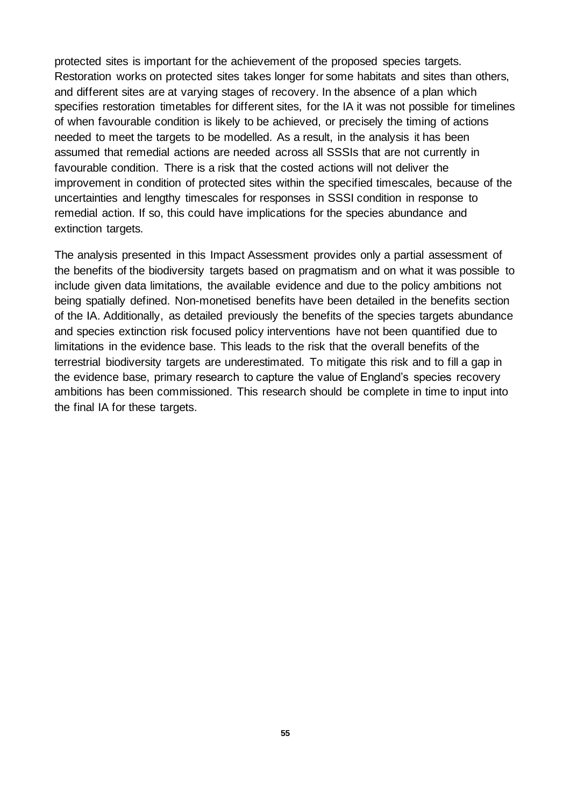protected sites is important for the achievement of the proposed species targets. Restoration works on protected sites takes longer for some habitats and sites than others, and different sites are at varying stages of recovery. In the absence of a plan which specifies restoration timetables for different sites, for the IA it was not possible for timelines of when favourable condition is likely to be achieved, or precisely the timing of actions needed to meet the targets to be modelled. As a result, in the analysis it has been assumed that remedial actions are needed across all SSSIs that are not currently in favourable condition. There is a risk that the costed actions will not deliver the improvement in condition of protected sites within the specified timescales, because of the uncertainties and lengthy timescales for responses in SSSI condition in response to remedial action. If so, this could have implications for the species abundance and extinction targets.

The analysis presented in this Impact Assessment provides only a partial assessment of the benefits of the biodiversity targets based on pragmatism and on what it was possible to include given data limitations, the available evidence and due to the policy ambitions not being spatially defined. Non-monetised benefits have been detailed in the benefits section of the IA. Additionally, as detailed previously the benefits of the species targets abundance and species extinction risk focused policy interventions have not been quantified due to limitations in the evidence base. This leads to the risk that the overall benefits of the terrestrial biodiversity targets are underestimated. To mitigate this risk and to fill a gap in the evidence base, primary research to capture the value of England's species recovery ambitions has been commissioned. This research should be complete in time to input into the final IA for these targets.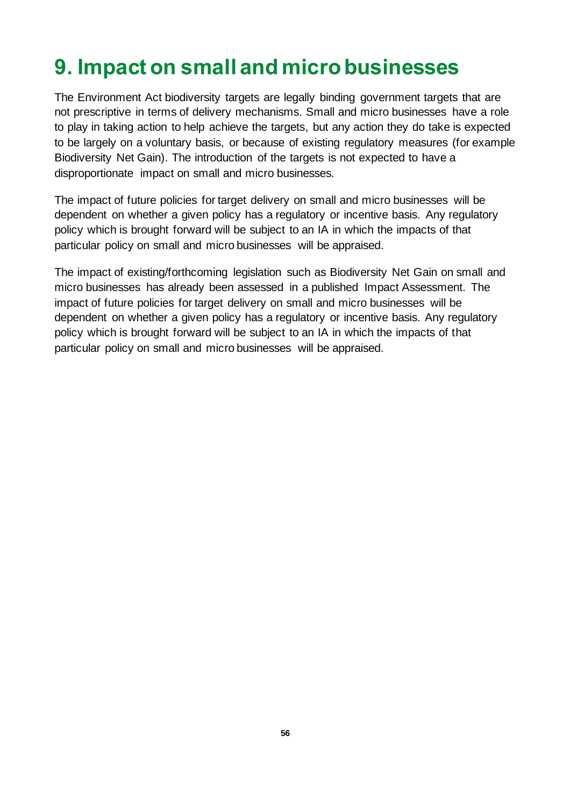# <span id="page-55-0"></span>**9. Impact on small and micro businesses**

The Environment Act biodiversity targets are legally binding government targets that are not prescriptive in terms of delivery mechanisms. Small and micro businesses have a role to play in taking action to help achieve the targets, but any action they do take is expected to be largely on a voluntary basis, or because of existing regulatory measures (for example Biodiversity Net Gain). The introduction of the targets is not expected to have a disproportionate impact on small and micro businesses.

The impact of future policies for target delivery on small and micro businesses will be dependent on whether a given policy has a regulatory or incentive basis. Any regulatory policy which is brought forward will be subject to an IA in which the impacts of that particular policy on small and micro businesses will be appraised.

The impact of existing/forthcoming legislation such as Biodiversity Net Gain on small and micro businesses has already been assessed in a published Impact Assessment. The impact of future policies for target delivery on small and micro businesses will be dependent on whether a given policy has a regulatory or incentive basis. Any regulatory policy which is brought forward will be subject to an IA in which the impacts of that particular policy on small and micro businesses will be appraised.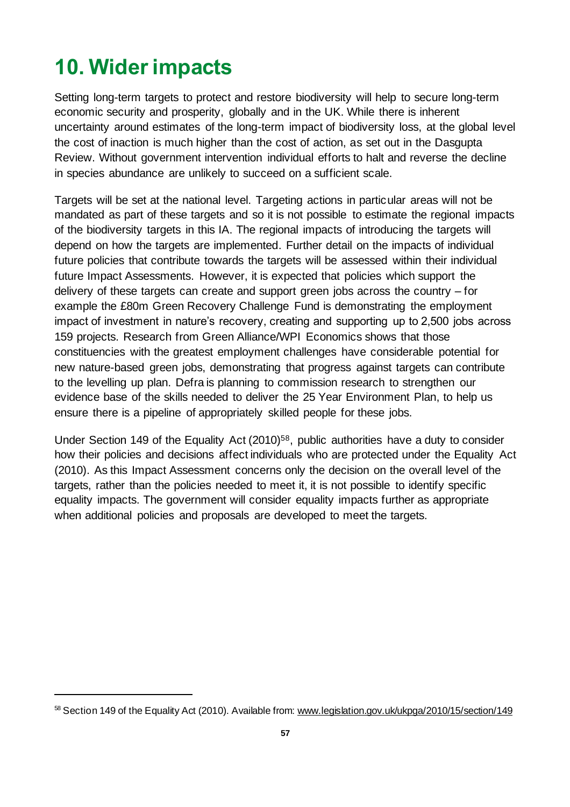# <span id="page-56-0"></span>**10. Wider impacts**

Setting long-term targets to protect and restore biodiversity will help to secure long-term economic security and prosperity, globally and in the UK. While there is inherent uncertainty around estimates of the long-term impact of biodiversity loss, at the global level the cost of inaction is much higher than the cost of action, as set out in the Dasgupta Review. Without government intervention individual efforts to halt and reverse the decline in species abundance are unlikely to succeed on a sufficient scale.

Targets will be set at the national level. Targeting actions in particular areas will not be mandated as part of these targets and so it is not possible to estimate the regional impacts of the biodiversity targets in this IA. The regional impacts of introducing the targets will depend on how the targets are implemented. Further detail on the impacts of individual future policies that contribute towards the targets will be assessed within their individual future Impact Assessments. However, it is expected that policies which support the delivery of these targets can create and support green jobs across the country – for example the £80m Green Recovery Challenge Fund is demonstrating the employment impact of investment in nature's recovery, creating and supporting up to 2,500 jobs across 159 projects. Research from Green Alliance/WPI Economics shows that those constituencies with the greatest employment challenges have considerable potential for new nature-based green jobs, demonstrating that progress against targets can contribute to the levelling up plan. Defra is planning to commission research to strengthen our evidence base of the skills needed to deliver the 25 Year Environment Plan, to help us ensure there is a pipeline of appropriately skilled people for these jobs.

Under Section 149 of the Equality Act (2010) <sup>58</sup>, public authorities have a duty to consider how their policies and decisions affect individuals who are protected under the Equality Act (2010). As this Impact Assessment concerns only the decision on the overall level of the targets, rather than the policies needed to meet it, it is not possible to identify specific equality impacts. The government will consider equality impacts further as appropriate when additional policies and proposals are developed to meet the targets.

<sup>58</sup> Section 149 of the Equality Act (2010). Available from[: www.legislation.gov.uk/ukpga/2010/15/section/149](https://www.legislation.gov.uk/ukpga/2010/15/section/149)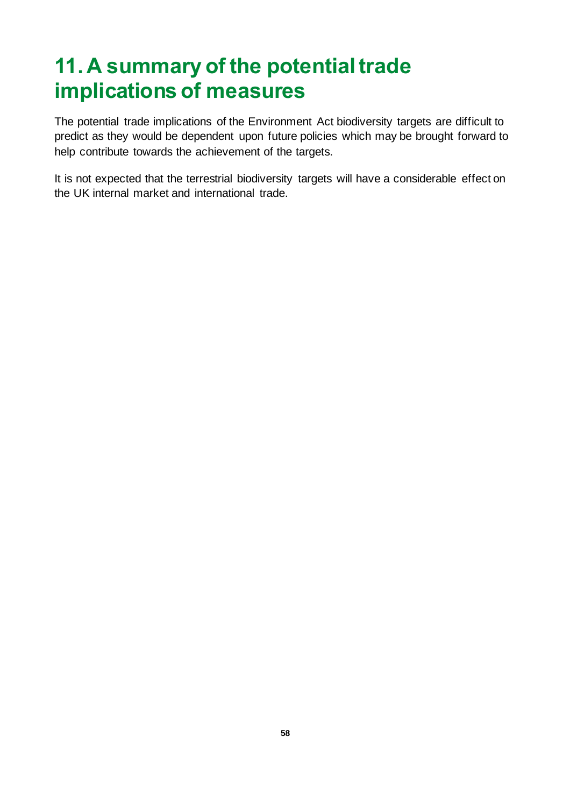# <span id="page-57-0"></span>**11. A summary of the potential trade implications of measures**

The potential trade implications of the Environment Act biodiversity targets are difficult to predict as they would be dependent upon future policies which may be brought forward to help contribute towards the achievement of the targets.

It is not expected that the terrestrial biodiversity targets will have a considerable effect on the UK internal market and international trade.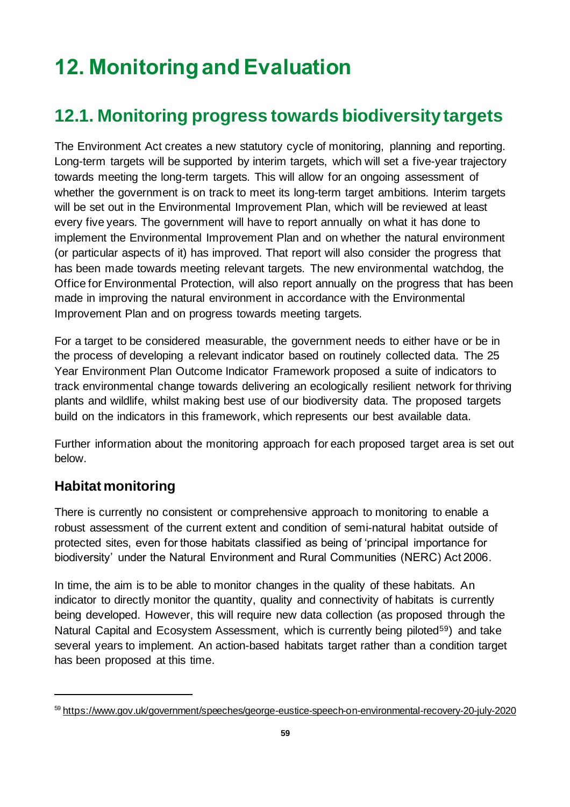# **12. Monitoring and Evaluation**

### <span id="page-58-0"></span>**12.1. Monitoring progress towards biodiversity targets**

The Environment Act creates a new statutory cycle of monitoring, planning and reporting. Long-term targets will be supported by interim targets, which will set a five-year trajectory towards meeting the long-term targets. This will allow for an ongoing assessment of whether the government is on track to meet its long-term target ambitions. Interim targets will be set out in the Environmental Improvement Plan, which will be reviewed at least every five years. The government will have to report annually on what it has done to implement the Environmental Improvement Plan and on whether the natural environment (or particular aspects of it) has improved. That report will also consider the progress that has been made towards meeting relevant targets. The new environmental watchdog, the Office for Environmental Protection, will also report annually on the progress that has been made in improving the natural environment in accordance with the Environmental Improvement Plan and on progress towards meeting targets.

For a target to be considered measurable, the government needs to either have or be in the process of developing a relevant indicator based on routinely collected data. The 25 Year Environment Plan Outcome Indicator Framework proposed a suite of indicators to track environmental change towards delivering an ecologically resilient network for thriving plants and wildlife, whilst making best use of our biodiversity data. The proposed targets build on the indicators in this framework, which represents our best available data.

Further information about the monitoring approach for each proposed target area is set out below.

#### **Habitat monitoring**

There is currently no consistent or comprehensive approach to monitoring to enable a robust assessment of the current extent and condition of semi-natural habitat outside of protected sites, even for those habitats classified as being of 'principal importance for biodiversity' under the Natural Environment and Rural Communities (NERC) Act 2006.

In time, the aim is to be able to monitor changes in the quality of these habitats. An indicator to directly monitor the quantity, quality and connectivity of habitats is currently being developed. However, this will require new data collection (as proposed through the Natural Capital and Ecosystem Assessment, which is currently being piloted<sup>59</sup>) and take several years to implement. An action-based habitats target rather than a condition target has been proposed at this time.

<sup>59</sup> https://www.gov.uk/government/speeches/george-eustice-speech-on-environmental-recovery-20-july-2020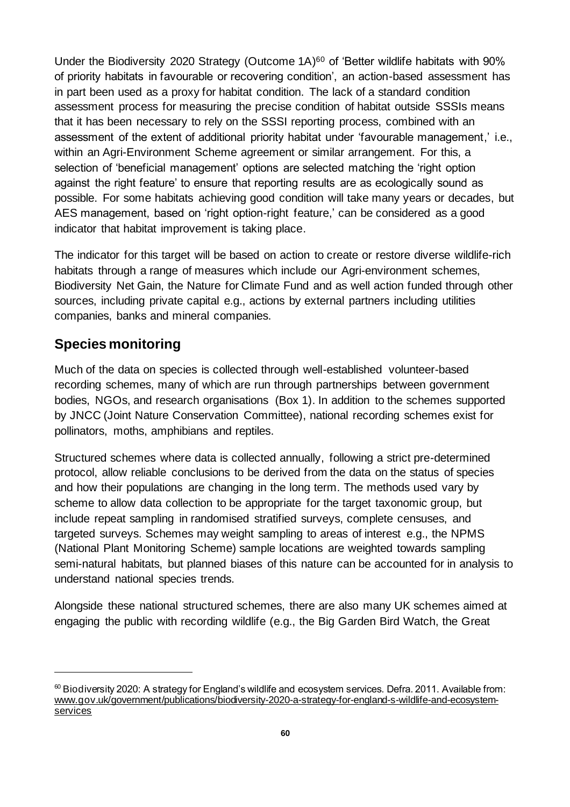Under the Biodiversity 2020 Strategy (Outcome 1A)<sup>60</sup> of 'Better wildlife habitats with 90% of priority habitats in favourable or recovering condition', an action-based assessment has in part been used as a proxy for habitat condition. The lack of a standard condition assessment process for measuring the precise condition of habitat outside SSSIs means that it has been necessary to rely on the SSSI reporting process, combined with an assessment of the extent of additional priority habitat under 'favourable management,' i.e., within an Agri-Environment Scheme agreement or similar arrangement. For this, a selection of 'beneficial management' options are selected matching the 'right option against the right feature' to ensure that reporting results are as ecologically sound as possible. For some habitats achieving good condition will take many years or decades, but AES management, based on 'right option-right feature,' can be considered as a good indicator that habitat improvement is taking place.

The indicator for this target will be based on action to create or restore diverse wildlife-rich habitats through a range of measures which include our Agri-environment schemes, Biodiversity Net Gain, the Nature for Climate Fund and as well action funded through other sources, including private capital e.g., actions by external partners including utilities companies, banks and mineral companies.

#### **Species monitoring**

Much of the data on species is collected through well-established volunteer-based recording schemes, many of which are run through partnerships between government bodies, NGOs, and research organisations (Box 1). In addition to the schemes supported by JNCC (Joint Nature Conservation Committee), national recording schemes exist for pollinators, moths, amphibians and reptiles.

Structured schemes where data is collected annually, following a strict pre-determined protocol, allow reliable conclusions to be derived from the data on the status of species and how their populations are changing in the long term. The methods used vary by scheme to allow data collection to be appropriate for the target taxonomic group, but include repeat sampling in randomised stratified surveys, complete censuses, and targeted surveys. Schemes may weight sampling to areas of interest e.g., the NPMS (National Plant Monitoring Scheme) sample locations are weighted towards sampling semi-natural habitats, but planned biases of this nature can be accounted for in analysis to understand national species trends.

Alongside these national structured schemes, there are also many UK schemes aimed at engaging the public with recording wildlife (e.g., the Big Garden Bird Watch, the Great

 $60$  Biodiversity 2020: A strategy for England's wildlife and ecosystem services. Defra. 2011. Available from: [www.gov.uk/government/publications/biodiversity-2020-a-strategy-for-england-s-wildlife-and-ecosystem](http://www.gov.uk/government/publications/biodiversity-2020-a-strategy-for-england-s-wildlife-and-ecosystem-services)**[services](http://www.gov.uk/government/publications/biodiversity-2020-a-strategy-for-england-s-wildlife-and-ecosystem-services)**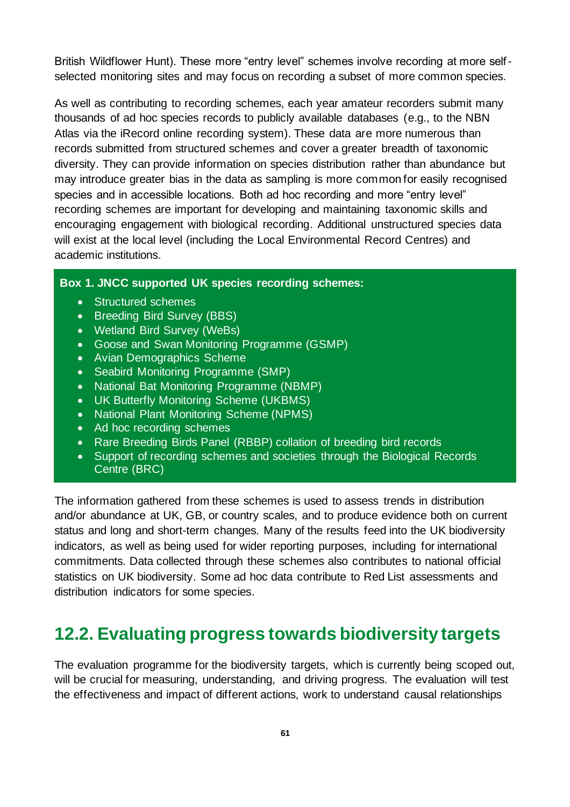British Wildflower Hunt). These more "entry level" schemes involve recording at more selfselected monitoring sites and may focus on recording a subset of more common species.

As well as contributing to recording schemes, each year amateur recorders submit many thousands of ad hoc species records to publicly available databases (e.g., to the NBN Atlas via the iRecord online recording system). These data are more numerous than records submitted from structured schemes and cover a greater breadth of taxonomic diversity. They can provide information on species distribution rather than abundance but may introduce greater bias in the data as sampling is more common for easily recognised species and in accessible locations. Both ad hoc recording and more "entry level" recording schemes are important for developing and maintaining taxonomic skills and encouraging engagement with biological recording. Additional unstructured species data will exist at the local level (including the Local Environmental Record Centres) and academic institutions.

#### **Box 1. JNCC supported UK species recording schemes:**

- Structured schemes
- Breeding Bird Survey (BBS)
- Wetland Bird Survey (WeBs)
- Goose and Swan Monitoring Programme (GSMP)
- Avian Demographics Scheme
- Seabird Monitoring Programme (SMP)
- National Bat Monitoring Programme (NBMP)
- UK Butterfly Monitoring Scheme (UKBMS)
- National Plant Monitoring Scheme (NPMS)
- Ad hoc recording schemes
- Rare Breeding Birds Panel (RBBP) collation of breeding bird records
- Support of recording schemes and societies through the Biological Records Centre (BRC)

The information gathered from these schemes is used to assess trends in distribution and/or abundance at UK, GB, or country scales, and to produce evidence both on current status and long and short-term changes. Many of the results feed into the UK biodiversity indicators, as well as being used for wider reporting purposes, including for international commitments. Data collected through these schemes also contributes to national official statistics on UK biodiversity. Some ad hoc data contribute to Red List assessments and distribution indicators for some species.

### <span id="page-60-0"></span>**12.2. Evaluating progress towards biodiversity targets**

The evaluation programme for the biodiversity targets, which is currently being scoped out, will be crucial for measuring, understanding, and driving progress. The evaluation will test the effectiveness and impact of different actions, work to understand causal relationships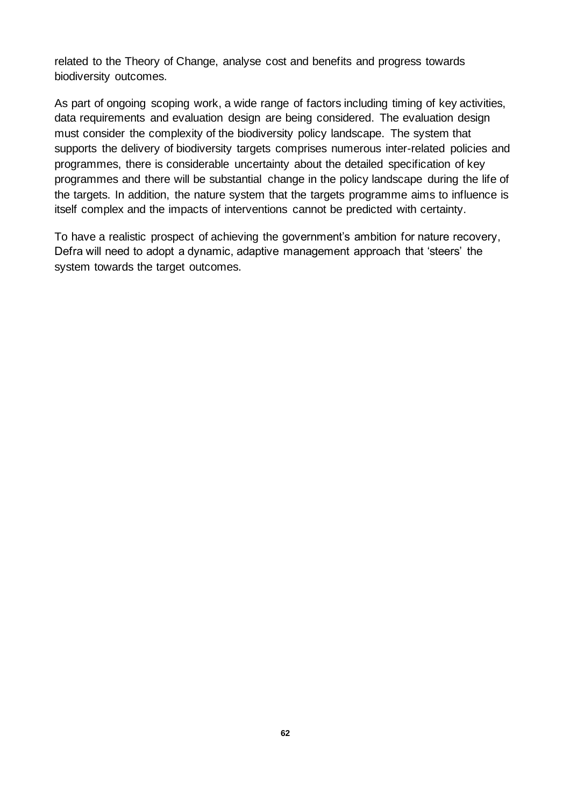related to the Theory of Change, analyse cost and benefits and progress towards biodiversity outcomes.

As part of ongoing scoping work, a wide range of factors including timing of key activities, data requirements and evaluation design are being considered. The evaluation design must consider the complexity of the biodiversity policy landscape. The system that supports the delivery of biodiversity targets comprises numerous inter-related policies and programmes, there is considerable uncertainty about the detailed specification of key programmes and there will be substantial change in the policy landscape during the life of the targets. In addition, the nature system that the targets programme aims to influence is itself complex and the impacts of interventions cannot be predicted with certainty.

To have a realistic prospect of achieving the government's ambition for nature recovery, Defra will need to adopt a dynamic, adaptive management approach that 'steers' the system towards the target outcomes.